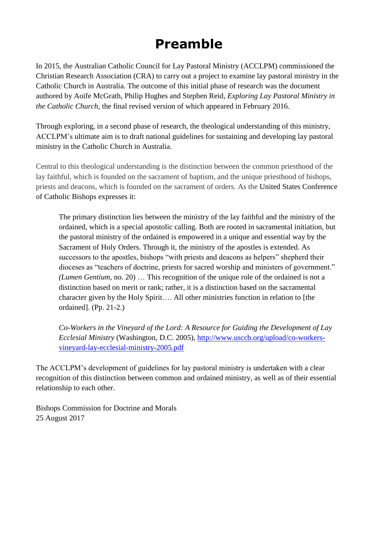# **Preamble**

In 2015, the Australian Catholic Council for Lay Pastoral Ministry (ACCLPM) commissioned the Christian Research Association (CRA) to carry out a project to examine lay pastoral ministry in the Catholic Church in Australia. The outcome of this initial phase of research was the document authored by Aoife McGrath, Philip Hughes and Stephen Reid, *Exploring Lay Pastoral Ministry in the Catholic Church*, the final revised version of which appeared in February 2016.

Through exploring, in a second phase of research, the theological understanding of this ministry, ACCLPM's ultimate aim is to draft national guidelines for sustaining and developing lay pastoral ministry in the Catholic Church in Australia.

Central to this theological understanding is the distinction between the common priesthood of the lay faithful, which is founded on the sacrament of baptism, and the unique priesthood of bishops, priests and deacons, which is founded on the sacrament of orders. As the United States Conference of Catholic Bishops expresses it:

The primary distinction lies between the ministry of the lay faithful and the ministry of the ordained, which is a special apostolic calling. Both are rooted in sacramental initiation, but the pastoral ministry of the ordained is empowered in a unique and essential way by the Sacrament of Holy Orders. Through it, the ministry of the apostles is extended. As successors to the apostles, bishops "with priests and deacons as helpers" shepherd their dioceses as "teachers of doctrine, priests for sacred worship and ministers of government." *(Lumen Gentium*, no. 20) … This recognition of the unique role of the ordained is not a distinction based on merit or rank; rather, it is a distinction based on the sacramental character given by the Holy Spirit…. All other ministries function in relation to [the ordained]. (Pp. 21-2.)

*Co-Workers in the Vineyard of the Lord: A Resource for Guiding the Development of Lay Ecclesial Ministry* (Washington, D.C. 2005), [http://www.usccb.org/upload/co-workers](http://www.usccb.org/upload/co-workers-vineyard-lay-ecclesial-ministry-2005.pdf)[vineyard-lay-ecclesial-ministry-2005.pdf](http://www.usccb.org/upload/co-workers-vineyard-lay-ecclesial-ministry-2005.pdf)

The ACCLPM's development of guidelines for lay pastoral ministry is undertaken with a clear recognition of this distinction between common and ordained ministry, as well as of their essential relationship to each other.

Bishops Commission for Doctrine and Morals 25 August 2017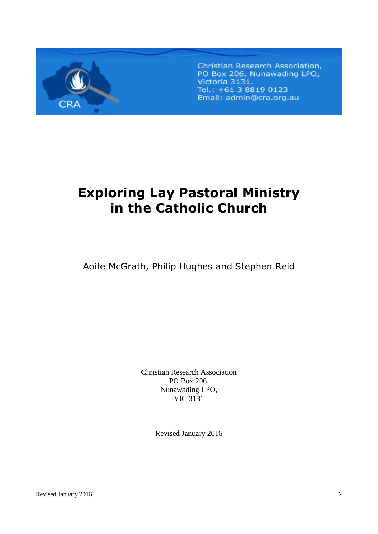

Christian Research Association, PO Box 206, Nunawading LPO, Victoria 3131. Tel.: +61 3 8819 0123 Email: admin@cra.org.au

# **Exploring Lay Pastoral Ministry in the Catholic Church**

Aoife McGrath, Philip Hughes and Stephen Reid

Christian Research Association PO Box 206, Nunawading LPO, VIC 3131

Revised January 2016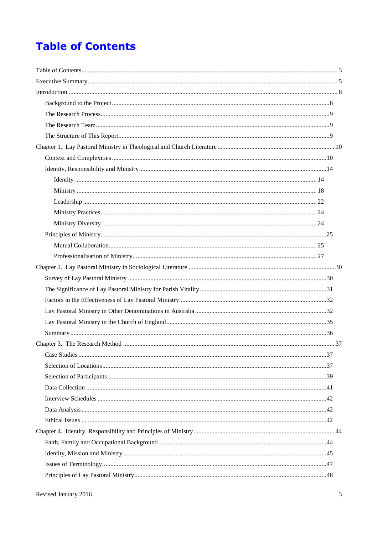# **Table of Contents**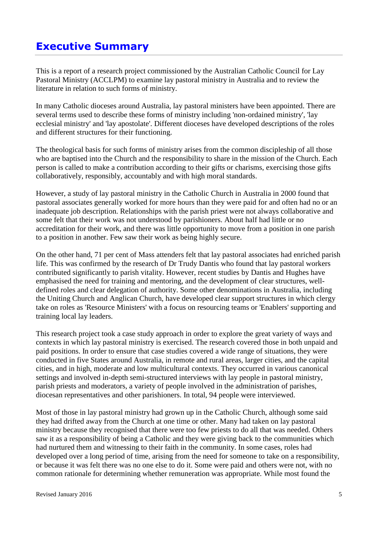# **Executive Summary**

This is a report of a research project commissioned by the Australian Catholic Council for Lay Pastoral Ministry (ACCLPM) to examine lay pastoral ministry in Australia and to review the literature in relation to such forms of ministry.

In many Catholic dioceses around Australia, lay pastoral ministers have been appointed. There are several terms used to describe these forms of ministry including 'non-ordained ministry', 'lay ecclesial ministry' and 'lay apostolate'. Different dioceses have developed descriptions of the roles and different structures for their functioning.

The theological basis for such forms of ministry arises from the common discipleship of all those who are baptised into the Church and the responsibility to share in the mission of the Church. Each person is called to make a contribution according to their gifts or charisms, exercising those gifts collaboratively, responsibly, accountably and with high moral standards.

However, a study of lay pastoral ministry in the Catholic Church in Australia in 2000 found that pastoral associates generally worked for more hours than they were paid for and often had no or an inadequate job description. Relationships with the parish priest were not always collaborative and some felt that their work was not understood by parishioners. About half had little or no accreditation for their work, and there was little opportunity to move from a position in one parish to a position in another. Few saw their work as being highly secure.

On the other hand, 71 per cent of Mass attenders felt that lay pastoral associates had enriched parish life. This was confirmed by the research of Dr Trudy Dantis who found that lay pastoral workers contributed significantly to parish vitality. However, recent studies by Dantis and Hughes have emphasised the need for training and mentoring, and the development of clear structures, welldefined roles and clear delegation of authority. Some other denominations in Australia, including the Uniting Church and Anglican Church, have developed clear support structures in which clergy take on roles as 'Resource Ministers' with a focus on resourcing teams or 'Enablers' supporting and training local lay leaders.

This research project took a case study approach in order to explore the great variety of ways and contexts in which lay pastoral ministry is exercised. The research covered those in both unpaid and paid positions. In order to ensure that case studies covered a wide range of situations, they were conducted in five States around Australia, in remote and rural areas, larger cities, and the capital cities, and in high, moderate and low multicultural contexts. They occurred in various canonical settings and involved in-depth semi-structured interviews with lay people in pastoral ministry, parish priests and moderators, a variety of people involved in the administration of parishes, diocesan representatives and other parishioners. In total, 94 people were interviewed.

Most of those in lay pastoral ministry had grown up in the Catholic Church, although some said they had drifted away from the Church at one time or other. Many had taken on lay pastoral ministry because they recognised that there were too few priests to do all that was needed. Others saw it as a responsibility of being a Catholic and they were giving back to the communities which had nurtured them and witnessing to their faith in the community. In some cases, roles had developed over a long period of time, arising from the need for someone to take on a responsibility, or because it was felt there was no one else to do it. Some were paid and others were not, with no common rationale for determining whether remuneration was appropriate. While most found the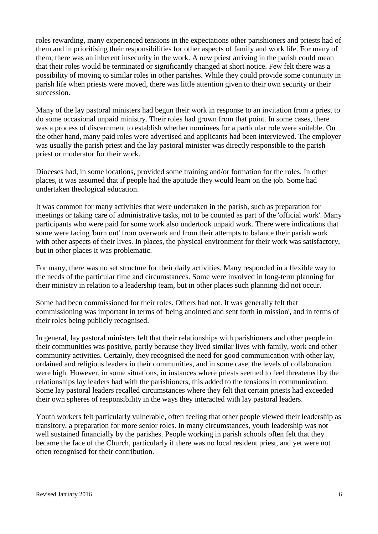roles rewarding, many experienced tensions in the expectations other parishioners and priests had of them and in prioritising their responsibilities for other aspects of family and work life. For many of them, there was an inherent insecurity in the work. A new priest arriving in the parish could mean that their roles would be terminated or significantly changed at short notice. Few felt there was a possibility of moving to similar roles in other parishes. While they could provide some continuity in parish life when priests were moved, there was little attention given to their own security or their succession.

Many of the lay pastoral ministers had begun their work in response to an invitation from a priest to do some occasional unpaid ministry. Their roles had grown from that point. In some cases, there was a process of discernment to establish whether nominees for a particular role were suitable. On the other hand, many paid roles were advertised and applicants had been interviewed. The employer was usually the parish priest and the lay pastoral minister was directly responsible to the parish priest or moderator for their work.

Dioceses had, in some locations, provided some training and/or formation for the roles. In other places, it was assumed that if people had the aptitude they would learn on the job. Some had undertaken theological education.

It was common for many activities that were undertaken in the parish, such as preparation for meetings or taking care of administrative tasks, not to be counted as part of the 'official work'. Many participants who were paid for some work also undertook unpaid work. There were indications that some were facing 'burn out' from overwork and from their attempts to balance their parish work with other aspects of their lives. In places, the physical environment for their work was satisfactory, but in other places it was problematic.

For many, there was no set structure for their daily activities. Many responded in a flexible way to the needs of the particular time and circumstances. Some were involved in long-term planning for their ministry in relation to a leadership team, but in other places such planning did not occur.

Some had been commissioned for their roles. Others had not. It was generally felt that commissioning was important in terms of 'being anointed and sent forth in mission', and in terms of their roles being publicly recognised.

In general, lay pastoral ministers felt that their relationships with parishioners and other people in their communities was positive, partly because they lived similar lives with family, work and other community activities. Certainly, they recognised the need for good communication with other lay, ordained and religious leaders in their communities, and in some case, the levels of collaboration were high. However, in some situations, in instances where priests seemed to feel threatened by the relationships lay leaders had with the parishioners, this added to the tensions in communication. Some lay pastoral leaders recalled circumstances where they felt that certain priests had exceeded their own spheres of responsibility in the ways they interacted with lay pastoral leaders.

Youth workers felt particularly vulnerable, often feeling that other people viewed their leadership as transitory, a preparation for more senior roles. In many circumstances, youth leadership was not well sustained financially by the parishes. People working in parish schools often felt that they became the face of the Church, particularly if there was no local resident priest, and yet were not often recognised for their contribution.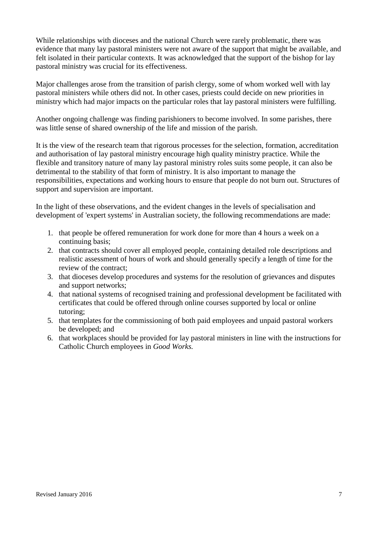While relationships with dioceses and the national Church were rarely problematic, there was evidence that many lay pastoral ministers were not aware of the support that might be available, and felt isolated in their particular contexts. It was acknowledged that the support of the bishop for lay pastoral ministry was crucial for its effectiveness.

Major challenges arose from the transition of parish clergy, some of whom worked well with lay pastoral ministers while others did not. In other cases, priests could decide on new priorities in ministry which had major impacts on the particular roles that lay pastoral ministers were fulfilling.

Another ongoing challenge was finding parishioners to become involved. In some parishes, there was little sense of shared ownership of the life and mission of the parish.

It is the view of the research team that rigorous processes for the selection, formation, accreditation and authorisation of lay pastoral ministry encourage high quality ministry practice. While the flexible and transitory nature of many lay pastoral ministry roles suits some people, it can also be detrimental to the stability of that form of ministry. It is also important to manage the responsibilities, expectations and working hours to ensure that people do not burn out. Structures of support and supervision are important.

In the light of these observations, and the evident changes in the levels of specialisation and development of 'expert systems' in Australian society, the following recommendations are made:

- 1. that people be offered remuneration for work done for more than 4 hours a week on a continuing basis;
- 2. that contracts should cover all employed people, containing detailed role descriptions and realistic assessment of hours of work and should generally specify a length of time for the review of the contract;
- 3. that dioceses develop procedures and systems for the resolution of grievances and disputes and support networks;
- 4. that national systems of recognised training and professional development be facilitated with certificates that could be offered through online courses supported by local or online tutoring;
- 5. that templates for the commissioning of both paid employees and unpaid pastoral workers be developed; and
- 6. that workplaces should be provided for lay pastoral ministers in line with the instructions for Catholic Church employees in *Good Works.*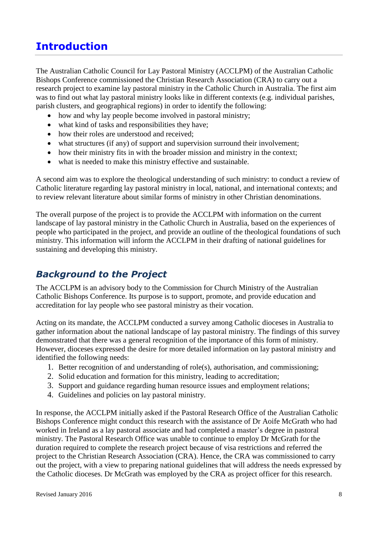# **Introduction**

The Australian Catholic Council for Lay Pastoral Ministry (ACCLPM) of the Australian Catholic Bishops Conference commissioned the Christian Research Association (CRA) to carry out a research project to examine lay pastoral ministry in the Catholic Church in Australia. The first aim was to find out what lay pastoral ministry looks like in different contexts (e.g. individual parishes, parish clusters, and geographical regions) in order to identify the following:

- how and why lay people become involved in pastoral ministry;
- what kind of tasks and responsibilities they have:
- how their roles are understood and received;
- what structures (if any) of support and supervision surround their involvement;
- how their ministry fits in with the broader mission and ministry in the context;
- what is needed to make this ministry effective and sustainable.

A second aim was to explore the theological understanding of such ministry: to conduct a review of Catholic literature regarding lay pastoral ministry in local, national, and international contexts; and to review relevant literature about similar forms of ministry in other Christian denominations.

The overall purpose of the project is to provide the ACCLPM with information on the current landscape of lay pastoral ministry in the Catholic Church in Australia, based on the experiences of people who participated in the project, and provide an outline of the theological foundations of such ministry. This information will inform the ACCLPM in their drafting of national guidelines for sustaining and developing this ministry.

## *Background to the Project*

The ACCLPM is an advisory body to the Commission for Church Ministry of the Australian Catholic Bishops Conference. Its purpose is to support, promote, and provide education and accreditation for lay people who see pastoral ministry as their vocation.

Acting on its mandate, the ACCLPM conducted a survey among Catholic dioceses in Australia to gather information about the national landscape of lay pastoral ministry. The findings of this survey demonstrated that there was a general recognition of the importance of this form of ministry. However, dioceses expressed the desire for more detailed information on lay pastoral ministry and identified the following needs:

- 1. Better recognition of and understanding of role(s), authorisation, and commissioning;
- 2. Solid education and formation for this ministry, leading to accreditation;
- 3. Support and guidance regarding human resource issues and employment relations;
- 4. Guidelines and policies on lay pastoral ministry.

In response, the ACCLPM initially asked if the Pastoral Research Office of the Australian Catholic Bishops Conference might conduct this research with the assistance of Dr Aoife McGrath who had worked in Ireland as a lay pastoral associate and had completed a master's degree in pastoral ministry. The Pastoral Research Office was unable to continue to employ Dr McGrath for the duration required to complete the research project because of visa restrictions and referred the project to the Christian Research Association (CRA). Hence, the CRA was commissioned to carry out the project, with a view to preparing national guidelines that will address the needs expressed by the Catholic dioceses. Dr McGrath was employed by the CRA as project officer for this research.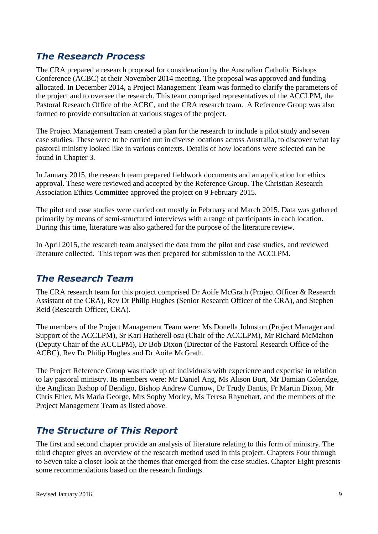## *The Research Process*

The CRA prepared a research proposal for consideration by the Australian Catholic Bishops Conference (ACBC) at their November 2014 meeting. The proposal was approved and funding allocated. In December 2014, a Project Management Team was formed to clarify the parameters of the project and to oversee the research. This team comprised representatives of the ACCLPM, the Pastoral Research Office of the ACBC, and the CRA research team. A Reference Group was also formed to provide consultation at various stages of the project.

The Project Management Team created a plan for the research to include a pilot study and seven case studies. These were to be carried out in diverse locations across Australia, to discover what lay pastoral ministry looked like in various contexts. Details of how locations were selected can be found in Chapter 3.

In January 2015, the research team prepared fieldwork documents and an application for ethics approval. These were reviewed and accepted by the Reference Group. The Christian Research Association Ethics Committee approved the project on 9 February 2015.

The pilot and case studies were carried out mostly in February and March 2015. Data was gathered primarily by means of semi-structured interviews with a range of participants in each location. During this time, literature was also gathered for the purpose of the literature review.

In April 2015, the research team analysed the data from the pilot and case studies, and reviewed literature collected. This report was then prepared for submission to the ACCLPM.

#### *The Research Team*

The CRA research team for this project comprised Dr Aoife McGrath (Project Officer & Research Assistant of the CRA), Rev Dr Philip Hughes (Senior Research Officer of the CRA), and Stephen Reid (Research Officer, CRA).

The members of the Project Management Team were: Ms Donella Johnston (Project Manager and Support of the ACCLPM), Sr Kari Hatherell osu (Chair of the ACCLPM), Mr Richard McMahon (Deputy Chair of the ACCLPM), Dr Bob Dixon (Director of the Pastoral Research Office of the ACBC), Rev Dr Philip Hughes and Dr Aoife McGrath.

The Project Reference Group was made up of individuals with experience and expertise in relation to lay pastoral ministry. Its members were: Mr Daniel Ang, Ms Alison Burt, Mr Damian Coleridge, the Anglican Bishop of Bendigo, Bishop Andrew Curnow, Dr Trudy Dantis, Fr Martin Dixon, Mr Chris Ehler, Ms Maria George, Mrs Sophy Morley, Ms Teresa Rhynehart, and the members of the Project Management Team as listed above.

## *The Structure of This Report*

The first and second chapter provide an analysis of literature relating to this form of ministry. The third chapter gives an overview of the research method used in this project. Chapters Four through to Seven take a closer look at the themes that emerged from the case studies. Chapter Eight presents some recommendations based on the research findings.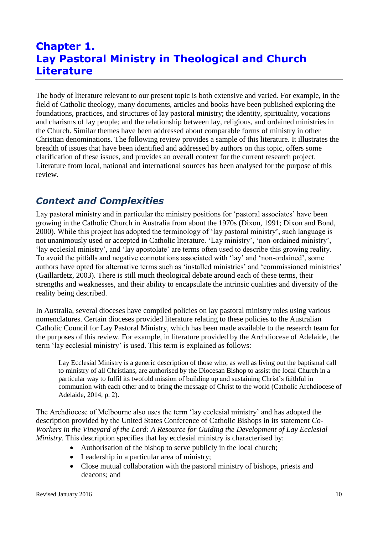# **Chapter 1. Lay Pastoral Ministry in Theological and Church Literature**

The body of literature relevant to our present topic is both extensive and varied. For example, in the field of Catholic theology, many documents, articles and books have been published exploring the foundations, practices, and structures of lay pastoral ministry; the identity, spirituality, vocations and charisms of lay people; and the relationship between lay, religious, and ordained ministries in the Church. Similar themes have been addressed about comparable forms of ministry in other Christian denominations. The following review provides a sample of this literature. It illustrates the breadth of issues that have been identified and addressed by authors on this topic, offers some clarification of these issues, and provides an overall context for the current research project. Literature from local, national and international sources has been analysed for the purpose of this review.

## *Context and Complexities*

Lay pastoral ministry and in particular the ministry positions for 'pastoral associates' have been growing in the Catholic Church in Australia from about the 1970s (Dixon, 1991; Dixon and Bond, 2000). While this project has adopted the terminology of 'lay pastoral ministry', such language is not unanimously used or accepted in Catholic literature. 'Lay ministry', 'non-ordained ministry', 'lay ecclesial ministry', and 'lay apostolate' are terms often used to describe this growing reality. To avoid the pitfalls and negative connotations associated with 'lay' and 'non-ordained', some authors have opted for alternative terms such as 'installed ministries' and 'commissioned ministries' (Gaillardetz, 2003). There is still much theological debate around each of these terms, their strengths and weaknesses, and their ability to encapsulate the intrinsic qualities and diversity of the reality being described.

In Australia, several dioceses have compiled policies on lay pastoral ministry roles using various nomenclatures. Certain dioceses provided literature relating to these policies to the Australian Catholic Council for Lay Pastoral Ministry, which has been made available to the research team for the purposes of this review. For example, in literature provided by the Archdiocese of Adelaide, the term 'lay ecclesial ministry' is used. This term is explained as follows:

Lay Ecclesial Ministry is a generic description of those who, as well as living out the baptismal call to ministry of all Christians, are authorised by the Diocesan Bishop to assist the local Church in a particular way to fulfil its twofold mission of building up and sustaining Christ's faithful in communion with each other and to bring the message of Christ to the world (Catholic Archdiocese of Adelaide, 2014, p. 2).

The Archdiocese of Melbourne also uses the term 'lay ecclesial ministry' and has adopted the description provided by the United States Conference of Catholic Bishops in its statement *Co-Workers in the Vineyard of the Lord: A Resource for Guiding the Development of Lay Ecclesial Ministry*. This description specifies that lay ecclesial ministry is characterised by:

- Authorisation of the bishop to serve publicly in the local church;
- Leadership in a particular area of ministry;
- Close mutual collaboration with the pastoral ministry of bishops, priests and deacons; and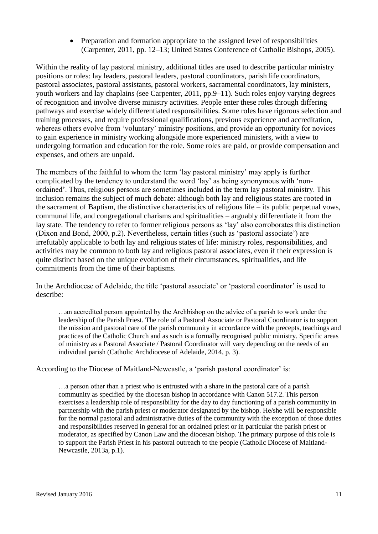• Preparation and formation appropriate to the assigned level of responsibilities (Carpenter, 2011, pp. 12–13; United States Conference of Catholic Bishops, 2005).

Within the reality of lay pastoral ministry, additional titles are used to describe particular ministry positions or roles: lay leaders, pastoral leaders, pastoral coordinators, parish life coordinators, pastoral associates, pastoral assistants, pastoral workers, sacramental coordinators, lay ministers, youth workers and lay chaplains (see Carpenter, 2011, pp.9–11). Such roles enjoy varying degrees of recognition and involve diverse ministry activities. People enter these roles through differing pathways and exercise widely differentiated responsibilities. Some roles have rigorous selection and training processes, and require professional qualifications, previous experience and accreditation, whereas others evolve from 'voluntary' ministry positions, and provide an opportunity for novices to gain experience in ministry working alongside more experienced ministers, with a view to undergoing formation and education for the role. Some roles are paid, or provide compensation and expenses, and others are unpaid.

The members of the faithful to whom the term 'lay pastoral ministry' may apply is further complicated by the tendency to understand the word 'lay' as being synonymous with 'nonordained'. Thus, religious persons are sometimes included in the term lay pastoral ministry. This inclusion remains the subject of much debate: although both lay and religious states are rooted in the sacrament of Baptism, the distinctive characteristics of religious life – its public perpetual vows, communal life, and congregational charisms and spiritualities – arguably differentiate it from the lay state. The tendency to refer to former religious persons as 'lay' also corroborates this distinction (Dixon and Bond, 2000, p.2). Nevertheless, certain titles (such as 'pastoral associate') are irrefutably applicable to both lay and religious states of life: ministry roles, responsibilities, and activities may be common to both lay and religious pastoral associates, even if their expression is quite distinct based on the unique evolution of their circumstances, spiritualities, and life commitments from the time of their baptisms.

In the Archdiocese of Adelaide, the title 'pastoral associate' or 'pastoral coordinator' is used to describe:

…an accredited person appointed by the Archbishop on the advice of a parish to work under the leadership of the Parish Priest. The role of a Pastoral Associate or Pastoral Coordinator is to support the mission and pastoral care of the parish community in accordance with the precepts, teachings and practices of the Catholic Church and as such is a formally recognised public ministry. Specific areas of ministry as a Pastoral Associate / Pastoral Coordinator will vary depending on the needs of an individual parish (Catholic Archdiocese of Adelaide, 2014, p. 3).

#### According to the Diocese of Maitland-Newcastle, a 'parish pastoral coordinator' is:

…a person other than a priest who is entrusted with a share in the pastoral care of a parish community as specified by the diocesan bishop in accordance with Canon 517.2. This person exercises a leadership role of responsibility for the day to day functioning of a parish community in partnership with the parish priest or moderator designated by the bishop. He/she will be responsible for the normal pastoral and administrative duties of the community with the exception of those duties and responsibilities reserved in general for an ordained priest or in particular the parish priest or moderator, as specified by Canon Law and the diocesan bishop. The primary purpose of this role is to support the Parish Priest in his pastoral outreach to the people (Catholic Diocese of Maitland-Newcastle, 2013a, p.1).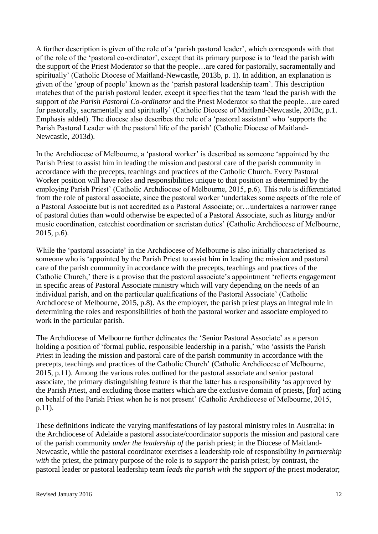A further description is given of the role of a 'parish pastoral leader', which corresponds with that of the role of the 'pastoral co-ordinator', except that its primary purpose is to 'lead the parish with the support of the Priest Moderator so that the people…are cared for pastorally, sacramentally and spiritually' (Catholic Diocese of Maitland-Newcastle, 2013b, p. 1). In addition, an explanation is given of the 'group of people' known as the 'parish pastoral leadership team'. This description matches that of the parish pastoral leader, except it specifies that the team 'lead the parish with the support of *the Parish Pastoral Co-ordinator* and the Priest Moderator so that the people…are cared for pastorally, sacramentally and spiritually' (Catholic Diocese of Maitland-Newcastle, 2013c, p.1. Emphasis added). The diocese also describes the role of a 'pastoral assistant' who 'supports the Parish Pastoral Leader with the pastoral life of the parish' (Catholic Diocese of Maitland-Newcastle, 2013d).

In the Archdiocese of Melbourne, a 'pastoral worker' is described as someone 'appointed by the Parish Priest to assist him in leading the mission and pastoral care of the parish community in accordance with the precepts, teachings and practices of the Catholic Church. Every Pastoral Worker position will have roles and responsibilities unique to that position as determined by the employing Parish Priest' (Catholic Archdiocese of Melbourne, 2015, p.6). This role is differentiated from the role of pastoral associate, since the pastoral worker 'undertakes some aspects of the role of a Pastoral Associate but is not accredited as a Pastoral Associate; or…undertakes a narrower range of pastoral duties than would otherwise be expected of a Pastoral Associate, such as liturgy and/or music coordination, catechist coordination or sacristan duties' (Catholic Archdiocese of Melbourne, 2015, p.6).

While the 'pastoral associate' in the Archdiocese of Melbourne is also initially characterised as someone who is 'appointed by the Parish Priest to assist him in leading the mission and pastoral care of the parish community in accordance with the precepts, teachings and practices of the Catholic Church,' there is a proviso that the pastoral associate's appointment 'reflects engagement in specific areas of Pastoral Associate ministry which will vary depending on the needs of an individual parish, and on the particular qualifications of the Pastoral Associate' (Catholic Archdiocese of Melbourne, 2015, p.8). As the employer, the parish priest plays an integral role in determining the roles and responsibilities of both the pastoral worker and associate employed to work in the particular parish.

The Archdiocese of Melbourne further delineates the 'Senior Pastoral Associate' as a person holding a position of 'formal public, responsible leadership in a parish,' who 'assists the Parish Priest in leading the mission and pastoral care of the parish community in accordance with the precepts, teachings and practices of the Catholic Church' (Catholic Archdiocese of Melbourne, 2015, p.11). Among the various roles outlined for the pastoral associate and senior pastoral associate, the primary distinguishing feature is that the latter has a responsibility 'as approved by the Parish Priest, and excluding those matters which are the exclusive domain of priests, [for] acting on behalf of the Parish Priest when he is not present' (Catholic Archdiocese of Melbourne, 2015, p.11).

These definitions indicate the varying manifestations of lay pastoral ministry roles in Australia: in the Archdiocese of Adelaide a pastoral associate/coordinator supports the mission and pastoral care of the parish community *under the leadership of* the parish priest; in the Diocese of Maitland-Newcastle, while the pastoral coordinator exercises a leadership role of responsibility *in partnership with* the priest, the primary purpose of the role is *to support* the parish priest; by contrast, the pastoral leader or pastoral leadership team *leads the parish with the support of* the priest moderator;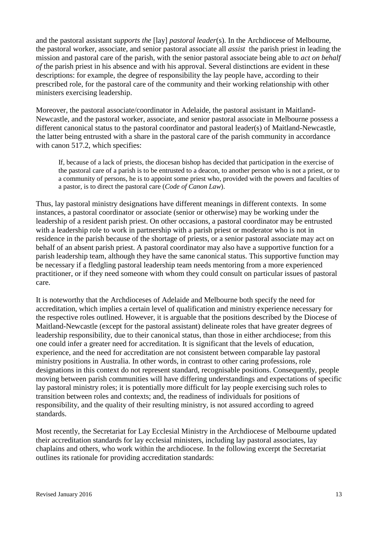and the pastoral assistant *supports the* [lay] *pastoral leader*(s). In the Archdiocese of Melbourne, the pastoral worker, associate, and senior pastoral associate all *assist* the parish priest in leading the mission and pastoral care of the parish, with the senior pastoral associate being able to *act on behalf of* the parish priest in his absence and with his approval. Several distinctions are evident in these descriptions: for example, the degree of responsibility the lay people have, according to their prescribed role, for the pastoral care of the community and their working relationship with other ministers exercising leadership.

Moreover, the pastoral associate/coordinator in Adelaide, the pastoral assistant in Maitland-Newcastle, and the pastoral worker, associate, and senior pastoral associate in Melbourne possess a different canonical status to the pastoral coordinator and pastoral leader(s) of Maitland-Newcastle, the latter being entrusted with a share in the pastoral care of the parish community in accordance with canon 517.2, which specifies:

If, because of a lack of priests, the diocesan bishop has decided that participation in the exercise of the pastoral care of a parish is to be entrusted to a deacon, to another person who is not a priest, or to a community of persons, he is to appoint some priest who, provided with the powers and faculties of a pastor, is to direct the pastoral care (*Code of Canon Law*).

Thus, lay pastoral ministry designations have different meanings in different contexts. In some instances, a pastoral coordinator or associate (senior or otherwise) may be working under the leadership of a resident parish priest. On other occasions, a pastoral coordinator may be entrusted with a leadership role to work in partnership with a parish priest or moderator who is not in residence in the parish because of the shortage of priests, or a senior pastoral associate may act on behalf of an absent parish priest. A pastoral coordinator may also have a supportive function for a parish leadership team, although they have the same canonical status. This supportive function may be necessary if a fledgling pastoral leadership team needs mentoring from a more experienced practitioner, or if they need someone with whom they could consult on particular issues of pastoral care.

It is noteworthy that the Archdioceses of Adelaide and Melbourne both specify the need for accreditation, which implies a certain level of qualification and ministry experience necessary for the respective roles outlined. However, it is arguable that the positions described by the Diocese of Maitland-Newcastle (except for the pastoral assistant) delineate roles that have greater degrees of leadership responsibility, due to their canonical status, than those in either archdiocese; from this one could infer a greater need for accreditation. It is significant that the levels of education, experience, and the need for accreditation are not consistent between comparable lay pastoral ministry positions in Australia. In other words, in contrast to other caring professions, role designations in this context do not represent standard, recognisable positions. Consequently, people moving between parish communities will have differing understandings and expectations of specific lay pastoral ministry roles; it is potentially more difficult for lay people exercising such roles to transition between roles and contexts; and, the readiness of individuals for positions of responsibility, and the quality of their resulting ministry, is not assured according to agreed standards.

Most recently, the Secretariat for Lay Ecclesial Ministry in the Archdiocese of Melbourne updated their accreditation standards for lay ecclesial ministers, including lay pastoral associates, lay chaplains and others, who work within the archdiocese. In the following excerpt the Secretariat outlines its rationale for providing accreditation standards: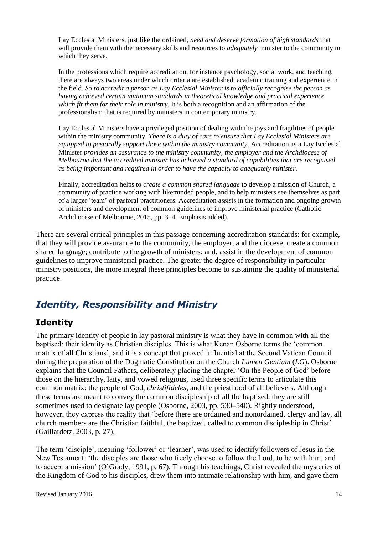Lay Ecclesial Ministers, just like the ordained, *need and deserve formation of high standards* that will provide them with the necessary skills and resources to *adequately* minister to the community in which they serve.

In the professions which require accreditation, for instance psychology, social work, and teaching, there are always two areas under which criteria are established: academic training and experience in the field. *So to accredit a person as Lay Ecclesial Minister is to officially recognise the person as having achieved certain minimum standards in theoretical knowledge and practical experience which fit them for their role in ministry.* It is both a recognition and an affirmation of the professionalism that is required by ministers in contemporary ministry.

Lay Ecclesial Ministers have a privileged position of dealing with the joys and fragilities of people within the ministry community. *There is a duty of care to ensure that Lay Ecclesial Ministers are equipped to pastorally support those within the ministry community*. Accreditation as a Lay Ecclesial Minister *provides an assurance to the ministry community, the employer and the Archdiocese of Melbourne that the accredited minister has achieved a standard of capabilities that are recognised as being important and required in order to have the capacity to adequately minister.* 

Finally, accreditation helps to *create a common shared language* to develop a mission of Church, a community of practice working with likeminded people, and to help ministers see themselves as part of a larger 'team' of pastoral practitioners. Accreditation assists in the formation and ongoing growth of ministers and development of common guidelines to improve ministerial practice (Catholic Archdiocese of Melbourne, 2015, pp. 3–4. Emphasis added).

There are several critical principles in this passage concerning accreditation standards: for example, that they will provide assurance to the community, the employer, and the diocese; create a common shared language; contribute to the growth of ministers; and, assist in the development of common guidelines to improve ministerial practice. The greater the degree of responsibility in particular ministry positions, the more integral these principles become to sustaining the quality of ministerial practice.

# *Identity, Responsibility and Ministry*

## **Identity**

The primary identity of people in lay pastoral ministry is what they have in common with all the baptised: their identity as Christian disciples. This is what Kenan Osborne terms the 'common matrix of all Christians', and it is a concept that proved influential at the Second Vatican Council during the preparation of the Dogmatic Constitution on the Church *Lumen Gentium* (*LG*). Osborne explains that the Council Fathers, deliberately placing the chapter 'On the People of God' before those on the hierarchy, laity, and vowed religious, used three specific terms to articulate this common matrix: the people of God, *christifideles*, and the priesthood of all believers. Although these terms are meant to convey the common discipleship of all the baptised, they are still sometimes used to designate lay people (Osborne, 2003, pp. 530–540). Rightly understood, however, they express the reality that 'before there are ordained and nonordained, clergy and lay, all church members are the Christian faithful, the baptized, called to common discipleship in Christ' (Gaillardetz, 2003, p. 27).

The term 'disciple', meaning 'follower' or 'learner', was used to identify followers of Jesus in the New Testament: 'the disciples are those who freely choose to follow the Lord, to be with him, and to accept a mission' (O'Grady, 1991, p. 67). Through his teachings, Christ revealed the mysteries of the Kingdom of God to his disciples, drew them into intimate relationship with him, and gave them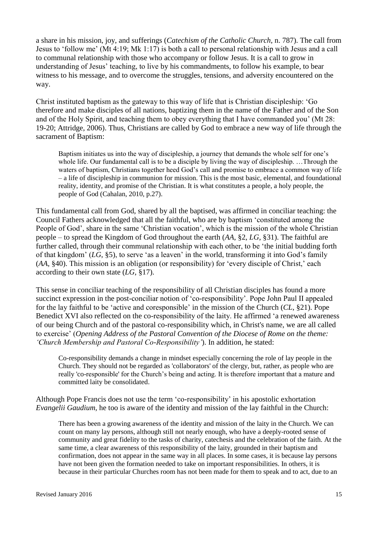a share in his mission, joy, and sufferings (*Catechism of the Catholic Church*, n. 787). The call from Jesus to 'follow me' (Mt 4:19; Mk 1:17) is both a call to personal relationship with Jesus and a call to communal relationship with those who accompany or follow Jesus. It is a call to grow in understanding of Jesus' teaching, to live by his commandments, to follow his example, to bear witness to his message, and to overcome the struggles, tensions, and adversity encountered on the way.

Christ instituted baptism as the gateway to this way of life that is Christian discipleship: 'Go therefore and make disciples of all nations, baptizing them in the name of the Father and of the Son and of the Holy Spirit, and teaching them to obey everything that I have commanded you' (Mt 28: 19-20; Attridge, 2006). Thus, Christians are called by God to embrace a new way of life through the sacrament of Baptism:

Baptism initiates us into the way of discipleship, a journey that demands the whole self for one's whole life. Our fundamental call is to be a disciple by living the way of discipleship. …Through the waters of baptism, Christians together heed God's call and promise to embrace a common way of life – a life of discipleship in communion for mission. This is the most basic, elemental, and foundational reality, identity, and promise of the Christian. It is what constitutes a people, a holy people, the people of God (Cahalan, 2010, p.27).

This fundamental call from God, shared by all the baptised, was affirmed in conciliar teaching: the Council Fathers acknowledged that all the faithful, who are by baptism 'constituted among the People of God', share in the same 'Christian vocation', which is the mission of the whole Christian people – to spread the Kingdom of God throughout the earth (*AA*, §2, *LG*, §31). The faithful are further called, through their communal relationship with each other, to be 'the initial budding forth of that kingdom' (*LG*, §5), to serve 'as a leaven' in the world, transforming it into God's family (*AA*, §40). This mission is an obligation (or responsibility) for 'every disciple of Christ,' each according to their own state (*LG*, §17).

This sense in conciliar teaching of the responsibility of all Christian disciples has found a more succinct expression in the post-conciliar notion of 'co-responsibility'. Pope John Paul II appealed for the lay faithful to be 'active and coresponsible' in the mission of the Church (*CL*, §21). Pope Benedict XVI also reflected on the co-responsibility of the laity. He affirmed 'a renewed awareness of our being Church and of the pastoral co-responsibility which, in Christ's name, we are all called to exercise' (*Opening Address of the Pastoral Convention of the Diocese of Rome on the theme: 'Church Membership and Pastoral Co-Responsibility'*). In addition, he stated:

Co-responsibility demands a change in mindset especially concerning the role of lay people in the Church. They should not be regarded as 'collaborators' of the clergy, but, rather, as people who are really 'co-responsible' for the Church's being and acting. It is therefore important that a mature and committed laity be consolidated.

Although Pope Francis does not use the term 'co-responsibility' in his apostolic exhortation *Evangelii Gaudium*, he too is aware of the identity and mission of the lay faithful in the Church:

There has been a growing awareness of the identity and mission of the laity in the Church. We can count on many lay persons, although still not nearly enough, who have a deeply-rooted sense of community and great fidelity to the tasks of charity, catechesis and the celebration of the faith. At the same time, a clear awareness of this responsibility of the laity, grounded in their baptism and confirmation, does not appear in the same way in all places. In some cases, it is because lay persons have not been given the formation needed to take on important responsibilities. In others, it is because in their particular Churches room has not been made for them to speak and to act, due to an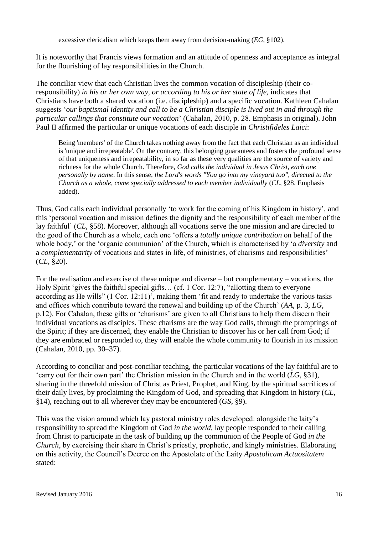excessive clericalism which keeps them away from decision-making (*EG*, §102).

It is noteworthy that Francis views formation and an attitude of openness and acceptance as integral for the flourishing of lay responsibilities in the Church.

The conciliar view that each Christian lives the common vocation of discipleship (their coresponsibility) *in his or her own way, or according to his or her state of life,* indicates that Christians have both a shared vocation (i.e. discipleship) and a specific vocation. Kathleen Cahalan suggests '*our baptismal identity and call to be a Christian disciple is lived out in and through the particular callings that constitute our vocation*' (Cahalan, 2010, p. 28. Emphasis in original). John Paul II affirmed the particular or unique vocations of each disciple in *Christifideles Laici*:

Being 'members' of the Church takes nothing away from the fact that each Christian as an individual is 'unique and irrepeatable'. On the contrary, this belonging guarantees and fosters the profound sense of that uniqueness and irrepeatability, in so far as these very qualities are the source of variety and richness for the whole Church. Therefore, *God calls the individual in Jesus Christ, each one personally by name*. In this sense, *the Lord's words "You go into my vineyard too", directed to the Church as a whole, come specially addressed to each member individually* (*CL*, §28. Emphasis added).

Thus, God calls each individual personally 'to work for the coming of his Kingdom in history', and this 'personal vocation and mission defines the dignity and the responsibility of each member of the lay faithful' (*CL*, §58). Moreover, although all vocations serve the one mission and are directed to the good of the Church as a whole, each one 'offers a *totally unique contribution* on behalf of the whole body,' or the 'organic communion' of the Church, which is characterised by 'a *diversity* and a *complementarity* of vocations and states in life, of ministries, of charisms and responsibilities' (*CL*, §20).

For the realisation and exercise of these unique and diverse – but complementary – vocations, the Holy Spirit 'gives the faithful special gifts… (cf. 1 Cor. 12:7), "allotting them to everyone according as He wills" (1 Cor. 12:11)', making them 'fit and ready to undertake the various tasks and offices which contribute toward the renewal and building up of the Church' (*AA*, p. 3, *LG*, p.12). For Cahalan, these gifts or 'charisms' are given to all Christians to help them discern their individual vocations as disciples. These charisms are the way God calls, through the promptings of the Spirit; if they are discerned, they enable the Christian to discover his or her call from God; if they are embraced or responded to, they will enable the whole community to flourish in its mission (Cahalan, 2010, pp. 30–37).

According to conciliar and post-conciliar teaching, the particular vocations of the lay faithful are to 'carry out for their own part' the Christian mission in the Church and in the world (*LG*, §31), sharing in the threefold mission of Christ as Priest, Prophet, and King, by the spiritual sacrifices of their daily lives, by proclaiming the Kingdom of God, and spreading that Kingdom in history (*CL*, §14), reaching out to all wherever they may be encountered (*GS*, §9).

This was the vision around which lay pastoral ministry roles developed: alongside the laity's responsibility to spread the Kingdom of God *in the world*, lay people responded to their calling from Christ to participate in the task of building up the communion of the People of God *in the Church*, by exercising their share in Christ's priestly, prophetic, and kingly ministries*.* Elaborating on this activity, the Council's Decree on the Apostolate of the Laity *Apostolicam Actuositatem* stated: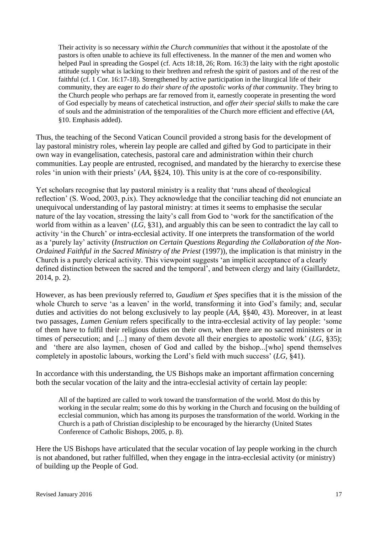Their activity is so necessary *within the Church communities* that without it the apostolate of the pastors is often unable to achieve its full effectiveness. In the manner of the men and women who helped Paul in spreading the Gospel (cf. Acts 18:18, 26; Rom. 16:3) the laity with the right apostolic attitude supply what is lacking to their brethren and refresh the spirit of pastors and of the rest of the faithful (cf. 1 Cor. 16:17-18). Strengthened by active participation in the liturgical life of their community, they are eager *to do their share of the apostolic works of that community*. They bring to the Church people who perhaps are far removed from it, earnestly cooperate in presenting the word of God especially by means of catechetical instruction, and *offer their special skills* to make the care of souls and the administration of the temporalities of the Church more efficient and effective (*AA*, §10. Emphasis added).

Thus, the teaching of the Second Vatican Council provided a strong basis for the development of lay pastoral ministry roles, wherein lay people are called and gifted by God to participate in their own way in evangelisation, catechesis, pastoral care and administration within their church communities. Lay people are entrusted, recognised, and mandated by the hierarchy to exercise these roles 'in union with their priests' (*AA*, §§24, 10). This unity is at the core of co-responsibility.

Yet scholars recognise that lay pastoral ministry is a reality that 'runs ahead of theological reflection' (S. Wood, 2003, p.ix). They acknowledge that the conciliar teaching did not enunciate an unequivocal understanding of lay pastoral ministry: at times it seems to emphasise the secular nature of the lay vocation, stressing the laity's call from God to 'work for the sanctification of the world from within as a leaven' (*LG*, §31), and arguably this can be seen to contradict the lay call to activity 'in the Church' or intra-ecclesial activity. If one interprets the transformation of the world as a 'purely lay' activity (*Instruction on Certain Questions Regarding the Collaboration of the Non-Ordained Faithful in the Sacred Ministry of the Priest* (1997)), the implication is that ministry in the Church is a purely clerical activity. This viewpoint suggests 'an implicit acceptance of a clearly defined distinction between the sacred and the temporal', and between clergy and laity (Gaillardetz, 2014, p. 2).

However, as has been previously referred to, *Gaudium et Spes* specifies that it is the mission of the whole Church to serve 'as a leaven' in the world, transforming it into God's family; and, secular duties and activities do not belong exclusively to lay people (*AA*, §§40, 43). Moreover, in at least two passages, *Lumen Genium* refers specifically to the intra-ecclesial activity of lay people: 'some of them have to fulfil their religious duties on their own, when there are no sacred ministers or in times of persecution; and [...] many of them devote all their energies to apostolic work' (*LG*, §35); and 'there are also laymen, chosen of God and called by the bishop...[who] spend themselves completely in apostolic labours, working the Lord's field with much success' (*LG*, §41).

In accordance with this understanding, the US Bishops make an important affirmation concerning both the secular vocation of the laity and the intra-ecclesial activity of certain lay people:

All of the baptized are called to work toward the transformation of the world. Most do this by working in the secular realm; some do this by working in the Church and focusing on the building of ecclesial communion, which has among its purposes the transformation of the world. Working in the Church is a path of Christian discipleship to be encouraged by the hierarchy (United States Conference of Catholic Bishops, 2005, p. 8).

Here the US Bishops have articulated that the secular vocation of lay people working in the church is not abandoned, but rather fulfilled, when they engage in the intra-ecclesial activity (or ministry) of building up the People of God.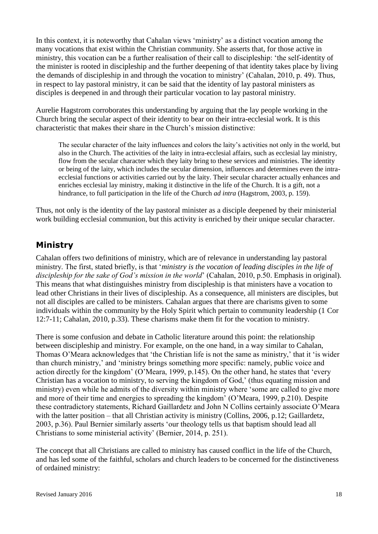In this context, it is noteworthy that Cahalan views 'ministry' as a distinct vocation among the many vocations that exist within the Christian community. She asserts that, for those active in ministry, this vocation can be a further realisation of their call to discipleship: 'the self-identity of the minister is rooted in discipleship and the further deepening of that identity takes place by living the demands of discipleship in and through the vocation to ministry' (Cahalan, 2010, p. 49). Thus, in respect to lay pastoral ministry, it can be said that the identity of lay pastoral ministers as disciples is deepened in and through their particular vocation to lay pastoral ministry.

Aurelie Hagstrom corroborates this understanding by arguing that the lay people working in the Church bring the secular aspect of their identity to bear on their intra-ecclesial work. It is this characteristic that makes their share in the Church's mission distinctive:

The secular character of the laity influences and colors the laity's activities not only in the world, but also in the Church. The activities of the laity in intra-ecclesial affairs, such as ecclesial lay ministry, flow from the secular character which they laity bring to these services and ministries. The identity or being of the laity, which includes the secular dimension, influences and determines even the intraecclesial functions or activities carried out by the laity. Their secular character actually enhances and enriches ecclesial lay ministry, making it distinctive in the life of the Church. It is a gift, not a hindrance, to full participation in the life of the Church *ad intra* (Hagstrom, 2003, p. 159).

Thus, not only is the identity of the lay pastoral minister as a disciple deepened by their ministerial work building ecclesial communion, but this activity is enriched by their unique secular character.

#### **Ministry**

Cahalan offers two definitions of ministry, which are of relevance in understanding lay pastoral ministry. The first, stated briefly, is that '*ministry is the vocation of leading disciples in the life of discipleship for the sake of God's mission in the world*' (Cahalan, 2010, p.50. Emphasis in original). This means that what distinguishes ministry from discipleship is that ministers have a vocation to lead other Christians in their lives of discipleship. As a consequence, all ministers are disciples, but not all disciples are called to be ministers. Cahalan argues that there are charisms given to some individuals within the community by the Holy Spirit which pertain to community leadership (1 Cor 12:7-11; Cahalan, 2010, p.33). These charisms make them fit for the vocation to ministry.

There is some confusion and debate in Catholic literature around this point: the relationship between discipleship and ministry. For example, on the one hand, in a way similar to Cahalan, Thomas O'Meara acknowledges that 'the Christian life is not the same as ministry,' that it 'is wider than church ministry,' and 'ministry brings something more specific: namely, public voice and action directly for the kingdom' (O'Meara, 1999, p.145). On the other hand, he states that 'every Christian has a vocation to ministry, to serving the kingdom of God,' (thus equating mission and ministry) even while he admits of the diversity within ministry where 'some are called to give more and more of their time and energies to spreading the kingdom' (O'Meara, 1999, p.210). Despite these contradictory statements, Richard Gaillardetz and John N Collins certainly associate O'Meara with the latter position – that all Christian activity is ministry (Collins, 2006, p.12; Gaillardetz, 2003, p.36). Paul Bernier similarly asserts 'our theology tells us that baptism should lead all Christians to some ministerial activity' (Bernier, 2014, p. 251).

The concept that all Christians are called to ministry has caused conflict in the life of the Church, and has led some of the faithful, scholars and church leaders to be concerned for the distinctiveness of ordained ministry: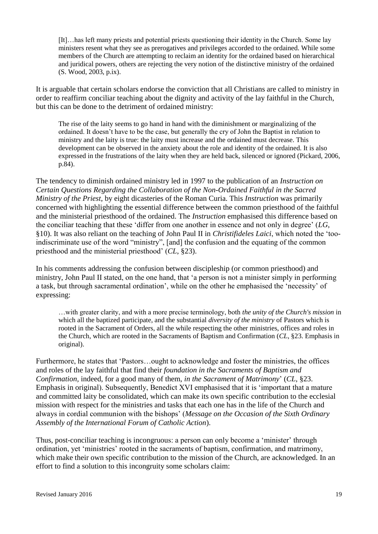[It]…has left many priests and potential priests questioning their identity in the Church. Some lay ministers resent what they see as prerogatives and privileges accorded to the ordained. While some members of the Church are attempting to reclaim an identity for the ordained based on hierarchical and juridical powers, others are rejecting the very notion of the distinctive ministry of the ordained (S. Wood, 2003, p.ix).

It is arguable that certain scholars endorse the conviction that all Christians are called to ministry in order to reaffirm conciliar teaching about the dignity and activity of the lay faithful in the Church, but this can be done to the detriment of ordained ministry:

The rise of the laity seems to go hand in hand with the diminishment or marginalizing of the ordained. It doesn't have to be the case, but generally the cry of John the Baptist in relation to ministry and the laity is true: the laity must increase and the ordained must decrease. This development can be observed in the anxiety about the role and identity of the ordained. It is also expressed in the frustrations of the laity when they are held back, silenced or ignored (Pickard, 2006, p.84).

The tendency to diminish ordained ministry led in 1997 to the publication of an *Instruction on Certain Questions Regarding the Collaboration of the Non-Ordained Faithful in the Sacred Ministry of the Priest*, by eight dicasteries of the Roman Curia. This *Instruction* was primarily concerned with highlighting the essential difference between the common priesthood of the faithful and the ministerial priesthood of the ordained. The *Instruction* emphasised this difference based on the conciliar teaching that these 'differ from one another in essence and not only in degree' (*LG*, §10). It was also reliant on the teaching of John Paul II in *Christifideles Laici*, which noted the 'tooindiscriminate use of the word "ministry", [and] the confusion and the equating of the common priesthood and the ministerial priesthood' (*CL*, §23).

In his comments addressing the confusion between discipleship (or common priesthood) and ministry, John Paul II stated, on the one hand, that 'a person is not a minister simply in performing a task, but through sacramental ordination', while on the other he emphasised the 'necessity' of expressing:

…with greater clarity, and with a more precise terminology, both *the unity of the Church's mission* in which all the baptized participate, and the substantial *diversity of the ministry* of Pastors which is rooted in the Sacrament of Orders, all the while respecting the other ministries, offices and roles in the Church, which are rooted in the Sacraments of Baptism and Confirmation (*CL*, §23. Emphasis in original).

Furthermore, he states that 'Pastors…ought to acknowledge and foster the ministries, the offices and roles of the lay faithful that find their *foundation in the Sacraments of Baptism and Confirmation,* indeed, for a good many of them, *in the Sacrament of Matrimony*' (*CL*, §23. Emphasis in original). Subsequently, Benedict XVI emphasised that it is 'important that a mature and committed laity be consolidated, which can make its own specific contribution to the ecclesial mission with respect for the ministries and tasks that each one has in the life of the Church and always in cordial communion with the bishops' (*Message on the Occasion of the Sixth Ordinary Assembly of the International Forum of Catholic Action*).

Thus, post-conciliar teaching is incongruous: a person can only become a 'minister' through ordination, yet 'ministries' rooted in the sacraments of baptism, confirmation, and matrimony, which make their own specific contribution to the mission of the Church, are acknowledged. In an effort to find a solution to this incongruity some scholars claim: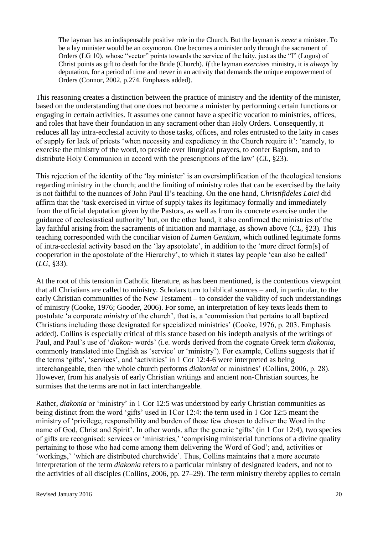The layman has an indispensable positive role in the Church. But the layman is *never* a minister. To be a lay minister would be an oxymoron. One becomes a minister only through the sacrament of Orders (LG 10), whose "vector" points towards the service of the laity, just as the "I" (Logos) of Christ points as gift to death for the Bride (Church). *If* the layman *exercises* ministry, it is *always* by deputation, for a period of time and never in an activity that demands the unique empowerment of Orders (Connor, 2002, p.274. Emphasis added).

This reasoning creates a distinction between the practice of ministry and the identity of the minister, based on the understanding that one does not become a minister by performing certain functions or engaging in certain activities. It assumes one cannot have a specific vocation to ministries, offices, and roles that have their foundation in any sacrament other than Holy Orders. Consequently, it reduces all lay intra-ecclesial activity to those tasks, offices, and roles entrusted to the laity in cases of supply for lack of priests 'when necessity and expediency in the Church require it': 'namely, to exercise the ministry of the word, to preside over liturgical prayers, to confer Baptism, and to distribute Holy Communion in accord with the prescriptions of the law' (*CL*, §23).

This rejection of the identity of the 'lay minister' is an oversimplification of the theological tensions regarding ministry in the church; and the limiting of ministry roles that can be exercised by the laity is not faithful to the nuances of John Paul II's teaching. On the one hand, *Christifideles Laici* did affirm that the 'task exercised in virtue of supply takes its legitimacy formally and immediately from the official deputation given by the Pastors, as well as from its concrete exercise under the guidance of ecclesiastical authority' but, on the other hand, it also confirmed the ministries of the lay faithful arising from the sacraments of initiation and marriage, as shown above (*CL*, §23). This teaching corresponded with the conciliar vision of *Lumen Gentium*, which outlined legitimate forms of intra-ecclesial activity based on the 'lay apsotolate', in addition to the 'more direct form[s] of cooperation in the apostolate of the Hierarchy', to which it states lay people 'can also be called' (*LG*, §33).

At the root of this tension in Catholic literature, as has been mentioned, is the contentious viewpoint that all Christians are called to ministry. Scholars turn to biblical sources – and, in particular, to the early Christian communities of the New Testament – to consider the validity of such understandings of ministry (Cooke, 1976; Gooder, 2006). For some, an interpretation of key texts leads them to postulate 'a corporate *ministry* of the church', that is, a 'commission that pertains to all baptized Christians including those designated for specialized ministries' (Cooke, 1976, p. 203. Emphasis added). Collins is especially critical of this stance based on his indepth analysis of the writings of Paul, and Paul's use of '*diakon-* words' (i.e. words derived from the cognate Greek term *diakonia*, commonly translated into English as 'service' or 'ministry'). For example, Collins suggests that if the terms 'gifts', 'services', and 'activities' in 1 Cor 12:4-6 were interpreted as being interchangeable, then 'the whole church performs *diakoniai* or ministries' (Collins, 2006, p. 28). However, from his analysis of early Christian writings and ancient non-Christian sources, he surmises that the terms are not in fact interchangeable.

Rather, *diakonia* or 'ministry' in 1 Cor 12:5 was understood by early Christian communities as being distinct from the word 'gifts' used in 1Cor 12:4: the term used in 1 Cor 12:5 meant the ministry of 'privilege, responsibility and burden of those few chosen to deliver the Word in the name of God, Christ and Spirit'. In other words, after the generic 'gifts' (in 1 Cor 12:4), two species of gifts are recognised: services or 'ministries,' 'comprising ministerial functions of a divine quality pertaining to those who had come among them delivering the Word of God'; and, activities or 'workings,' 'which are distributed churchwide'. Thus, Collins maintains that a more accurate interpretation of the term *diakonia* refers to a particular ministry of designated leaders, and not to the activities of all disciples (Collins, 2006, pp. 27–29). The term ministry thereby applies to certain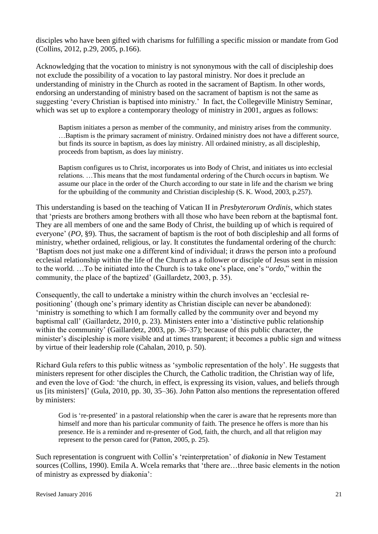disciples who have been gifted with charisms for fulfilling a specific mission or mandate from God (Collins, 2012, p.29, 2005, p.166).

Acknowledging that the vocation to ministry is not synonymous with the call of discipleship does not exclude the possibility of a vocation to lay pastoral ministry. Nor does it preclude an understanding of ministry in the Church as rooted in the sacrament of Baptism. In other words, endorsing an understanding of ministry based on the sacrament of baptism is not the same as suggesting 'every Christian is baptised into ministry.' In fact, the Collegeville Ministry Seminar, which was set up to explore a contemporary theology of ministry in 2001, argues as follows:

Baptism initiates a person as member of the community, and ministry arises from the community. …Baptism is the primary sacrament of ministry. Ordained ministry does not have a different source, but finds its source in baptism, as does lay ministry. All ordained ministry, as all discipleship, proceeds from baptism, as does lay ministry.

Baptism configures us to Christ, incorporates us into Body of Christ, and initiates us into ecclesial relations. …This means that the most fundamental ordering of the Church occurs in baptism. We assume our place in the order of the Church according to our state in life and the charism we bring for the upbuilding of the community and Christian discipleship (S. K. Wood, 2003, p.257).

This understanding is based on the teaching of Vatican II in *Presbyterorum Ordinis*, which states that 'priests are brothers among brothers with all those who have been reborn at the baptismal font. They are all members of one and the same Body of Christ, the building up of which is required of everyone' (*PO*, §9). Thus, the sacrament of baptism is the root of both discipleship and all forms of ministry, whether ordained, religious, or lay. It constitutes the fundamental ordering of the church: 'Baptism does not just make one a different kind of individual; it draws the person into a profound ecclesial relationship within the life of the Church as a follower or disciple of Jesus sent in mission to the world. …To be initiated into the Church is to take one's place, one's "*ordo*," within the community, the place of the baptized' (Gaillardetz, 2003, p. 35).

Consequently, the call to undertake a ministry within the church involves an 'ecclesial repositioning' (though one's primary identity as Christian disciple can never be abandoned): 'ministry is something to which I am formally called by the community over and beyond my baptismal call' (Gaillardetz, 2010, p. 23). Ministers enter into a 'distinctive public relationship within the community' (Gaillardetz, 2003, pp. 36–37); because of this public character, the minister's discipleship is more visible and at times transparent; it becomes a public sign and witness by virtue of their leadership role (Cahalan, 2010, p. 50).

Richard Gula refers to this public witness as 'symbolic representation of the holy'. He suggests that ministers represent for other disciples the Church, the Catholic tradition, the Christian way of life, and even the love of God: 'the church, in effect, is expressing its vision, values, and beliefs through us [its ministers]' (Gula, 2010, pp. 30, 35–36). John Patton also mentions the representation offered by ministers:

God is 're-presented' in a pastoral relationship when the carer is aware that he represents more than himself and more than his particular community of faith. The presence he offers is more than his presence. He is a reminder and re-presenter of God, faith, the church, and all that religion may represent to the person cared for (Patton, 2005, p. 25).

Such representation is congruent with Collin's 'reinterpretation' of *diakonia* in New Testament sources (Collins, 1990). Emila A. Wcela remarks that 'there are…three basic elements in the notion of ministry as expressed by diakonia':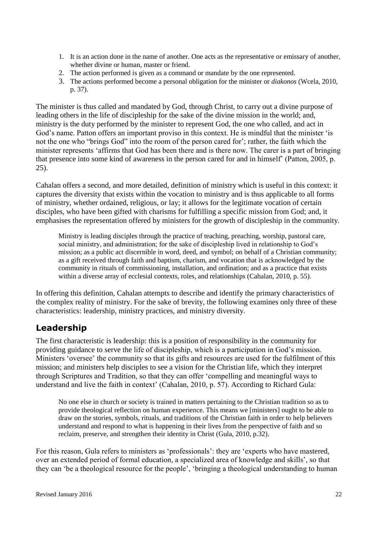- 1. It is an action done in the name of another. One acts as the representative or emissary of another, whether divine or human, master or friend.
- 2. The action performed is given as a command or mandate by the one represented.
- 3. The actions performed become a personal obligation for the minister or *diakonos* (Wcela, 2010, p. 37).

The minister is thus called and mandated by God, through Christ, to carry out a divine purpose of leading others in the life of discipleship for the sake of the divine mission in the world; and, ministry is the duty performed by the minister to represent God, the one who called, and act in God's name. Patton offers an important proviso in this context. He is mindful that the minister 'is not the one who "brings God" into the room of the person cared for'; rather, the faith which the minister represents 'affirms that God has been there and is there now. The carer is a part of bringing that presence into some kind of awareness in the person cared for and in himself' (Patton, 2005, p. 25).

Cahalan offers a second, and more detailed, definition of ministry which is useful in this context: it captures the diversity that exists within the vocation to ministry and is thus applicable to all forms of ministry, whether ordained, religious, or lay; it allows for the legitimate vocation of certain disciples, who have been gifted with charisms for fulfilling a specific mission from God; and, it emphasises the representation offered by ministers for the growth of discipleship in the community.

Ministry is leading disciples through the practice of teaching, preaching, worship, pastoral care, social ministry, and administration; for the sake of discipleship lived in relationship to God's mission; as a public act discernible in word, deed, and symbol; on behalf of a Christian community; as a gift received through faith and baptism, charism, and vocation that is acknowledged by the community in rituals of commissioning, installation, and ordination; and as a practice that exists within a diverse array of ecclesial contexts, roles, and relationships (Cahalan, 2010, p. 55).

In offering this definition, Cahalan attempts to describe and identify the primary characteristics of the complex reality of ministry. For the sake of brevity, the following examines only three of these characteristics: leadership, ministry practices, and ministry diversity.

#### **Leadership**

The first characteristic is leadership: this is a position of responsibility in the community for providing guidance to serve the life of discipleship, which is a participation in God's mission. Ministers 'oversee' the community so that its gifts and resources are used for the fulfilment of this mission; and ministers help disciples to see a vision for the Christian life, which they interpret through Scriptures and Tradition, so that they can offer 'compelling and meaningful ways to understand and live the faith in context' (Cahalan, 2010, p. 57). According to Richard Gula:

No one else in church or society is trained in matters pertaining to the Christian tradition so as to provide theological reflection on human experience. This means we [ministers] ought to be able to draw on the stories, symbols, rituals, and traditions of the Christian faith in order to help believers understand and respond to what is happening in their lives from the perspective of faith and so reclaim, preserve, and strengthen their identity in Christ (Gula, 2010, p.32).

For this reason, Gula refers to ministers as 'professionals': they are 'experts who have mastered, over an extended period of formal education, a specialized area of knowledge and skills', so that they can 'be a theological resource for the people', 'bringing a theological understanding to human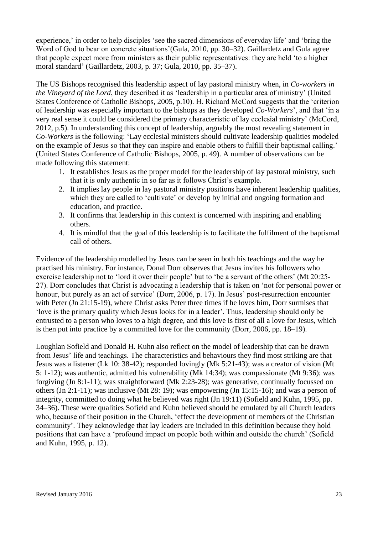experience,' in order to help disciples 'see the sacred dimensions of everyday life' and 'bring the Word of God to bear on concrete situations'(Gula, 2010, pp. 30–32). Gaillardetz and Gula agree that people expect more from ministers as their public representatives: they are held 'to a higher moral standard' (Gaillardetz, 2003, p. 37; Gula, 2010, pp. 35–37).

The US Bishops recognised this leadership aspect of lay pastoral ministry when, in *Co-workers in the Vineyard of the Lord*, they described it as 'leadership in a particular area of ministry' (United States Conference of Catholic Bishops, 2005, p.10). H. Richard McCord suggests that the 'criterion of leadership was especially important to the bishops as they developed *Co-Workers*', and that 'in a very real sense it could be considered the primary characteristic of lay ecclesial ministry' (McCord, 2012, p.5). In understanding this concept of leadership, arguably the most revealing statement in *Co-Workers* is the following: 'Lay ecclesial ministers should cultivate leadership qualities modeled on the example of Jesus so that they can inspire and enable others to fulfill their baptismal calling.' (United States Conference of Catholic Bishops, 2005, p. 49). A number of observations can be made following this statement:

- 1. It establishes Jesus as the proper model for the leadership of lay pastoral ministry, such that it is only authentic in so far as it follows Christ's example.
- 2. It implies lay people in lay pastoral ministry positions have inherent leadership qualities, which they are called to 'cultivate' or develop by initial and ongoing formation and education, and practice.
- 3. It confirms that leadership in this context is concerned with inspiring and enabling others.
- 4. It is mindful that the goal of this leadership is to facilitate the fulfilment of the baptismal call of others.

Evidence of the leadership modelled by Jesus can be seen in both his teachings and the way he practised his ministry. For instance, Donal Dorr observes that Jesus invites his followers who exercise leadership not to 'lord it over their people' but to 'be a servant of the others' (Mt 20:25- 27). Dorr concludes that Christ is advocating a leadership that is taken on 'not for personal power or honour, but purely as an act of service' (Dorr, 2006, p. 17). In Jesus' post-resurrection encounter with Peter (Jn 21:15-19), where Christ asks Peter three times if he loves him, Dorr surmises that 'love is the primary quality which Jesus looks for in a leader'. Thus, leadership should only be entrusted to a person who loves to a high degree, and this love is first of all a love for Jesus, which is then put into practice by a committed love for the community (Dorr, 2006, pp. 18–19).

Loughlan Sofield and Donald H. Kuhn also reflect on the model of leadership that can be drawn from Jesus' life and teachings. The characteristics and behaviours they find most striking are that Jesus was a listener (Lk 10: 38-42); responded lovingly (Mk 5:21-43); was a creator of vision (Mt 5: 1-12); was authentic, admitted his vulnerability (Mk 14:34); was compassionate (Mt 9:36); was forgiving (Jn 8:1-11); was straightforward (Mk 2:23-28); was generative, continually focussed on others (Jn 2:1-11); was inclusive (Mt 28: 19); was empowering (Jn 15:15-16); and was a person of integrity, committed to doing what he believed was right (Jn 19:11) (Sofield and Kuhn, 1995, pp. 34–36). These were qualities Sofield and Kuhn believed should be emulated by all Church leaders who, because of their position in the Church, 'effect the development of members of the Christian community'. They acknowledge that lay leaders are included in this definition because they hold positions that can have a 'profound impact on people both within and outside the church' (Sofield and Kuhn, 1995, p. 12).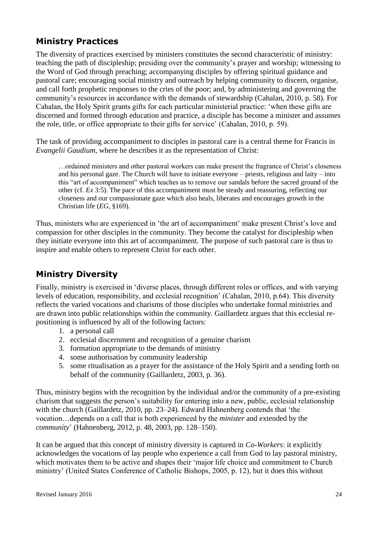## **Ministry Practices**

The diversity of practices exercised by ministers constitutes the second characteristic of ministry: teaching the path of discipleship; presiding over the community's prayer and worship; witnessing to the Word of God through preaching; accompanying disciples by offering spiritual guidance and pastoral care; encouraging social ministry and outreach by helping community to discern, organise, and call forth prophetic responses to the cries of the poor; and, by administering and governing the community's resources in accordance with the demands of stewardship (Cahalan, 2010, p. 58). For Cahalan, the Holy Spirit grants gifts for each particular ministerial practice: 'when these gifts are discerned and formed through education and practice, a disciple has become a minister and assumes the role, title, or office appropriate to their gifts for service' (Cahalan, 2010, p. 59).

The task of providing accompaniment to disciples in pastoral care is a central theme for Francis in *Evangelii Gaudium*, where he describes it as the representation of Christ:

…ordained ministers and other pastoral workers can make present the fragrance of Christ's closeness and his personal gaze. The Church will have to initiate everyone – priests, religious and laity – into this "art of accompaniment" which teaches us to remove our sandals before the sacred ground of the other (cf. *Ex* 3:5). The pace of this accompaniment must be steady and reassuring, reflecting our closeness and our compassionate gaze which also heals, liberates and encourages growth in the Christian life (*EG*, §169).

Thus, ministers who are experienced in 'the art of accompaniment' make present Christ's love and compassion for other disciples in the community. They become the catalyst for discipleship when they initiate everyone into this art of accompaniment. The purpose of such pastoral care is thus to inspire and enable others to represent Christ for each other.

## **Ministry Diversity**

Finally, ministry is exercised in 'diverse places, through different roles or offices, and with varying levels of education, responsibility, and ecclesial recognition' (Cahalan, 2010, p.64). This diversity reflects the varied vocations and charisms of those disciples who undertake formal ministries and are drawn into public relationships within the community. Gaillardetz argues that this ecclesial repositioning is influenced by all of the following factors:

- 1. a personal call
- 2. ecclesial discernment and recognition of a genuine charism
- 3. formation appropriate to the demands of ministry
- 4. some authorisation by community leadership
- 5. some ritualisation as a prayer for the assistance of the Holy Spirit and a sending forth on behalf of the community (Gaillardetz, 2003, p. 36).

Thus, ministry begins with the recognition by the individual and/or the community of a pre-existing charism that suggests the person's suitability for entering into a new, public, ecclesial relationship with the church (Gaillardetz, 2010, pp. 23–24). Edward Hahnenberg contends that 'the vocation…depends on a call that is both experienced by the *minister* and extended by the *community*' (Hahnenberg, 2012, p. 48, 2003, pp. 128–150).

It can be argued that this concept of ministry diversity is captured in *Co-Workers*: it explicitly acknowledges the vocations of lay people who experience a call from God to lay pastoral ministry, which motivates them to be active and shapes their 'major life choice and commitment to Church ministry' (United States Conference of Catholic Bishops, 2005, p. 12), but it does this without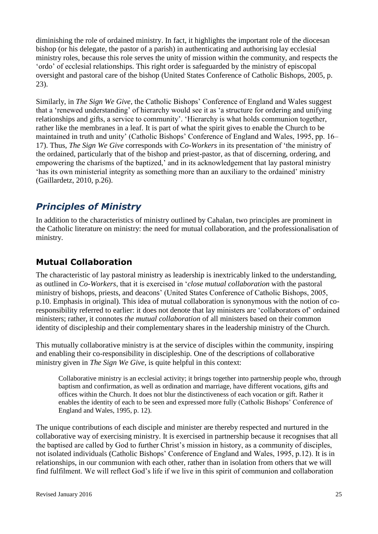diminishing the role of ordained ministry. In fact, it highlights the important role of the diocesan bishop (or his delegate, the pastor of a parish) in authenticating and authorising lay ecclesial ministry roles, because this role serves the unity of mission within the community, and respects the 'ordo' of ecclesial relationships. This right order is safeguarded by the ministry of episcopal oversight and pastoral care of the bishop (United States Conference of Catholic Bishops, 2005, p. 23).

Similarly, in *The Sign We Give*, the Catholic Bishops' Conference of England and Wales suggest that a 'renewed understanding' of hierarchy would see it as 'a structure for ordering and unifying relationships and gifts, a service to community'. 'Hierarchy is what holds communion together, rather like the membranes in a leaf. It is part of what the spirit gives to enable the Church to be maintained in truth and unity' (Catholic Bishops' Conference of England and Wales, 1995, pp. 16– 17). Thus, *The Sign We Give* corresponds with *Co-Workers* in its presentation of 'the ministry of the ordained, particularly that of the bishop and priest-pastor, as that of discerning, ordering, and empowering the charisms of the baptized,' and in its acknowledgement that lay pastoral ministry 'has its own ministerial integrity as something more than an auxiliary to the ordained' ministry (Gaillardetz, 2010, p.26).

# *Principles of Ministry*

In addition to the characteristics of ministry outlined by Cahalan, two principles are prominent in the Catholic literature on ministry: the need for mutual collaboration, and the professionalisation of ministry.

### **Mutual Collaboration**

The characteristic of lay pastoral ministry as leadership is inextricably linked to the understanding, as outlined in *Co-Workers*, that it is exercised in '*close mutual collaboration* with the pastoral ministry of bishops, priests, and deacons' (United States Conference of Catholic Bishops, 2005, p.10. Emphasis in original). This idea of mutual collaboration is synonymous with the notion of coresponsibility referred to earlier: it does not denote that lay ministers are 'collaborators of' ordained ministers; rather, it connotes *the mutual collaboration* of all ministers based on their common identity of discipleship and their complementary shares in the leadership ministry of the Church.

This mutually collaborative ministry is at the service of disciples within the community, inspiring and enabling their co-responsibility in discipleship. One of the descriptions of collaborative ministry given in *The Sign We Give*, is quite helpful in this context:

Collaborative ministry is an ecclesial activity; it brings together into partnership people who, through baptism and confirmation, as well as ordination and marriage, have different vocations, gifts and offices within the Church. It does not blur the distinctiveness of each vocation or gift. Rather it enables the identity of each to be seen and expressed more fully (Catholic Bishops' Conference of England and Wales, 1995, p. 12).

The unique contributions of each disciple and minister are thereby respected and nurtured in the collaborative way of exercising ministry. It is exercised in partnership because it recognises that all the baptised are called by God to further Christ's mission in history, as a community of disciples, not isolated individuals (Catholic Bishops' Conference of England and Wales, 1995, p.12). It is in relationships, in our communion with each other, rather than in isolation from others that we will find fulfilment. We will reflect God's life if we live in this spirit of communion and collaboration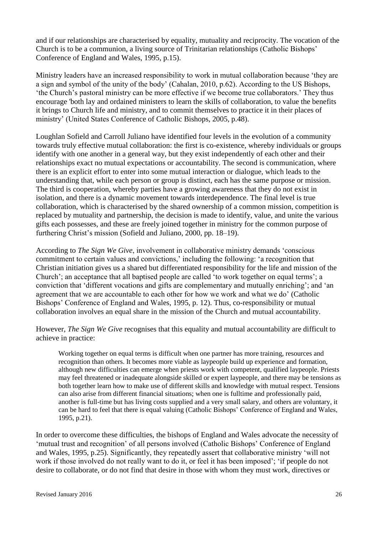and if our relationships are characterised by equality, mutuality and reciprocity. The vocation of the Church is to be a communion, a living source of Trinitarian relationships (Catholic Bishops' Conference of England and Wales, 1995, p.15).

Ministry leaders have an increased responsibility to work in mutual collaboration because 'they are a sign and symbol of the unity of the body' (Cahalan, 2010, p.62). According to the US Bishops, 'the Church's pastoral ministry can be more effective if we become true collaborators.' They thus encourage 'both lay and ordained ministers to learn the skills of collaboration, to value the benefits it brings to Church life and ministry, and to commit themselves to practice it in their places of ministry' (United States Conference of Catholic Bishops, 2005, p.48).

Loughlan Sofield and Carroll Juliano have identified four levels in the evolution of a community towards truly effective mutual collaboration: the first is co-existence, whereby individuals or groups identify with one another in a general way, but they exist independently of each other and their relationships exact no mutual expectations or accountability. The second is communication, where there is an explicit effort to enter into some mutual interaction or dialogue, which leads to the understanding that, while each person or group is distinct, each has the same purpose or mission. The third is cooperation, whereby parties have a growing awareness that they do not exist in isolation, and there is a dynamic movement towards interdependence. The final level is true collaboration, which is characterised by the shared ownership of a common mission, competition is replaced by mutuality and partnership, the decision is made to identify, value, and unite the various gifts each possesses, and these are freely joined together in ministry for the common purpose of furthering Christ's mission (Sofield and Juliano, 2000, pp. 18–19).

According to *The Sign We Give*, involvement in collaborative ministry demands 'conscious commitment to certain values and convictions,' including the following: 'a recognition that Christian initiation gives us a shared but differentiated responsibility for the life and mission of the Church'; an acceptance that all baptised people are called 'to work together on equal terms'; a conviction that 'different vocations and gifts are complementary and mutually enriching'; and 'an agreement that we are accountable to each other for how we work and what we do' (Catholic Bishops' Conference of England and Wales, 1995, p. 12). Thus, co-responsibility or mutual collaboration involves an equal share in the mission of the Church and mutual accountability.

However, *The Sign We Give* recognises that this equality and mutual accountability are difficult to achieve in practice:

Working together on equal terms is difficult when one partner has more training, resources and recognition than others. It becomes more viable as laypeople build up experience and formation, although new difficulties can emerge when priests work with competent, qualified laypeople. Priests may feel threatened or inadequate alongside skilled or expert laypeople, and there may be tensions as both together learn how to make use of different skills and knowledge with mutual respect. Tensions can also arise from different financial situations; when one is fulltime and professionally paid, another is full-time but has living costs supplied and a very small salary, and others are voluntary, it can be hard to feel that there is equal valuing (Catholic Bishops' Conference of England and Wales, 1995, p.21).

In order to overcome these difficulties, the bishops of England and Wales advocate the necessity of 'mutual trust and recognition' of all persons involved (Catholic Bishops' Conference of England and Wales, 1995, p.25). Significantly, they repeatedly assert that collaborative ministry 'will not work if those involved do not really want to do it, or feel it has been imposed'; 'if people do not desire to collaborate, or do not find that desire in those with whom they must work, directives or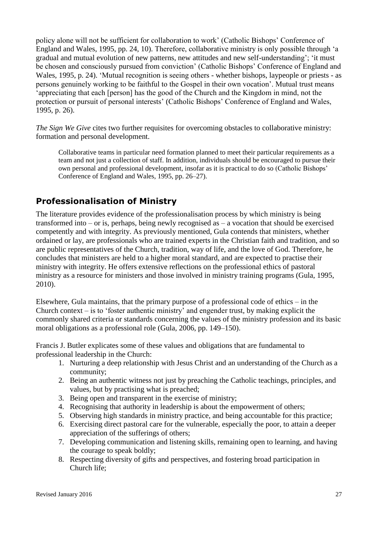policy alone will not be sufficient for collaboration to work' (Catholic Bishops' Conference of England and Wales, 1995, pp. 24, 10). Therefore, collaborative ministry is only possible through 'a gradual and mutual evolution of new patterns, new attitudes and new self-understanding'; 'it must be chosen and consciously pursued from conviction' (Catholic Bishops' Conference of England and Wales, 1995, p. 24). 'Mutual recognition is seeing others - whether bishops, laypeople or priests - as persons genuinely working to be faithful to the Gospel in their own vocation'. Mutual trust means 'appreciating that each [person] has the good of the Church and the Kingdom in mind, not the protection or pursuit of personal interests' (Catholic Bishops' Conference of England and Wales, 1995, p. 26).

*The Sign We Give* cites two further requisites for overcoming obstacles to collaborative ministry: formation and personal development.

Collaborative teams in particular need formation planned to meet their particular requirements as a team and not just a collection of staff. In addition, individuals should be encouraged to pursue their own personal and professional development, insofar as it is practical to do so (Catholic Bishops' Conference of England and Wales, 1995, pp. 26–27).

#### **Professionalisation of Ministry**

The literature provides evidence of the professionalisation process by which ministry is being transformed into – or is, perhaps, being newly recognised as – a vocation that should be exercised competently and with integrity. As previously mentioned, Gula contends that ministers, whether ordained or lay, are professionals who are trained experts in the Christian faith and tradition, and so are public representatives of the Church, tradition, way of life, and the love of God. Therefore, he concludes that ministers are held to a higher moral standard, and are expected to practise their ministry with integrity. He offers extensive reflections on the professional ethics of pastoral ministry as a resource for ministers and those involved in ministry training programs (Gula, 1995, 2010).

Elsewhere, Gula maintains, that the primary purpose of a professional code of ethics – in the Church context – is to 'foster authentic ministry' and engender trust, by making explicit the commonly shared criteria or standards concerning the values of the ministry profession and its basic moral obligations as a professional role (Gula, 2006, pp. 149–150).

Francis J. Butler explicates some of these values and obligations that are fundamental to professional leadership in the Church:

- 1. Nurturing a deep relationship with Jesus Christ and an understanding of the Church as a community;
- 2. Being an authentic witness not just by preaching the Catholic teachings, principles, and values, but by practising what is preached;
- 3. Being open and transparent in the exercise of ministry;
- 4. Recognising that authority in leadership is about the empowerment of others;
- 5. Observing high standards in ministry practice, and being accountable for this practice;
- 6. Exercising direct pastoral care for the vulnerable, especially the poor, to attain a deeper appreciation of the sufferings of others;
- 7. Developing communication and listening skills, remaining open to learning, and having the courage to speak boldly;
- 8. Respecting diversity of gifts and perspectives, and fostering broad participation in Church life;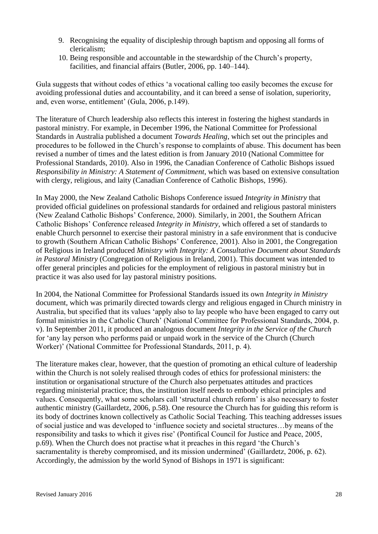- 9. Recognising the equality of discipleship through baptism and opposing all forms of clericalism;
- 10. Being responsible and accountable in the stewardship of the Church's property, facilities, and financial affairs (Butler, 2006, pp. 140–144).

Gula suggests that without codes of ethics 'a vocational calling too easily becomes the excuse for avoiding professional duties and accountability, and it can breed a sense of isolation, superiority, and, even worse, entitlement' (Gula, 2006, p.149).

The literature of Church leadership also reflects this interest in fostering the highest standards in pastoral ministry. For example, in December 1996, the National Committee for Professional Standards in Australia published a document *Towards Healing*, which set out the principles and procedures to be followed in the Church's response to complaints of abuse. This document has been revised a number of times and the latest edition is from January 2010 (National Committee for Professional Standards, 2010). Also in 1996, the Canadian Conference of Catholic Bishops issued *Responsibility in Ministry: A Statement of Commitment*, which was based on extensive consultation with clergy, religious, and laity (Canadian Conference of Catholic Bishops, 1996).

In May 2000, the New Zealand Catholic Bishops Conference issued *Integrity in Ministry* that provided official guidelines on professional standards for ordained and religious pastoral ministers (New Zealand Catholic Bishops' Conference, 2000). Similarly, in 2001, the Southern African Catholic Bishops' Conference released *Integrity in Ministry*, which offered a set of standards to enable Church personnel to exercise their pastoral ministry in a safe environment that is conducive to growth (Southern African Catholic Bishops' Conference, 2001). Also in 2001, the Congregation of Religious in Ireland produced *Ministry with Integrity: A Consultative Document about Standards in Pastoral Ministry* (Congregation of Religious in Ireland, 2001). This document was intended to offer general principles and policies for the employment of religious in pastoral ministry but in practice it was also used for lay pastoral ministry positions.

In 2004, the National Committee for Professional Standards issued its own *Integrity in Ministry* document, which was primarily directed towards clergy and religious engaged in Church ministry in Australia, but specified that its values 'apply also to lay people who have been engaged to carry out formal ministries in the Catholic Church' (National Committee for Professional Standards, 2004, p. v). In September 2011, it produced an analogous document *Integrity in the Service of the Church*  for 'any lay person who performs paid or unpaid work in the service of the Church (Church Worker)' (National Committee for Professional Standards, 2011, p. 4).

The literature makes clear, however, that the question of promoting an ethical culture of leadership within the Church is not solely realised through codes of ethics for professional ministers: the institution or organisational structure of the Church also perpetuates attitudes and practices regarding ministerial practice; thus, the institution itself needs to embody ethical principles and values. Consequently, what some scholars call 'structural church reform' is also necessary to foster authentic ministry (Gaillardetz, 2006, p.58). One resource the Church has for guiding this reform is its body of doctrines known collectively as Catholic Social Teaching. This teaching addresses issues of social justice and was developed to 'influence society and societal structures…by means of the responsibility and tasks to which it gives rise' (Pontifical Council for Justice and Peace, 2005, p.69). When the Church does not practise what it preaches in this regard 'the Church's sacramentality is thereby compromised, and its mission undermined' (Gaillardetz, 2006, p. 62). Accordingly, the admission by the world Synod of Bishops in 1971 is significant: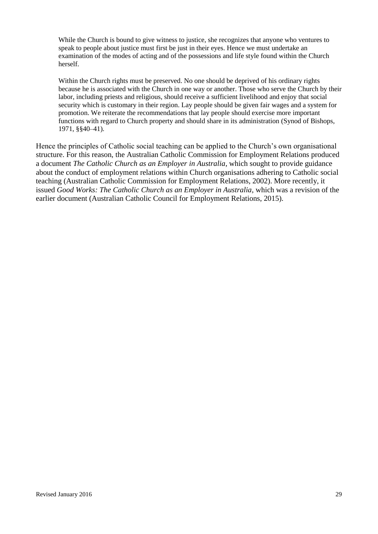While the Church is bound to give witness to justice, she recognizes that anyone who ventures to speak to people about justice must first be just in their eyes. Hence we must undertake an examination of the modes of acting and of the possessions and life style found within the Church herself.

Within the Church rights must be preserved. No one should be deprived of his ordinary rights because he is associated with the Church in one way or another. Those who serve the Church by their labor, including priests and religious, should receive a sufficient livelihood and enjoy that social security which is customary in their region. Lay people should be given fair wages and a system for promotion. We reiterate the recommendations that lay people should exercise more important functions with regard to Church property and should share in its administration (Synod of Bishops, 1971, §§40–41).

Hence the principles of Catholic social teaching can be applied to the Church's own organisational structure. For this reason, the Australian Catholic Commission for Employment Relations produced a document *The Catholic Church as an Employer in Australia*, which sought to provide guidance about the conduct of employment relations within Church organisations adhering to Catholic social teaching (Australian Catholic Commission for Employment Relations, 2002). More recently, it issued *Good Works: The Catholic Church as an Employer in Australia*, which was a revision of the earlier document (Australian Catholic Council for Employment Relations, 2015).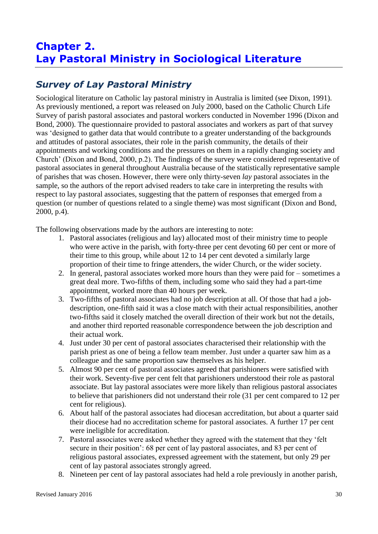# **Chapter 2. Lay Pastoral Ministry in Sociological Literature**

# *Survey of Lay Pastoral Ministry*

Sociological literature on Catholic lay pastoral ministry in Australia is limited (see Dixon, 1991). As previously mentioned, a report was released on July 2000, based on the Catholic Church Life Survey of parish pastoral associates and pastoral workers conducted in November 1996 (Dixon and Bond, 2000). The questionnaire provided to pastoral associates and workers as part of that survey was 'designed to gather data that would contribute to a greater understanding of the backgrounds and attitudes of pastoral associates, their role in the parish community, the details of their appointments and working conditions and the pressures on them in a rapidly changing society and Church' (Dixon and Bond, 2000, p.2). The findings of the survey were considered representative of pastoral associates in general throughout Australia because of the statistically representative sample of parishes that was chosen. However, there were only thirty-seven *lay* pastoral associates in the sample, so the authors of the report advised readers to take care in interpreting the results with respect to lay pastoral associates, suggesting that the pattern of responses that emerged from a question (or number of questions related to a single theme) was most significant (Dixon and Bond, 2000, p.4).

The following observations made by the authors are interesting to note:

- 1. Pastoral associates (religious and lay) allocated most of their ministry time to people who were active in the parish, with forty-three per cent devoting 60 per cent or more of their time to this group, while about 12 to 14 per cent devoted a similarly large proportion of their time to fringe attenders, the wider Church, or the wider society.
- 2. In general, pastoral associates worked more hours than they were paid for sometimes a great deal more. Two-fifths of them, including some who said they had a part-time appointment, worked more than 40 hours per week.
- 3. Two-fifths of pastoral associates had no job description at all. Of those that had a jobdescription, one-fifth said it was a close match with their actual responsibilities, another two-fifths said it closely matched the overall direction of their work but not the details, and another third reported reasonable correspondence between the job description and their actual work.
- 4. Just under 30 per cent of pastoral associates characterised their relationship with the parish priest as one of being a fellow team member. Just under a quarter saw him as a colleague and the same proportion saw themselves as his helper.
- 5. Almost 90 per cent of pastoral associates agreed that parishioners were satisfied with their work. Seventy-five per cent felt that parishioners understood their role as pastoral associate. But lay pastoral associates were more likely than religious pastoral associates to believe that parishioners did not understand their role (31 per cent compared to 12 per cent for religious).
- 6. About half of the pastoral associates had diocesan accreditation, but about a quarter said their diocese had no accreditation scheme for pastoral associates. A further 17 per cent were ineligible for accreditation.
- 7. Pastoral associates were asked whether they agreed with the statement that they 'felt secure in their position': 68 per cent of lay pastoral associates, and 83 per cent of religious pastoral associates, expressed agreement with the statement, but only 29 per cent of lay pastoral associates strongly agreed.
- 8. Nineteen per cent of lay pastoral associates had held a role previously in another parish,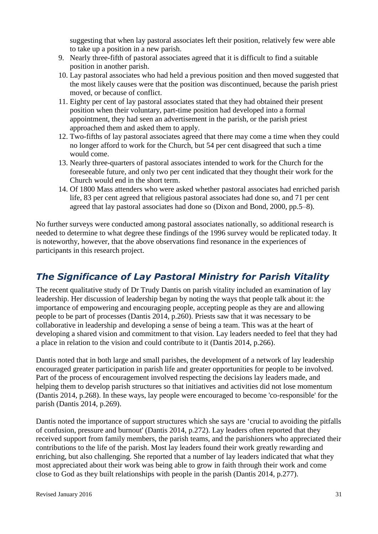suggesting that when lay pastoral associates left their position, relatively few were able to take up a position in a new parish.

- 9. Nearly three-fifth of pastoral associates agreed that it is difficult to find a suitable position in another parish.
- 10. Lay pastoral associates who had held a previous position and then moved suggested that the most likely causes were that the position was discontinued, because the parish priest moved, or because of conflict.
- 11. Eighty per cent of lay pastoral associates stated that they had obtained their present position when their voluntary, part-time position had developed into a formal appointment, they had seen an advertisement in the parish, or the parish priest approached them and asked them to apply.
- 12. Two-fifths of lay pastoral associates agreed that there may come a time when they could no longer afford to work for the Church, but 54 per cent disagreed that such a time would come.
- 13. Nearly three-quarters of pastoral associates intended to work for the Church for the foreseeable future, and only two per cent indicated that they thought their work for the Church would end in the short term.
- 14. Of 1800 Mass attenders who were asked whether pastoral associates had enriched parish life, 83 per cent agreed that religious pastoral associates had done so, and 71 per cent agreed that lay pastoral associates had done so (Dixon and Bond, 2000, pp.5–8).

No further surveys were conducted among pastoral associates nationally, so additional research is needed to determine to what degree these findings of the 1996 survey would be replicated today. It is noteworthy, however, that the above observations find resonance in the experiences of participants in this research project.

## *The Significance of Lay Pastoral Ministry for Parish Vitality*

The recent qualitative study of Dr Trudy Dantis on parish vitality included an examination of lay leadership. Her discussion of leadership began by noting the ways that people talk about it: the importance of empowering and encouraging people, accepting people as they are and allowing people to be part of processes (Dantis 2014, p.260). Priests saw that it was necessary to be collaborative in leadership and developing a sense of being a team. This was at the heart of developing a shared vision and commitment to that vision. Lay leaders needed to feel that they had a place in relation to the vision and could contribute to it (Dantis 2014, p.266).

Dantis noted that in both large and small parishes, the development of a network of lay leadership encouraged greater participation in parish life and greater opportunities for people to be involved. Part of the process of encouragement involved respecting the decisions lay leaders made, and helping them to develop parish structures so that initiatives and activities did not lose momentum (Dantis 2014, p.268). In these ways, lay people were encouraged to become 'co-responsible' for the parish (Dantis 2014, p.269).

Dantis noted the importance of support structures which she says are 'crucial to avoiding the pitfalls of confusion, pressure and burnout' (Dantis 2014, p.272). Lay leaders often reported that they received support from family members, the parish teams, and the parishioners who appreciated their contributions to the life of the parish. Most lay leaders found their work greatly rewarding and enriching, but also challenging. She reported that a number of lay leaders indicated that what they most appreciated about their work was being able to grow in faith through their work and come close to God as they built relationships with people in the parish (Dantis 2014, p.277).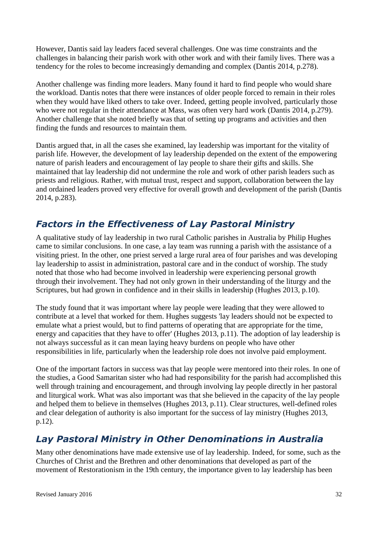However, Dantis said lay leaders faced several challenges. One was time constraints and the challenges in balancing their parish work with other work and with their family lives. There was a tendency for the roles to become increasingly demanding and complex (Dantis 2014, p.278).

Another challenge was finding more leaders. Many found it hard to find people who would share the workload. Dantis notes that there were instances of older people forced to remain in their roles when they would have liked others to take over. Indeed, getting people involved, particularly those who were not regular in their attendance at Mass, was often very hard work (Dantis 2014, p.279). Another challenge that she noted briefly was that of setting up programs and activities and then finding the funds and resources to maintain them.

Dantis argued that, in all the cases she examined, lay leadership was important for the vitality of parish life. However, the development of lay leadership depended on the extent of the empowering nature of parish leaders and encouragement of lay people to share their gifts and skills. She maintained that lay leadership did not undermine the role and work of other parish leaders such as priests and religious. Rather, with mutual trust, respect and support, collaboration between the lay and ordained leaders proved very effective for overall growth and development of the parish (Dantis 2014, p.283).

# *Factors in the Effectiveness of Lay Pastoral Ministry*

A qualitative study of lay leadership in two rural Catholic parishes in Australia by Philip Hughes came to similar conclusions. In one case, a lay team was running a parish with the assistance of a visiting priest. In the other, one priest served a large rural area of four parishes and was developing lay leadership to assist in administration, pastoral care and in the conduct of worship. The study noted that those who had become involved in leadership were experiencing personal growth through their involvement. They had not only grown in their understanding of the liturgy and the Scriptures, but had grown in confidence and in their skills in leadership (Hughes 2013, p.10).

The study found that it was important where lay people were leading that they were allowed to contribute at a level that worked for them. Hughes suggests 'lay leaders should not be expected to emulate what a priest would, but to find patterns of operating that are appropriate for the time, energy and capacities that they have to offer' (Hughes 2013, p.11). The adoption of lay leadership is not always successful as it can mean laying heavy burdens on people who have other responsibilities in life, particularly when the leadership role does not involve paid employment.

One of the important factors in success was that lay people were mentored into their roles. In one of the studies, a Good Samaritan sister who had had responsibility for the parish had accomplished this well through training and encouragement, and through involving lay people directly in her pastoral and liturgical work. What was also important was that she believed in the capacity of the lay people and helped them to believe in themselves (Hughes 2013, p.11). Clear structures, well-defined roles and clear delegation of authority is also important for the success of lay ministry (Hughes 2013, p.12).

## *Lay Pastoral Ministry in Other Denominations in Australia*

Many other denominations have made extensive use of lay leadership. Indeed, for some, such as the Churches of Christ and the Brethren and other denominations that developed as part of the movement of Restorationism in the 19th century, the importance given to lay leadership has been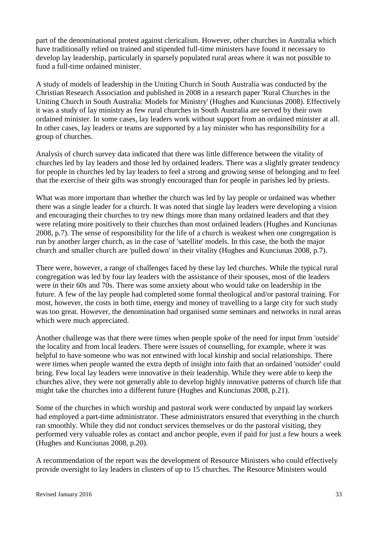part of the denominational protest against clericalism. However, other churches in Australia which have traditionally relied on trained and stipended full-time ministers have found it necessary to develop lay leadership, particularly in sparsely populated rural areas where it was not possible to fund a full-time ordained minister.

A study of models of leadership in the Uniting Church in South Australia was conducted by the Christian Research Association and published in 2008 in a research paper 'Rural Churches in the Uniting Church in South Australia: Models for Ministry' (Hughes and Kunciunas 2008). Effectively it was a study of lay ministry as few rural churches in South Australia are served by their own ordained minister. In some cases, lay leaders work without support from an ordained minister at all. In other cases, lay leaders or teams are supported by a lay minister who has responsibility for a group of churches.

Analysis of church survey data indicated that there was little difference between the vitality of churches led by lay leaders and those led by ordained leaders. There was a slightly greater tendency for people in churches led by lay leaders to feel a strong and growing sense of belonging and to feel that the exercise of their gifts was strongly encouraged than for people in parishes led by priests.

What was more important than whether the church was led by lay people or ordained was whether there was a single leader for a church. It was noted that single lay leaders were developing a vision and encouraging their churches to try new things more than many ordained leaders and that they were relating more positively to their churches than most ordained leaders (Hughes and Kunciunas 2008, p.7). The sense of responsibility for the life of a church is weakest when one congregation is run by another larger church, as in the case of 'satellite' models. In this case, the both the major church and smaller church are 'pulled down' in their vitality (Hughes and Kunciunas 2008, p.7).

There were, however, a range of challenges faced by these lay led churches. While the typical rural congregation was led by four lay leaders with the assistance of their spouses, most of the leaders were in their 60s and 70s. There was some anxiety about who would take on leadership in the future. A few of the lay people had completed some formal theological and/or pastoral training. For most, however, the costs in both time, energy and money of travelling to a large city for such study was too great. However, the denomination had organised some seminars and networks in rural areas which were much appreciated.

Another challenge was that there were times when people spoke of the need for input from 'outside' the locality and from local leaders. There were issues of counselling, for example, where it was helpful to have someone who was not entwined with local kinship and social relationships. There were times when people wanted the extra depth of insight into faith that an ordained 'outsider' could bring. Few local lay leaders were innovative in their leadership. While they were able to keep the churches alive, they were not generally able to develop highly innovative patterns of church life that might take the churches into a different future (Hughes and Kunciunas 2008, p.21).

Some of the churches in which worship and pastoral work were conducted by unpaid lay workers had employed a part-time administrator. These administrators ensured that everything in the church ran smoothly. While they did not conduct services themselves or do the pastoral visiting, they performed very valuable roles as contact and anchor people, even if paid for just a few hours a week (Hughes and Kunciunas 2008, p.20).

A recommendation of the report was the development of Resource Ministers who could effectively provide oversight to lay leaders in clusters of up to 15 churches. The Resource Ministers would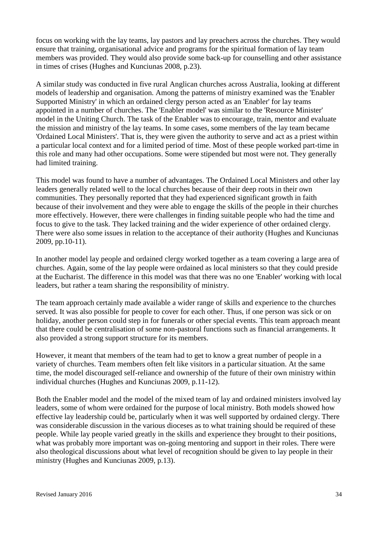focus on working with the lay teams, lay pastors and lay preachers across the churches. They would ensure that training, organisational advice and programs for the spiritual formation of lay team members was provided. They would also provide some back-up for counselling and other assistance in times of crises (Hughes and Kunciunas 2008, p.23).

A similar study was conducted in five rural Anglican churches across Australia, looking at different models of leadership and organisation. Among the patterns of ministry examined was the 'Enabler Supported Ministry' in which an ordained clergy person acted as an 'Enabler' for lay teams appointed in a number of churches. The 'Enabler model' was similar to the 'Resource Minister' model in the Uniting Church. The task of the Enabler was to encourage, train, mentor and evaluate the mission and ministry of the lay teams. In some cases, some members of the lay team became 'Ordained Local Ministers'. That is, they were given the authority to serve and act as a priest within a particular local context and for a limited period of time. Most of these people worked part-time in this role and many had other occupations. Some were stipended but most were not. They generally had limited training.

This model was found to have a number of advantages. The Ordained Local Ministers and other lay leaders generally related well to the local churches because of their deep roots in their own communities. They personally reported that they had experienced significant growth in faith because of their involvement and they were able to engage the skills of the people in their churches more effectively. However, there were challenges in finding suitable people who had the time and focus to give to the task. They lacked training and the wider experience of other ordained clergy. There were also some issues in relation to the acceptance of their authority (Hughes and Kunciunas 2009, pp.10-11).

In another model lay people and ordained clergy worked together as a team covering a large area of churches. Again, some of the lay people were ordained as local ministers so that they could preside at the Eucharist. The difference in this model was that there was no one 'Enabler' working with local leaders, but rather a team sharing the responsibility of ministry.

The team approach certainly made available a wider range of skills and experience to the churches served. It was also possible for people to cover for each other. Thus, if one person was sick or on holiday, another person could step in for funerals or other special events. This team approach meant that there could be centralisation of some non-pastoral functions such as financial arrangements. It also provided a strong support structure for its members.

However, it meant that members of the team had to get to know a great number of people in a variety of churches. Team members often felt like visitors in a particular situation. At the same time, the model discouraged self-reliance and ownership of the future of their own ministry within individual churches (Hughes and Kunciunas 2009, p.11-12).

Both the Enabler model and the model of the mixed team of lay and ordained ministers involved lay leaders, some of whom were ordained for the purpose of local ministry. Both models showed how effective lay leadership could be, particularly when it was well supported by ordained clergy. There was considerable discussion in the various dioceses as to what training should be required of these people. While lay people varied greatly in the skills and experience they brought to their positions, what was probably more important was on-going mentoring and support in their roles. There were also theological discussions about what level of recognition should be given to lay people in their ministry (Hughes and Kunciunas 2009, p.13).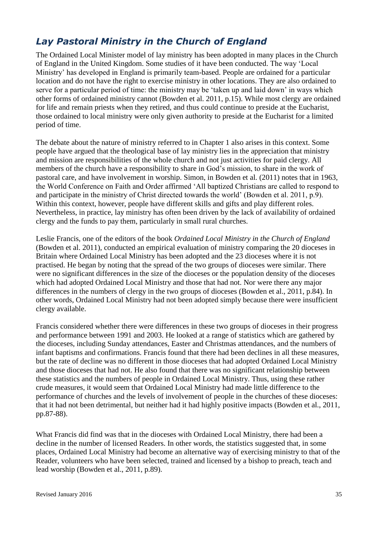## *Lay Pastoral Ministry in the Church of England*

The Ordained Local Minister model of lay ministry has been adopted in many places in the Church of England in the United Kingdom. Some studies of it have been conducted. The way 'Local Ministry' has developed in England is primarily team-based. People are ordained for a particular location and do not have the right to exercise ministry in other locations. They are also ordained to serve for a particular period of time: the ministry may be 'taken up and laid down' in ways which other forms of ordained ministry cannot (Bowden et al. 2011, p.15). While most clergy are ordained for life and remain priests when they retired, and thus could continue to preside at the Eucharist, those ordained to local ministry were only given authority to preside at the Eucharist for a limited period of time.

The debate about the nature of ministry referred to in Chapter 1 also arises in this context. Some people have argued that the theological base of lay ministry lies in the appreciation that ministry and mission are responsibilities of the whole church and not just activities for paid clergy. All members of the church have a responsibility to share in God's mission, to share in the work of pastoral care, and have involvement in worship. Simon, in Bowden et al. (2011) notes that in 1963, the World Conference on Faith and Order affirmed 'All baptized Christians are called to respond to and participate in the ministry of Christ directed towards the world' (Bowden et al. 2011, p.9). Within this context, however, people have different skills and gifts and play different roles. Nevertheless, in practice, lay ministry has often been driven by the lack of availability of ordained clergy and the funds to pay them, particularly in small rural churches.

Leslie Francis, one of the editors of the book *Ordained Local Ministry in the Church of England*  (Bowden et al. 2011)*,* conducted an empirical evaluation of ministry comparing the 20 dioceses in Britain where Ordained Local Ministry has been adopted and the 23 dioceses where it is not practised. He began by noting that the spread of the two groups of dioceses were similar. There were no significant differences in the size of the dioceses or the population density of the dioceses which had adopted Ordained Local Ministry and those that had not. Nor were there any major differences in the numbers of clergy in the two groups of dioceses (Bowden et al., 2011, p.84). In other words, Ordained Local Ministry had not been adopted simply because there were insufficient clergy available.

Francis considered whether there were differences in these two groups of dioceses in their progress and performance between 1991 and 2003. He looked at a range of statistics which are gathered by the dioceses, including Sunday attendances, Easter and Christmas attendances, and the numbers of infant baptisms and confirmations. Francis found that there had been declines in all these measures, but the rate of decline was no different in those dioceses that had adopted Ordained Local Ministry and those dioceses that had not. He also found that there was no significant relationship between these statistics and the numbers of people in Ordained Local Ministry. Thus, using these rather crude measures, it would seem that Ordained Local Ministry had made little difference to the performance of churches and the levels of involvement of people in the churches of these dioceses: that it had not been detrimental, but neither had it had highly positive impacts (Bowden et al., 2011, pp.87-88).

What Francis did find was that in the dioceses with Ordained Local Ministry, there had been a decline in the number of licensed Readers. In other words, the statistics suggested that, in some places, Ordained Local Ministry had become an alternative way of exercising ministry to that of the Reader, volunteers who have been selected, trained and licensed by a bishop to preach, teach and lead worship (Bowden et al., 2011, p.89).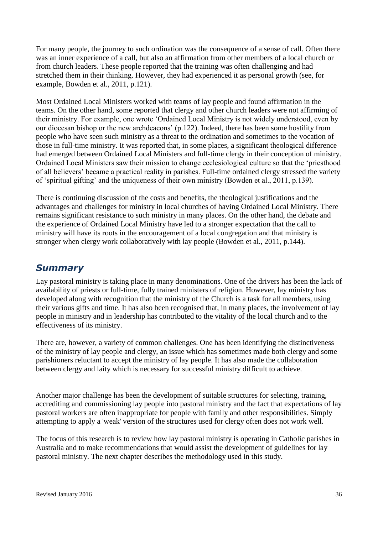For many people, the journey to such ordination was the consequence of a sense of call. Often there was an inner experience of a call, but also an affirmation from other members of a local church or from church leaders. These people reported that the training was often challenging and had stretched them in their thinking. However, they had experienced it as personal growth (see, for example, Bowden et al., 2011, p.121).

Most Ordained Local Ministers worked with teams of lay people and found affirmation in the teams. On the other hand, some reported that clergy and other church leaders were not affirming of their ministry. For example, one wrote 'Ordained Local Ministry is not widely understood, even by our diocesan bishop or the new archdeacons' (p.122). Indeed, there has been some hostility from people who have seen such ministry as a threat to the ordination and sometimes to the vocation of those in full-time ministry. It was reported that, in some places, a significant theological difference had emerged between Ordained Local Ministers and full-time clergy in their conception of ministry. Ordained Local Ministers saw their mission to change ecclesiological culture so that the 'priesthood of all believers' became a practical reality in parishes. Full-time ordained clergy stressed the variety of 'spiritual gifting' and the uniqueness of their own ministry (Bowden et al., 2011, p.139).

There is continuing discussion of the costs and benefits, the theological justifications and the advantages and challenges for ministry in local churches of having Ordained Local Ministry. There remains significant resistance to such ministry in many places. On the other hand, the debate and the experience of Ordained Local Ministry have led to a stronger expectation that the call to ministry will have its roots in the encouragement of a local congregation and that ministry is stronger when clergy work collaboratively with lay people (Bowden et al., 2011, p.144).

#### *Summary*

Lay pastoral ministry is taking place in many denominations. One of the drivers has been the lack of availability of priests or full-time, fully trained ministers of religion. However, lay ministry has developed along with recognition that the ministry of the Church is a task for all members, using their various gifts and time. It has also been recognised that, in many places, the involvement of lay people in ministry and in leadership has contributed to the vitality of the local church and to the effectiveness of its ministry.

There are, however, a variety of common challenges. One has been identifying the distinctiveness of the ministry of lay people and clergy, an issue which has sometimes made both clergy and some parishioners reluctant to accept the ministry of lay people. It has also made the collaboration between clergy and laity which is necessary for successful ministry difficult to achieve.

Another major challenge has been the development of suitable structures for selecting, training, accrediting and commissioning lay people into pastoral ministry and the fact that expectations of lay pastoral workers are often inappropriate for people with family and other responsibilities. Simply attempting to apply a 'weak' version of the structures used for clergy often does not work well.

The focus of this research is to review how lay pastoral ministry is operating in Catholic parishes in Australia and to make recommendations that would assist the development of guidelines for lay pastoral ministry. The next chapter describes the methodology used in this study.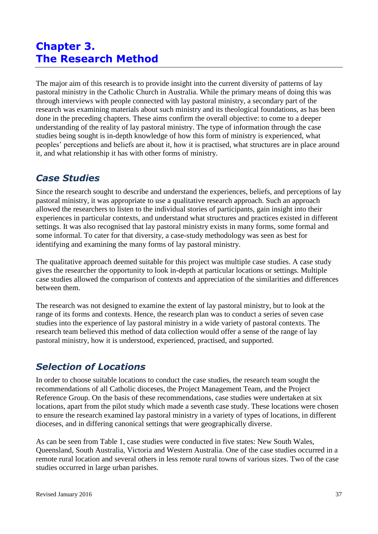# **Chapter 3. The Research Method**

The major aim of this research is to provide insight into the current diversity of patterns of lay pastoral ministry in the Catholic Church in Australia. While the primary means of doing this was through interviews with people connected with lay pastoral ministry, a secondary part of the research was examining materials about such ministry and its theological foundations, as has been done in the preceding chapters. These aims confirm the overall objective: to come to a deeper understanding of the reality of lay pastoral ministry. The type of information through the case studies being sought is in-depth knowledge of how this form of ministry is experienced, what peoples' perceptions and beliefs are about it, how it is practised, what structures are in place around it, and what relationship it has with other forms of ministry.

#### *Case Studies*

Since the research sought to describe and understand the experiences, beliefs, and perceptions of lay pastoral ministry, it was appropriate to use a qualitative research approach. Such an approach allowed the researchers to listen to the individual stories of participants, gain insight into their experiences in particular contexts, and understand what structures and practices existed in different settings. It was also recognised that lay pastoral ministry exists in many forms, some formal and some informal. To cater for that diversity, a case-study methodology was seen as best for identifying and examining the many forms of lay pastoral ministry.

The qualitative approach deemed suitable for this project was multiple case studies. A case study gives the researcher the opportunity to look in-depth at particular locations or settings. Multiple case studies allowed the comparison of contexts and appreciation of the similarities and differences between them.

The research was not designed to examine the extent of lay pastoral ministry, but to look at the range of its forms and contexts. Hence, the research plan was to conduct a series of seven case studies into the experience of lay pastoral ministry in a wide variety of pastoral contexts. The research team believed this method of data collection would offer a sense of the range of lay pastoral ministry, how it is understood, experienced, practised, and supported.

# *Selection of Locations*

In order to choose suitable locations to conduct the case studies, the research team sought the recommendations of all Catholic dioceses, the Project Management Team, and the Project Reference Group. On the basis of these recommendations, case studies were undertaken at six locations, apart from the pilot study which made a seventh case study. These locations were chosen to ensure the research examined lay pastoral ministry in a variety of types of locations, in different dioceses, and in differing canonical settings that were geographically diverse.

As can be seen from Table 1, case studies were conducted in five states: New South Wales, Queensland, South Australia, Victoria and Western Australia. One of the case studies occurred in a remote rural location and several others in less remote rural towns of various sizes. Two of the case studies occurred in large urban parishes.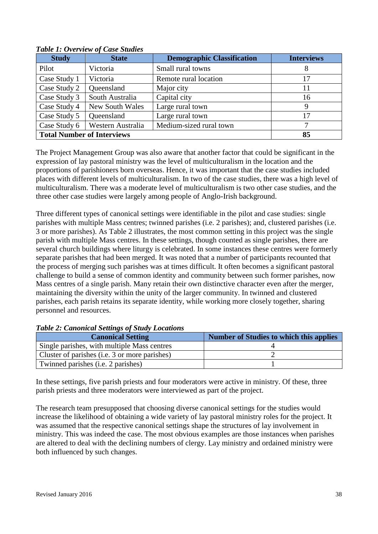| <b>Study</b>                      | <b>State</b>      | <b>Demographic Classification</b> | <b>Interviews</b> |
|-----------------------------------|-------------------|-----------------------------------|-------------------|
| Pilot                             | Victoria          | Small rural towns                 | 8                 |
| Case Study 1                      | Victoria          | Remote rural location             | 17                |
| Case Study 2                      | Queensland        | Major city                        | 11                |
| Case Study 3                      | South Australia   | Capital city                      | 16                |
| Case Study 4                      | New South Wales   | Large rural town                  | 9                 |
| Case Study 5                      | Queensland        | Large rural town                  | 17                |
| Case Study 6                      | Western Australia | Medium-sized rural town           | 7                 |
| <b>Total Number of Interviews</b> | 85                |                                   |                   |

*Table 1: Overview of Case Studies* 

The Project Management Group was also aware that another factor that could be significant in the expression of lay pastoral ministry was the level of multiculturalism in the location and the proportions of parishioners born overseas. Hence, it was important that the case studies included places with different levels of multiculturalism. In two of the case studies, there was a high level of multiculturalism. There was a moderate level of multiculturalism is two other case studies, and the three other case studies were largely among people of Anglo-Irish background.

Three different types of canonical settings were identifiable in the pilot and case studies: single parishes with multiple Mass centres; twinned parishes (i.e. 2 parishes); and, clustered parishes (i.e. 3 or more parishes). As Table 2 illustrates, the most common setting in this project was the single parish with multiple Mass centres. In these settings, though counted as single parishes, there are several church buildings where liturgy is celebrated. In some instances these centres were formerly separate parishes that had been merged. It was noted that a number of participants recounted that the process of merging such parishes was at times difficult. It often becomes a significant pastoral challenge to build a sense of common identity and community between such former parishes, now Mass centres of a single parish. Many retain their own distinctive character even after the merger, maintaining the diversity within the unity of the larger community. In twinned and clustered parishes, each parish retains its separate identity, while working more closely together, sharing personnel and resources.

| <b>Canonical Setting</b>                      | Number of Studies to which this applies |
|-----------------------------------------------|-----------------------------------------|
| Single parishes, with multiple Mass centres   |                                         |
| Cluster of parishes (i.e. 3 or more parishes) |                                         |
| Twinned parishes (i.e. 2 parishes)            |                                         |

#### *Table 2: Canonical Settings of Study Locations*

In these settings, five parish priests and four moderators were active in ministry. Of these, three parish priests and three moderators were interviewed as part of the project.

The research team presupposed that choosing diverse canonical settings for the studies would increase the likelihood of obtaining a wide variety of lay pastoral ministry roles for the project. It was assumed that the respective canonical settings shape the structures of lay involvement in ministry. This was indeed the case. The most obvious examples are those instances when parishes are altered to deal with the declining numbers of clergy. Lay ministry and ordained ministry were both influenced by such changes.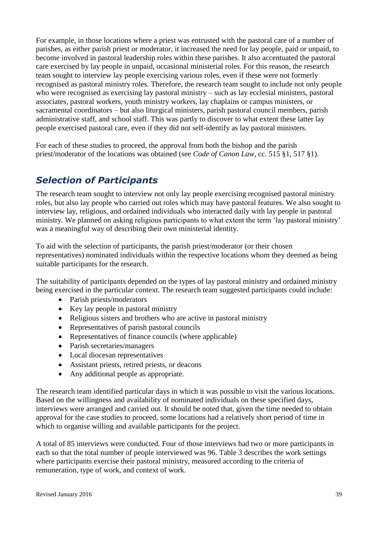For example, in those locations where a priest was entrusted with the pastoral care of a number of parishes, as either parish priest or moderator, it increased the need for lay people, paid or unpaid, to become involved in pastoral leadership roles within these parishes. It also accentuated the pastoral care exercised by lay people in unpaid, occasional ministerial roles. For this reason, the research team sought to interview lay people exercising various roles, even if these were not formerly recognised as pastoral ministry roles. Therefore, the research team sought to include not only people who were recognised as exercising lay pastoral ministry – such as lay ecclesial ministers, pastoral associates, pastoral workers, youth ministry workers, lay chaplains or campus ministers, or sacramental coordinators – but also liturgical ministers, parish pastoral council members, parish administrative staff, and school staff. This was partly to discover to what extent these latter lay people exercised pastoral care, even if they did not self-identify as lay pastoral ministers.

For each of these studies to proceed, the approval from both the bishop and the parish priest/moderator of the locations was obtained (see *Code of Canon Law*, cc. 515 §1, 517 §1).

# *Selection of Participants*

The research team sought to interview not only lay people exercising recognised pastoral ministry roles, but also lay people who carried out roles which may have pastoral features. We also sought to interview lay, religious, and ordained individuals who interacted daily with lay people in pastoral ministry. We planned on asking religious participants to what extent the term 'lay pastoral ministry' was a meaningful way of describing their own ministerial identity.

To aid with the selection of participants, the parish priest/moderator (or their chosen representatives) nominated individuals within the respective locations whom they deemed as being suitable participants for the research.

The suitability of participants depended on the types of lay pastoral ministry and ordained ministry being exercised in the particular context. The research team suggested participants could include:

- Parish priests/moderators
- Key lay people in pastoral ministry
- Religious sisters and brothers who are active in pastoral ministry
- Representatives of parish pastoral councils
- Representatives of finance councils (where applicable)
- Parish secretaries/managers
- Local diocesan representatives
- Assistant priests, retired priests, or deacons
- Any additional people as appropriate.

The research team identified particular days in which it was possible to visit the various locations. Based on the willingness and availability of nominated individuals on these specified days, interviews were arranged and carried out. It should be noted that, given the time needed to obtain approval for the case studies to proceed, some locations had a relatively short period of time in which to organise willing and available participants for the project.

A total of 85 interviews were conducted. Four of those interviews had two or more participants in each so that the total number of people interviewed was 96. Table 3 describes the work settings where participants exercise their pastoral ministry, measured according to the criteria of remuneration, type of work, and context of work.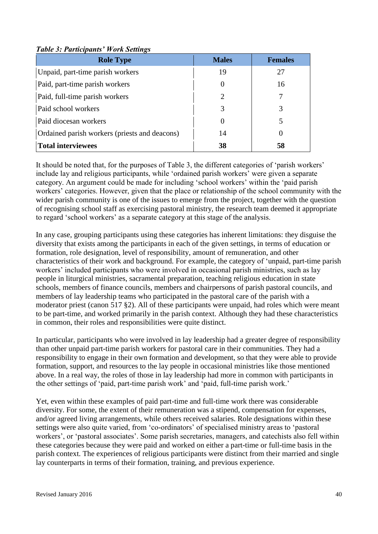| <b>Role Type</b>                              | <b>Males</b>          | <b>Females</b> |
|-----------------------------------------------|-----------------------|----------------|
| Unpaid, part-time parish workers              | 19                    | 27             |
| Paid, part-time parish workers                | $\theta$              | 16             |
| Paid, full-time parish workers                | $\mathcal{D}_{\cdot}$ | 7              |
| Paid school workers                           | 3                     | 3              |
| Paid diocesan workers                         | $\Omega$              |                |
| Ordained parish workers (priests and deacons) | 14                    | $\theta$       |
| <b>Total interviewees</b>                     | 38                    | 58             |

#### *Table 3: Participants' Work Settings*

It should be noted that, for the purposes of Table 3, the different categories of 'parish workers' include lay and religious participants, while 'ordained parish workers' were given a separate category. An argument could be made for including 'school workers' within the 'paid parish workers' categories. However, given that the place or relationship of the school community with the wider parish community is one of the issues to emerge from the project, together with the question of recognising school staff as exercising pastoral ministry, the research team deemed it appropriate to regard 'school workers' as a separate category at this stage of the analysis.

In any case, grouping participants using these categories has inherent limitations: they disguise the diversity that exists among the participants in each of the given settings, in terms of education or formation, role designation, level of responsibility, amount of remuneration, and other characteristics of their work and background. For example, the category of 'unpaid, part-time parish workers' included participants who were involved in occasional parish ministries, such as lay people in liturgical ministries, sacramental preparation, teaching religious education in state schools, members of finance councils, members and chairpersons of parish pastoral councils, and members of lay leadership teams who participated in the pastoral care of the parish with a moderator priest (canon 517 §2). All of these participants were unpaid, had roles which were meant to be part-time, and worked primarily in the parish context. Although they had these characteristics in common, their roles and responsibilities were quite distinct.

In particular, participants who were involved in lay leadership had a greater degree of responsibility than other unpaid part-time parish workers for pastoral care in their communities. They had a responsibility to engage in their own formation and development, so that they were able to provide formation, support, and resources to the lay people in occasional ministries like those mentioned above. In a real way, the roles of those in lay leadership had more in common with participants in the other settings of 'paid, part-time parish work' and 'paid, full-time parish work.'

Yet, even within these examples of paid part-time and full-time work there was considerable diversity. For some, the extent of their remuneration was a stipend, compensation for expenses, and/or agreed living arrangements, while others received salaries. Role designations within these settings were also quite varied, from 'co-ordinators' of specialised ministry areas to 'pastoral workers', or 'pastoral associates'. Some parish secretaries, managers, and catechists also fell within these categories because they were paid and worked on either a part-time or full-time basis in the parish context. The experiences of religious participants were distinct from their married and single lay counterparts in terms of their formation, training, and previous experience.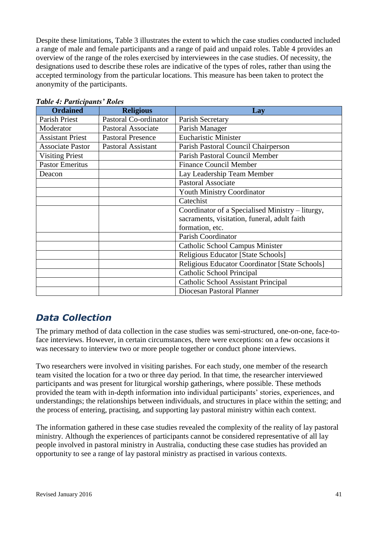Despite these limitations, Table 3 illustrates the extent to which the case studies conducted included a range of male and female participants and a range of paid and unpaid roles. Table 4 provides an overview of the range of the roles exercised by interviewees in the case studies. Of necessity, the designations used to describe these roles are indicative of the types of roles, rather than using the accepted terminology from the particular locations. This measure has been taken to protect the anonymity of the participants.

| <b>Ordained</b>         | <b>Religious</b>          | Lay                                              |
|-------------------------|---------------------------|--------------------------------------------------|
| Parish Priest           | Pastoral Co-ordinator     | Parish Secretary                                 |
| Moderator               | <b>Pastoral Associate</b> | Parish Manager                                   |
| <b>Assistant Priest</b> | <b>Pastoral Presence</b>  | <b>Eucharistic Minister</b>                      |
| <b>Associate Pastor</b> | <b>Pastoral Assistant</b> | Parish Pastoral Council Chairperson              |
| <b>Visiting Priest</b>  |                           | Parish Pastoral Council Member                   |
| <b>Pastor Emeritus</b>  |                           | <b>Finance Council Member</b>                    |
| Deacon                  |                           | Lay Leadership Team Member                       |
|                         |                           | <b>Pastoral Associate</b>                        |
|                         |                           | <b>Youth Ministry Coordinator</b>                |
|                         |                           | Catechist                                        |
|                         |                           | Coordinator of a Specialised Ministry - liturgy, |
|                         |                           | sacraments, visitation, funeral, adult faith     |
|                         |                           | formation, etc.                                  |
|                         |                           | <b>Parish Coordinator</b>                        |
|                         |                           | <b>Catholic School Campus Minister</b>           |
|                         |                           | Religious Educator [State Schools]               |
|                         |                           | Religious Educator Coordinator [State Schools]   |
|                         |                           | Catholic School Principal                        |
|                         |                           | <b>Catholic School Assistant Principal</b>       |
|                         |                           | Diocesan Pastoral Planner                        |

*Table 4: Participants' Roles*

### *Data Collection*

The primary method of data collection in the case studies was semi-structured, one-on-one, face-toface interviews. However, in certain circumstances, there were exceptions: on a few occasions it was necessary to interview two or more people together or conduct phone interviews.

Two researchers were involved in visiting parishes. For each study, one member of the research team visited the location for a two or three day period. In that time, the researcher interviewed participants and was present for liturgical worship gatherings, where possible. These methods provided the team with in-depth information into individual participants' stories, experiences, and understandings; the relationships between individuals, and structures in place within the setting; and the process of entering, practising, and supporting lay pastoral ministry within each context.

The information gathered in these case studies revealed the complexity of the reality of lay pastoral ministry. Although the experiences of participants cannot be considered representative of all lay people involved in pastoral ministry in Australia, conducting these case studies has provided an opportunity to see a range of lay pastoral ministry as practised in various contexts.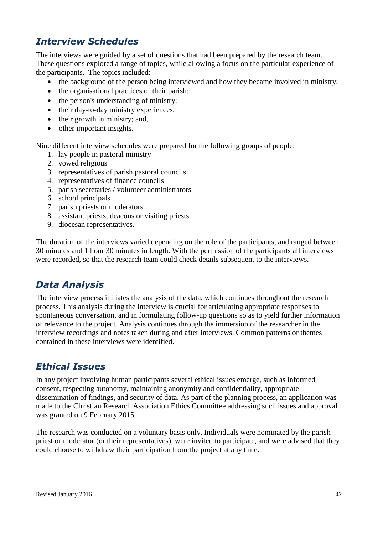# *Interview Schedules*

The interviews were guided by a set of questions that had been prepared by the research team. These questions explored a range of topics, while allowing a focus on the particular experience of the participants. The topics included:

- the background of the person being interviewed and how they became involved in ministry;
- the organisational practices of their parish;
- the person's understanding of ministry;
- their day-to-day ministry experiences;
- their growth in ministry; and,
- other important insights.

Nine different interview schedules were prepared for the following groups of people:

- 1. lay people in pastoral ministry
- 2. vowed religious
- 3. representatives of parish pastoral councils
- 4. representatives of finance councils
- 5. parish secretaries / volunteer administrators
- 6. school principals
- 7. parish priests or moderators
- 8. assistant priests, deacons or visiting priests
- 9. diocesan representatives.

The duration of the interviews varied depending on the role of the participants, and ranged between 30 minutes and 1 hour 30 minutes in length. With the permission of the participants all interviews were recorded, so that the research team could check details subsequent to the interviews.

### *Data Analysis*

The interview process initiates the analysis of the data, which continues throughout the research process. This analysis during the interview is crucial for articulating appropriate responses to spontaneous conversation, and in formulating follow-up questions so as to yield further information of relevance to the project. Analysis continues through the immersion of the researcher in the interview recordings and notes taken during and after interviews. Common patterns or themes contained in these interviews were identified.

### *Ethical Issues*

In any project involving human participants several ethical issues emerge, such as informed consent, respecting autonomy, maintaining anonymity and confidentiality, appropriate dissemination of findings, and security of data. As part of the planning process, an application was made to the Christian Research Association Ethics Committee addressing such issues and approval was granted on 9 February 2015.

The research was conducted on a voluntary basis only. Individuals were nominated by the parish priest or moderator (or their representatives), were invited to participate, and were advised that they could choose to withdraw their participation from the project at any time.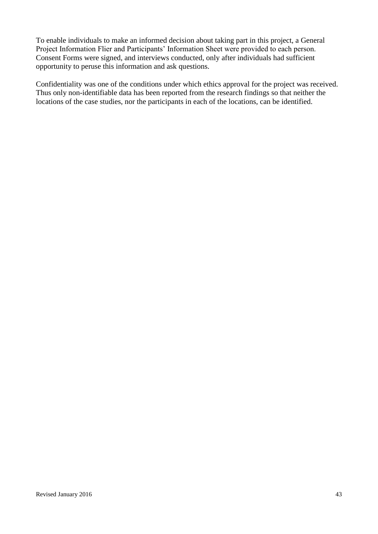To enable individuals to make an informed decision about taking part in this project, a General Project Information Flier and Participants' Information Sheet were provided to each person. Consent Forms were signed, and interviews conducted, only after individuals had sufficient opportunity to peruse this information and ask questions.

Confidentiality was one of the conditions under which ethics approval for the project was received. Thus only non-identifiable data has been reported from the research findings so that neither the locations of the case studies, nor the participants in each of the locations, can be identified.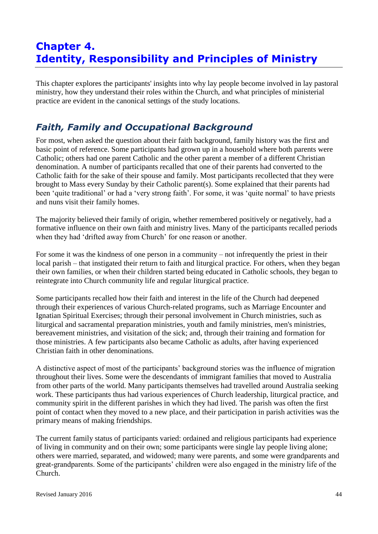# **Chapter 4. Identity, Responsibility and Principles of Ministry**

This chapter explores the participants' insights into why lay people become involved in lay pastoral ministry, how they understand their roles within the Church, and what principles of ministerial practice are evident in the canonical settings of the study locations.

### *Faith, Family and Occupational Background*

For most, when asked the question about their faith background, family history was the first and basic point of reference. Some participants had grown up in a household where both parents were Catholic; others had one parent Catholic and the other parent a member of a different Christian denomination. A number of participants recalled that one of their parents had converted to the Catholic faith for the sake of their spouse and family. Most participants recollected that they were brought to Mass every Sunday by their Catholic parent(s). Some explained that their parents had been 'quite traditional' or had a 'very strong faith'. For some, it was 'quite normal' to have priests and nuns visit their family homes.

The majority believed their family of origin, whether remembered positively or negatively, had a formative influence on their own faith and ministry lives. Many of the participants recalled periods when they had 'drifted away from Church' for one reason or another.

For some it was the kindness of one person in a community – not infrequently the priest in their local parish – that instigated their return to faith and liturgical practice. For others, when they began their own families, or when their children started being educated in Catholic schools, they began to reintegrate into Church community life and regular liturgical practice.

Some participants recalled how their faith and interest in the life of the Church had deepened through their experiences of various Church-related programs, such as Marriage Encounter and Ignatian Spiritual Exercises; through their personal involvement in Church ministries, such as liturgical and sacramental preparation ministries, youth and family ministries, men's ministries, bereavement ministries, and visitation of the sick; and, through their training and formation for those ministries. A few participants also became Catholic as adults, after having experienced Christian faith in other denominations.

A distinctive aspect of most of the participants' background stories was the influence of migration throughout their lives. Some were the descendants of immigrant families that moved to Australia from other parts of the world. Many participants themselves had travelled around Australia seeking work. These participants thus had various experiences of Church leadership, liturgical practice, and community spirit in the different parishes in which they had lived. The parish was often the first point of contact when they moved to a new place, and their participation in parish activities was the primary means of making friendships.

The current family status of participants varied: ordained and religious participants had experience of living in community and on their own; some participants were single lay people living alone; others were married, separated, and widowed; many were parents, and some were grandparents and great-grandparents. Some of the participants' children were also engaged in the ministry life of the Church.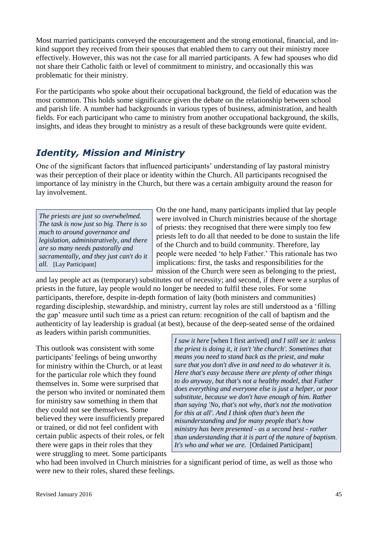Most married participants conveyed the encouragement and the strong emotional, financial, and inkind support they received from their spouses that enabled them to carry out their ministry more effectively. However, this was not the case for all married participants. A few had spouses who did not share their Catholic faith or level of commitment to ministry, and occasionally this was problematic for their ministry.

For the participants who spoke about their occupational background, the field of education was the most common. This holds some significance given the debate on the relationship between school and parish life. A number had backgrounds in various types of business, administration, and health fields. For each participant who came to ministry from another occupational background, the skills, insights, and ideas they brought to ministry as a result of these backgrounds were quite evident.

# *Identity, Mission and Ministry*

One of the significant factors that influenced participants' understanding of lay pastoral ministry was their perception of their place or identity within the Church. All participants recognised the importance of lay ministry in the Church, but there was a certain ambiguity around the reason for lay involvement.

*The priests are just so overwhelmed. The task is now just so big. There is so much to around governance and legislation, administratively, and there are so many needs pastorally and sacramentally, and they just can't do it all.* [Lay Participant]

On the one hand, many participants implied that lay people were involved in Church ministries because of the shortage of priests: they recognised that there were simply too few priests left to do all that needed to be done to sustain the life of the Church and to build community. Therefore, lay people were needed 'to help Father.' This rationale has two implications: first, the tasks and responsibilities for the mission of the Church were seen as belonging to the priest,

and lay people act as (temporary) substitutes out of necessity; and second, if there were a surplus of priests in the future, lay people would no longer be needed to fulfil these roles. For some participants, therefore, despite in-depth formation of laity (both ministers and communities) regarding discipleship, stewardship, and ministry, current lay roles are still understood as a 'filling the gap' measure until such time as a priest can return: recognition of the call of baptism and the authenticity of lay leadership is gradual (at best), because of the deep-seated sense of the ordained as leaders within parish communities.

This outlook was consistent with some participants' feelings of being unworthy for ministry within the Church, or at least for the particular role which they found themselves in. Some were surprised that the person who invited or nominated them for ministry saw something in them that they could not see themselves. Some believed they were insufficiently prepared or trained, or did not feel confident with certain public aspects of their roles, or felt there were gaps in their roles that they were struggling to meet. Some participants *I saw it here* [when I first arrived] *and I still see it: unless the priest is doing it, it isn't 'the church'. Sometimes that means you need to stand back as the priest, and make sure that you don't dive in and need to do whatever it is. Here that's easy because there are plenty of other things to do anyway, but that's not a healthy model, that Father does everything and everyone else is just a helper, or poor substitute, because we don't have enough of him. Rather than saying 'No, that's not why, that's not the motivation for this at all'. And I think often that's been the misunderstanding and for many people that's how ministry has been presented - as a second best - rather than understanding that it is part of the nature of baptism. It's who and what we are.* [Ordained Participant]

who had been involved in Church ministries for a significant period of time, as well as those who were new to their roles, shared these feelings.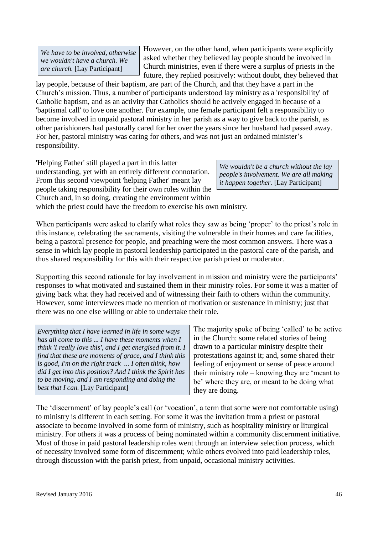*We have to be involved, otherwise we wouldn't have a church. We are church.* [Lay Participant]

However, on the other hand, when participants were explicitly asked whether they believed lay people should be involved in Church ministries, even if there were a surplus of priests in the future, they replied positively: without doubt, they believed that

lay people, because of their baptism, are part of the Church, and that they have a part in the Church's mission. Thus, a number of participants understood lay ministry as a 'responsibility' of Catholic baptism, and as an activity that Catholics should be actively engaged in because of a 'baptismal call' to love one another. For example, one female participant felt a responsibility to become involved in unpaid pastoral ministry in her parish as a way to give back to the parish, as other parishioners had pastorally cared for her over the years since her husband had passed away. For her, pastoral ministry was caring for others, and was not just an ordained minister's responsibility.

'Helping Father' still played a part in this latter understanding, yet with an entirely different connotation. From this second viewpoint 'helping Father' meant lay people taking responsibility for their own roles within the Church and, in so doing, creating the environment within

*We wouldn't be a church without the lay people's involvement. We are all making it happen together.* [Lay Participant]

which the priest could have the freedom to exercise his own ministry.

When participants were asked to clarify what roles they saw as being 'proper' to the priest's role in this instance, celebrating the sacraments, visiting the vulnerable in their homes and care facilities, being a pastoral presence for people, and preaching were the most common answers. There was a sense in which lay people in pastoral leadership participated in the pastoral care of the parish, and thus shared responsibility for this with their respective parish priest or moderator.

Supporting this second rationale for lay involvement in mission and ministry were the participants' responses to what motivated and sustained them in their ministry roles. For some it was a matter of giving back what they had received and of witnessing their faith to others within the community. However, some interviewees made no mention of motivation or sustenance in ministry; just that there was no one else willing or able to undertake their role.

*Everything that I have learned in life in some ways has all come to this ... I have these moments when I think 'I really love this', and I get energised from it. I find that these are moments of grace, and I think this is good, I'm on the right track ... I often think, how did I get into this position? And I think the Spirit has to be moving, and I am responding and doing the best that I can.* [Lay Participant]

The majority spoke of being 'called' to be active in the Church: some related stories of being drawn to a particular ministry despite their protestations against it; and, some shared their feeling of enjoyment or sense of peace around their ministry role – knowing they are 'meant to be' where they are, or meant to be doing what they are doing.

The 'discernment' of lay people's call (or 'vocation', a term that some were not comfortable using) to ministry is different in each setting. For some it was the invitation from a priest or pastoral associate to become involved in some form of ministry, such as hospitality ministry or liturgical ministry. For others it was a process of being nominated within a community discernment initiative. Most of those in paid pastoral leadership roles went through an interview selection process, which of necessity involved some form of discernment; while others evolved into paid leadership roles, through discussion with the parish priest, from unpaid, occasional ministry activities.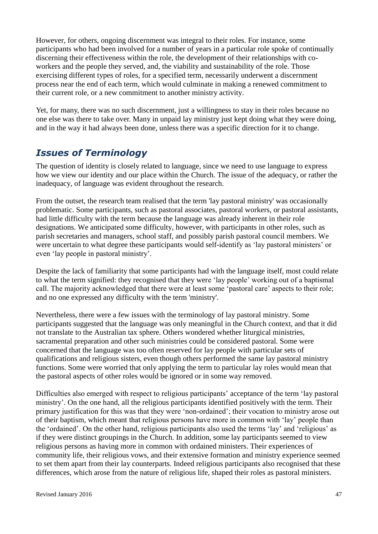However, for others, ongoing discernment was integral to their roles. For instance, some participants who had been involved for a number of years in a particular role spoke of continually discerning their effectiveness within the role, the development of their relationships with coworkers and the people they served, and, the viability and sustainability of the role. Those exercising different types of roles, for a specified term, necessarily underwent a discernment process near the end of each term, which would culminate in making a renewed commitment to their current role, or a new commitment to another ministry activity.

Yet, for many, there was no such discernment, just a willingness to stay in their roles because no one else was there to take over. Many in unpaid lay ministry just kept doing what they were doing, and in the way it had always been done, unless there was a specific direction for it to change.

### *Issues of Terminology*

The question of identity is closely related to language, since we need to use language to express how we view our identity and our place within the Church. The issue of the adequacy, or rather the inadequacy, of language was evident throughout the research.

From the outset, the research team realised that the term 'lay pastoral ministry' was occasionally problematic. Some participants, such as pastoral associates, pastoral workers, or pastoral assistants, had little difficulty with the term because the language was already inherent in their role designations. We anticipated some difficulty, however, with participants in other roles, such as parish secretaries and managers, school staff, and possibly parish pastoral council members. We were uncertain to what degree these participants would self-identify as 'lay pastoral ministers' or even 'lay people in pastoral ministry'.

Despite the lack of familiarity that some participants had with the language itself, most could relate to what the term signified: they recognised that they were 'lay people' working out of a baptismal call. The majority acknowledged that there were at least some 'pastoral care' aspects to their role; and no one expressed any difficulty with the term 'ministry'.

Nevertheless, there were a few issues with the terminology of lay pastoral ministry. Some participants suggested that the language was only meaningful in the Church context, and that it did not translate to the Australian tax sphere. Others wondered whether liturgical ministries, sacramental preparation and other such ministries could be considered pastoral. Some were concerned that the language was too often reserved for lay people with particular sets of qualifications and religious sisters, even though others performed the same lay pastoral ministry functions. Some were worried that only applying the term to particular lay roles would mean that the pastoral aspects of other roles would be ignored or in some way removed.

Difficulties also emerged with respect to religious participants' acceptance of the term 'lay pastoral ministry'. On the one hand, all the religious participants identified positively with the term. Their primary justification for this was that they were 'non-ordained'; their vocation to ministry arose out of their baptism, which meant that religious persons have more in common with 'lay' people than the 'ordained'. On the other hand, religious participants also used the terms 'lay' and 'religious' as if they were distinct groupings in the Church. In addition, some lay participants seemed to view religious persons as having more in common with ordained ministers. Their experiences of community life, their religious vows, and their extensive formation and ministry experience seemed to set them apart from their lay counterparts. Indeed religious participants also recognised that these differences, which arose from the nature of religious life, shaped their roles as pastoral ministers.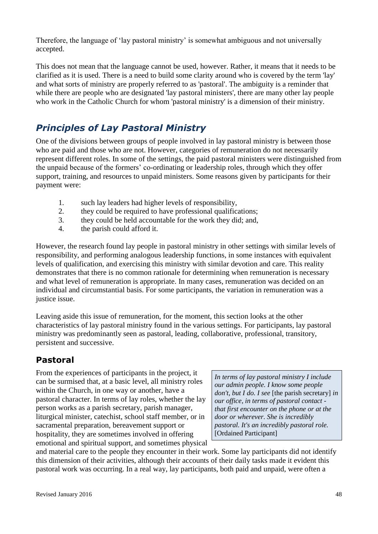Therefore, the language of 'lay pastoral ministry' is somewhat ambiguous and not universally accepted.

This does not mean that the language cannot be used, however. Rather, it means that it needs to be clarified as it is used. There is a need to build some clarity around who is covered by the term 'lay' and what sorts of ministry are properly referred to as 'pastoral'. The ambiguity is a reminder that while there are people who are designated 'lay pastoral ministers', there are many other lay people who work in the Catholic Church for whom 'pastoral ministry' is a dimension of their ministry.

# *Principles of Lay Pastoral Ministry*

One of the divisions between groups of people involved in lay pastoral ministry is between those who are paid and those who are not. However, categories of remuneration do not necessarily represent different roles. In some of the settings, the paid pastoral ministers were distinguished from the unpaid because of the formers' co-ordinating or leadership roles, through which they offer support, training, and resources to unpaid ministers. Some reasons given by participants for their payment were:

- 1. such lay leaders had higher levels of responsibility,
- 2. they could be required to have professional qualifications;
- 3. they could be held accountable for the work they did; and,
- 4. the parish could afford it.

However, the research found lay people in pastoral ministry in other settings with similar levels of responsibility, and performing analogous leadership functions, in some instances with equivalent levels of qualification, and exercising this ministry with similar devotion and care. This reality demonstrates that there is no common rationale for determining when remuneration is necessary and what level of remuneration is appropriate. In many cases, remuneration was decided on an individual and circumstantial basis. For some participants, the variation in remuneration was a justice issue.

Leaving aside this issue of remuneration, for the moment, this section looks at the other characteristics of lay pastoral ministry found in the various settings. For participants, lay pastoral ministry was predominantly seen as pastoral, leading, collaborative, professional, transitory, persistent and successive.

### **Pastoral**

From the experiences of participants in the project, it can be surmised that, at a basic level, all ministry roles within the Church, in one way or another, have a pastoral character. In terms of lay roles, whether the lay person works as a parish secretary, parish manager, liturgical minister, catechist, school staff member, or in sacramental preparation, bereavement support or hospitality, they are sometimes involved in offering emotional and spiritual support, and sometimes physical

*In terms of lay pastoral ministry I include our admin people. I know some people don't, but I do. I see* [the parish secretary] *in our office, in terms of pastoral contact that first encounter on the phone or at the door or wherever. She is incredibly pastoral. It's an incredibly pastoral role.* [Ordained Participant]

and material care to the people they encounter in their work. Some lay participants did not identify this dimension of their activities, although their accounts of their daily tasks made it evident this pastoral work was occurring. In a real way, lay participants, both paid and unpaid, were often a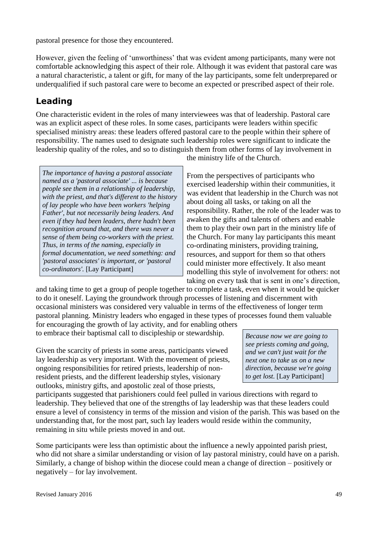pastoral presence for those they encountered.

However, given the feeling of 'unworthiness' that was evident among participants, many were not comfortable acknowledging this aspect of their role. Although it was evident that pastoral care was a natural characteristic, a talent or gift, for many of the lay participants, some felt underprepared or underqualified if such pastoral care were to become an expected or prescribed aspect of their role.

#### **Leading**

One characteristic evident in the roles of many interviewees was that of leadership. Pastoral care was an explicit aspect of these roles. In some cases, participants were leaders within specific specialised ministry areas: these leaders offered pastoral care to the people within their sphere of responsibility. The names used to designate such leadership roles were significant to indicate the leadership quality of the roles, and so to distinguish them from other forms of lay involvement in

*The importance of having a pastoral associate named as a 'pastoral associate' ... is because people see them in a relationship of leadership, with the priest, and that's different to the history of lay people who have been workers 'helping Father', but not necessarily being leaders. And even if they had been leaders, there hadn't been recognition around that, and there was never a sense of them being co-workers with the priest. Thus, in terms of the naming, especially in formal documentation, we need something: and 'pastoral associates' is important, or 'pastoral co-ordinators'.* [Lay Participant]

the ministry life of the Church.

From the perspectives of participants who exercised leadership within their communities, it was evident that leadership in the Church was not about doing all tasks, or taking on all the responsibility. Rather, the role of the leader was to awaken the gifts and talents of others and enable them to play their own part in the ministry life of the Church. For many lay participants this meant co-ordinating ministers, providing training, resources, and support for them so that others could minister more effectively. It also meant modelling this style of involvement for others: not taking on every task that is sent in one's direction,

and taking time to get a group of people together to complete a task, even when it would be quicker to do it oneself. Laying the groundwork through processes of listening and discernment with occasional ministers was considered very valuable in terms of the effectiveness of longer term pastoral planning. Ministry leaders who engaged in these types of processes found them valuable

for encouraging the growth of lay activity, and for enabling others to embrace their baptismal call to discipleship or stewardship.

Given the scarcity of priests in some areas, participants viewed lay leadership as very important. With the movement of priests, ongoing responsibilities for retired priests, leadership of nonresident priests, and the different leadership styles, visionary outlooks, ministry gifts, and apostolic zeal of those priests,

*Because now we are going to see priests coming and going, and we can't just wait for the next one to take us on a new direction, because we're going to get lost.* [Lay Participant]

participants suggested that parishioners could feel pulled in various directions with regard to leadership. They believed that one of the strengths of lay leadership was that these leaders could ensure a level of consistency in terms of the mission and vision of the parish. This was based on the understanding that, for the most part, such lay leaders would reside within the community, remaining in situ while priests moved in and out.

Some participants were less than optimistic about the influence a newly appointed parish priest, who did not share a similar understanding or vision of lay pastoral ministry, could have on a parish. Similarly, a change of bishop within the diocese could mean a change of direction – positively or negatively – for lay involvement.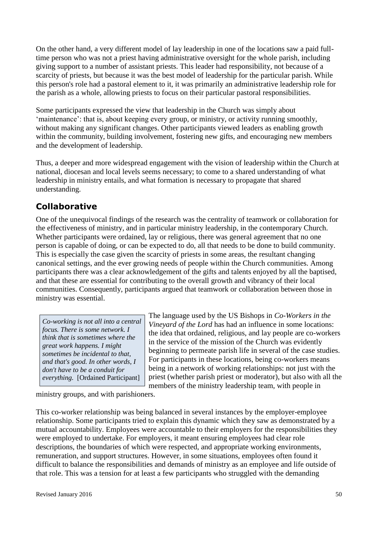On the other hand, a very different model of lay leadership in one of the locations saw a paid fulltime person who was not a priest having administrative oversight for the whole parish, including giving support to a number of assistant priests. This leader had responsibility, not because of a scarcity of priests, but because it was the best model of leadership for the particular parish. While this person's role had a pastoral element to it, it was primarily an administrative leadership role for the parish as a whole, allowing priests to focus on their particular pastoral responsibilities.

Some participants expressed the view that leadership in the Church was simply about 'maintenance': that is, about keeping every group, or ministry, or activity running smoothly, without making any significant changes. Other participants viewed leaders as enabling growth within the community, building involvement, fostering new gifts, and encouraging new members and the development of leadership.

Thus, a deeper and more widespread engagement with the vision of leadership within the Church at national, diocesan and local levels seems necessary; to come to a shared understanding of what leadership in ministry entails, and what formation is necessary to propagate that shared understanding.

#### **Collaborative**

One of the unequivocal findings of the research was the centrality of teamwork or collaboration for the effectiveness of ministry, and in particular ministry leadership, in the contemporary Church. Whether participants were ordained, lay or religious, there was general agreement that no one person is capable of doing, or can be expected to do, all that needs to be done to build community. This is especially the case given the scarcity of priests in some areas, the resultant changing canonical settings, and the ever growing needs of people within the Church communities. Among participants there was a clear acknowledgement of the gifts and talents enjoyed by all the baptised, and that these are essential for contributing to the overall growth and vibrancy of their local communities. Consequently, participants argued that teamwork or collaboration between those in ministry was essential.

*Co-working is not all into a central focus. There is some network. I think that is sometimes where the great work happens. I might sometimes be incidental to that, and that's good. In other words, I don't have to be a conduit for everything.* [Ordained Participant]

The language used by the US Bishops in *Co-Workers in the Vineyard of the Lord* has had an influence in some locations: the idea that ordained, religious, and lay people are co-workers in the service of the mission of the Church was evidently beginning to permeate parish life in several of the case studies. For participants in these locations, being co-workers means being in a network of working relationships: not just with the priest (whether parish priest or moderator), but also with all the members of the ministry leadership team, with people in

ministry groups, and with parishioners.

This co-worker relationship was being balanced in several instances by the employer-employee relationship. Some participants tried to explain this dynamic which they saw as demonstrated by a mutual accountability. Employees were accountable to their employers for the responsibilities they were employed to undertake. For employers, it meant ensuring employees had clear role descriptions, the boundaries of which were respected, and appropriate working environments, remuneration, and support structures. However, in some situations, employees often found it difficult to balance the responsibilities and demands of ministry as an employee and life outside of that role. This was a tension for at least a few participants who struggled with the demanding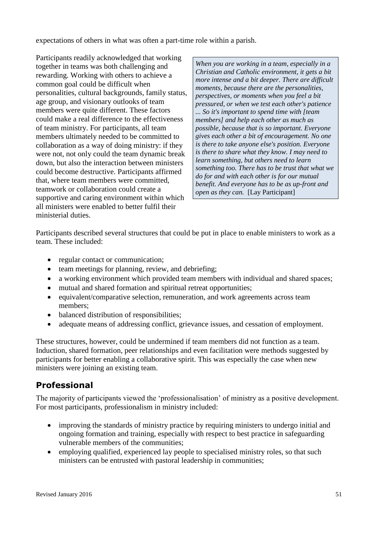expectations of others in what was often a part-time role within a parish.

Participants readily acknowledged that working together in teams was both challenging and rewarding. Working with others to achieve a common goal could be difficult when personalities, cultural backgrounds, family status, age group, and visionary outlooks of team members were quite different. These factors could make a real difference to the effectiveness of team ministry. For participants, all team members ultimately needed to be committed to collaboration as a way of doing ministry: if they were not, not only could the team dynamic break down, but also the interaction between ministers could become destructive. Participants affirmed that, where team members were committed, teamwork or collaboration could create a supportive and caring environment within which all ministers were enabled to better fulfil their ministerial duties.

*When you are working in a team, especially in a Christian and Catholic environment, it gets a bit more intense and a bit deeper. There are difficult moments, because there are the personalities, perspectives, or moments when you feel a bit pressured, or when we test each other's patience ... So it's important to spend time with [team members] and help each other as much as possible, because that is so important. Everyone gives each other a bit of encouragement. No one is there to take anyone else's position. Everyone is there to share what they know. I may need to learn something, but others need to learn something too. There has to be trust that what we do for and with each other is for our mutual benefit. And everyone has to be as up-front and open as they can.* [Lay Participant]

Participants described several structures that could be put in place to enable ministers to work as a team. These included:

- regular contact or communication;
- team meetings for planning, review, and debriefing;
- a working environment which provided team members with individual and shared spaces;
- mutual and shared formation and spiritual retreat opportunities;
- equivalent/comparative selection, remuneration, and work agreements across team members;
- balanced distribution of responsibilities;
- adequate means of addressing conflict, grievance issues, and cessation of employment.

These structures, however, could be undermined if team members did not function as a team. Induction, shared formation, peer relationships and even facilitation were methods suggested by participants for better enabling a collaborative spirit. This was especially the case when new ministers were joining an existing team.

#### **Professional**

The majority of participants viewed the 'professionalisation' of ministry as a positive development. For most participants, professionalism in ministry included:

- improving the standards of ministry practice by requiring ministers to undergo initial and ongoing formation and training, especially with respect to best practice in safeguarding vulnerable members of the communities;
- employing qualified, experienced lay people to specialised ministry roles, so that such ministers can be entrusted with pastoral leadership in communities;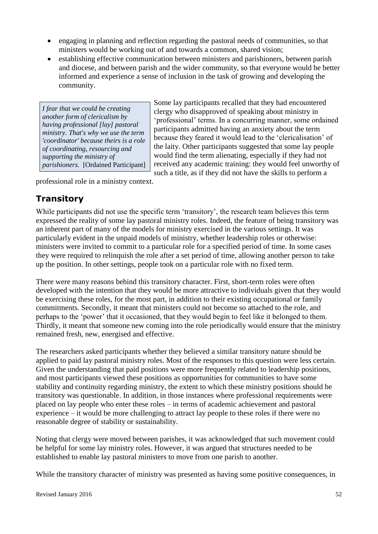- engaging in planning and reflection regarding the pastoral needs of communities, so that ministers would be working out of and towards a common, shared vision;
- establishing effective communication between ministers and parishioners, between parish and diocese, and between parish and the wider community, so that everyone would be better informed and experience a sense of inclusion in the task of growing and developing the community.

*I fear that we could be creating another form of clericalism by having professional [lay] pastoral ministry. That's why we use the term 'coordinator' because theirs is a role of coordinating, resourcing and supporting the ministry of parishioners.* [Ordained Participant] Some lay participants recalled that they had encountered clergy who disapproved of speaking about ministry in 'professional' terms. In a concurring manner, some ordained participants admitted having an anxiety about the term because they feared it would lead to the 'clericalisation' of the laity. Other participants suggested that some lay people would find the term alienating, especially if they had not received any academic training: they would feel unworthy of such a title, as if they did not have the skills to perform a

professional role in a ministry context.

### **Transitory**

While participants did not use the specific term 'transitory', the research team believes this term expressed the reality of some lay pastoral ministry roles. Indeed, the feature of being transitory was an inherent part of many of the models for ministry exercised in the various settings. It was particularly evident in the unpaid models of ministry, whether leadership roles or otherwise: ministers were invited to commit to a particular role for a specified period of time. In some cases they were required to relinquish the role after a set period of time, allowing another person to take up the position. In other settings, people took on a particular role with no fixed term.

There were many reasons behind this transitory character. First, short-term roles were often developed with the intention that they would be more attractive to individuals given that they would be exercising these roles, for the most part, in addition to their existing occupational or family commitments. Secondly, it meant that ministers could not become so attached to the role, and perhaps to the 'power' that it occasioned, that they would begin to feel like it belonged to them. Thirdly, it meant that someone new coming into the role periodically would ensure that the ministry remained fresh, new, energised and effective.

The researchers asked participants whether they believed a similar transitory nature should be applied to paid lay pastoral ministry roles. Most of the responses to this question were less certain. Given the understanding that paid positions were more frequently related to leadership positions, and most participants viewed these positions as opportunities for communities to have some stability and continuity regarding ministry, the extent to which these ministry positions should be transitory was questionable. In addition, in those instances where professional requirements were placed on lay people who enter these roles – in terms of academic achievement and pastoral experience – it would be more challenging to attract lay people to these roles if there were no reasonable degree of stability or sustainability.

Noting that clergy were moved between parishes, it was acknowledged that such movement could be helpful for some lay ministry roles. However, it was argued that structures needed to be established to enable lay pastoral ministers to move from one parish to another.

While the transitory character of ministry was presented as having some positive consequences, in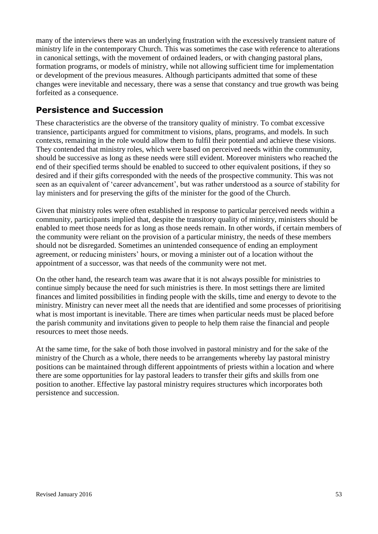many of the interviews there was an underlying frustration with the excessively transient nature of ministry life in the contemporary Church. This was sometimes the case with reference to alterations in canonical settings, with the movement of ordained leaders, or with changing pastoral plans, formation programs, or models of ministry, while not allowing sufficient time for implementation or development of the previous measures. Although participants admitted that some of these changes were inevitable and necessary, there was a sense that constancy and true growth was being forfeited as a consequence.

#### **Persistence and Succession**

These characteristics are the obverse of the transitory quality of ministry. To combat excessive transience, participants argued for commitment to visions, plans, programs, and models. In such contexts, remaining in the role would allow them to fulfil their potential and achieve these visions. They contended that ministry roles, which were based on perceived needs within the community, should be successive as long as these needs were still evident. Moreover ministers who reached the end of their specified terms should be enabled to succeed to other equivalent positions, if they so desired and if their gifts corresponded with the needs of the prospective community. This was not seen as an equivalent of 'career advancement', but was rather understood as a source of stability for lay ministers and for preserving the gifts of the minister for the good of the Church.

Given that ministry roles were often established in response to particular perceived needs within a community, participants implied that, despite the transitory quality of ministry, ministers should be enabled to meet those needs for as long as those needs remain. In other words, if certain members of the community were reliant on the provision of a particular ministry, the needs of these members should not be disregarded. Sometimes an unintended consequence of ending an employment agreement, or reducing ministers' hours, or moving a minister out of a location without the appointment of a successor, was that needs of the community were not met.

On the other hand, the research team was aware that it is not always possible for ministries to continue simply because the need for such ministries is there. In most settings there are limited finances and limited possibilities in finding people with the skills, time and energy to devote to the ministry. Ministry can never meet all the needs that are identified and some processes of prioritising what is most important is inevitable. There are times when particular needs must be placed before the parish community and invitations given to people to help them raise the financial and people resources to meet those needs.

At the same time, for the sake of both those involved in pastoral ministry and for the sake of the ministry of the Church as a whole, there needs to be arrangements whereby lay pastoral ministry positions can be maintained through different appointments of priests within a location and where there are some opportunities for lay pastoral leaders to transfer their gifts and skills from one position to another. Effective lay pastoral ministry requires structures which incorporates both persistence and succession.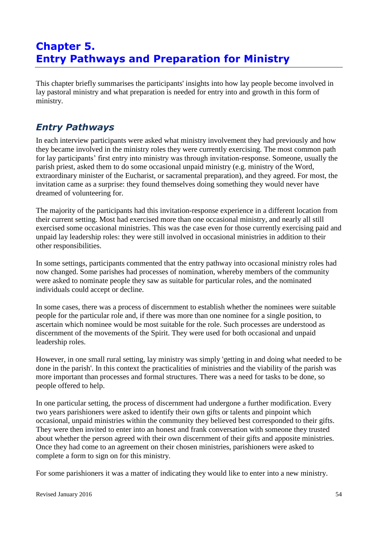# **Chapter 5. Entry Pathways and Preparation for Ministry**

This chapter briefly summarises the participants' insights into how lay people become involved in lay pastoral ministry and what preparation is needed for entry into and growth in this form of ministry.

### *Entry Pathways*

In each interview participants were asked what ministry involvement they had previously and how they became involved in the ministry roles they were currently exercising. The most common path for lay participants' first entry into ministry was through invitation-response. Someone, usually the parish priest, asked them to do some occasional unpaid ministry (e.g. ministry of the Word, extraordinary minister of the Eucharist, or sacramental preparation), and they agreed. For most, the invitation came as a surprise: they found themselves doing something they would never have dreamed of volunteering for.

The majority of the participants had this invitation-response experience in a different location from their current setting. Most had exercised more than one occasional ministry, and nearly all still exercised some occasional ministries. This was the case even for those currently exercising paid and unpaid lay leadership roles: they were still involved in occasional ministries in addition to their other responsibilities.

In some settings, participants commented that the entry pathway into occasional ministry roles had now changed. Some parishes had processes of nomination, whereby members of the community were asked to nominate people they saw as suitable for particular roles, and the nominated individuals could accept or decline.

In some cases, there was a process of discernment to establish whether the nominees were suitable people for the particular role and, if there was more than one nominee for a single position, to ascertain which nominee would be most suitable for the role. Such processes are understood as discernment of the movements of the Spirit. They were used for both occasional and unpaid leadership roles.

However, in one small rural setting, lay ministry was simply 'getting in and doing what needed to be done in the parish'. In this context the practicalities of ministries and the viability of the parish was more important than processes and formal structures. There was a need for tasks to be done, so people offered to help.

In one particular setting, the process of discernment had undergone a further modification. Every two years parishioners were asked to identify their own gifts or talents and pinpoint which occasional, unpaid ministries within the community they believed best corresponded to their gifts. They were then invited to enter into an honest and frank conversation with someone they trusted about whether the person agreed with their own discernment of their gifts and apposite ministries. Once they had come to an agreement on their chosen ministries, parishioners were asked to complete a form to sign on for this ministry.

For some parishioners it was a matter of indicating they would like to enter into a new ministry.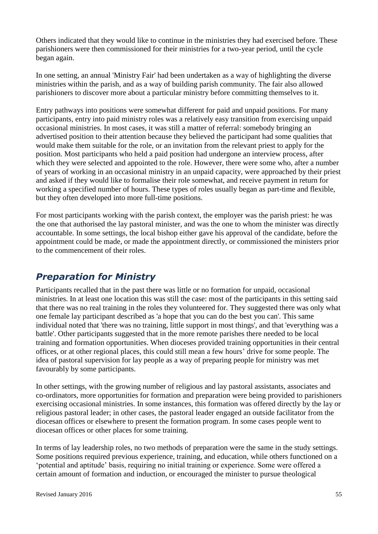Others indicated that they would like to continue in the ministries they had exercised before. These parishioners were then commissioned for their ministries for a two-year period, until the cycle began again.

In one setting, an annual 'Ministry Fair' had been undertaken as a way of highlighting the diverse ministries within the parish, and as a way of building parish community. The fair also allowed parishioners to discover more about a particular ministry before committing themselves to it.

Entry pathways into positions were somewhat different for paid and unpaid positions. For many participants, entry into paid ministry roles was a relatively easy transition from exercising unpaid occasional ministries. In most cases, it was still a matter of referral: somebody bringing an advertised position to their attention because they believed the participant had some qualities that would make them suitable for the role, or an invitation from the relevant priest to apply for the position. Most participants who held a paid position had undergone an interview process, after which they were selected and appointed to the role. However, there were some who, after a number of years of working in an occasional ministry in an unpaid capacity, were approached by their priest and asked if they would like to formalise their role somewhat, and receive payment in return for working a specified number of hours. These types of roles usually began as part-time and flexible, but they often developed into more full-time positions.

For most participants working with the parish context, the employer was the parish priest: he was the one that authorised the lay pastoral minister, and was the one to whom the minister was directly accountable. In some settings, the local bishop either gave his approval of the candidate, before the appointment could be made, or made the appointment directly, or commissioned the ministers prior to the commencement of their roles.

### *Preparation for Ministry*

Participants recalled that in the past there was little or no formation for unpaid, occasional ministries. In at least one location this was still the case: most of the participants in this setting said that there was no real training in the roles they volunteered for. They suggested there was only what one female lay participant described as 'a hope that you can do the best you can'. This same individual noted that 'there was no training, little support in most things', and that 'everything was a battle'. Other participants suggested that in the more remote parishes there needed to be local training and formation opportunities. When dioceses provided training opportunities in their central offices, or at other regional places, this could still mean a few hours' drive for some people. The idea of pastoral supervision for lay people as a way of preparing people for ministry was met favourably by some participants.

In other settings, with the growing number of religious and lay pastoral assistants, associates and co-ordinators, more opportunities for formation and preparation were being provided to parishioners exercising occasional ministries. In some instances, this formation was offered directly by the lay or religious pastoral leader; in other cases, the pastoral leader engaged an outside facilitator from the diocesan offices or elsewhere to present the formation program. In some cases people went to diocesan offices or other places for some training.

In terms of lay leadership roles, no two methods of preparation were the same in the study settings. Some positions required previous experience, training, and education, while others functioned on a 'potential and aptitude' basis, requiring no initial training or experience. Some were offered a certain amount of formation and induction, or encouraged the minister to pursue theological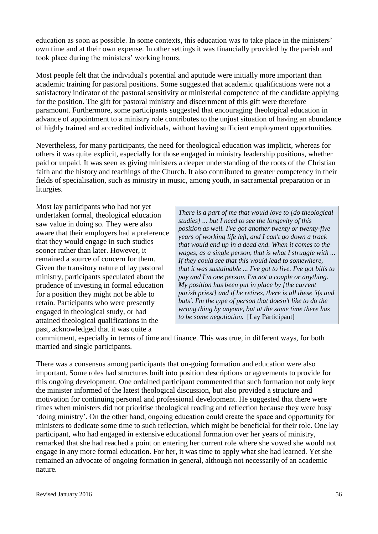education as soon as possible. In some contexts, this education was to take place in the ministers' own time and at their own expense. In other settings it was financially provided by the parish and took place during the ministers' working hours.

Most people felt that the individual's potential and aptitude were initially more important than academic training for pastoral positions. Some suggested that academic qualifications were not a satisfactory indicator of the pastoral sensitivity or ministerial competence of the candidate applying for the position. The gift for pastoral ministry and discernment of this gift were therefore paramount. Furthermore, some participants suggested that encouraging theological education in advance of appointment to a ministry role contributes to the unjust situation of having an abundance of highly trained and accredited individuals, without having sufficient employment opportunities.

Nevertheless, for many participants, the need for theological education was implicit, whereas for others it was quite explicit, especially for those engaged in ministry leadership positions, whether paid or unpaid. It was seen as giving ministers a deeper understanding of the roots of the Christian faith and the history and teachings of the Church. It also contributed to greater competency in their fields of specialisation, such as ministry in music, among youth, in sacramental preparation or in liturgies.

Most lay participants who had not yet undertaken formal, theological education saw value in doing so. They were also aware that their employers had a preference that they would engage in such studies sooner rather than later. However, it remained a source of concern for them. Given the transitory nature of lay pastoral ministry, participants speculated about the prudence of investing in formal education for a position they might not be able to retain. Participants who were presently engaged in theological study, or had attained theological qualifications in the past, acknowledged that it was quite a

*There is a part of me that would love to [do theological studies] ... but I need to see the longevity of this position as well. I've got another twenty or twenty-five years of working life left, and I can't go down a track that would end up in a dead end. When it comes to the wages, as a single person, that is what I struggle with ... If they could see that this would lead to somewhere, that it was sustainable ... I've got to live. I've got bills to pay and I'm one person, I'm not a couple or anything. My position has been put in place by [the current parish priest] and if he retires, there is all these 'ifs and buts'. I'm the type of person that doesn't like to do the wrong thing by anyone, but at the same time there has to be some negotiation.* [Lay Participant]

commitment, especially in terms of time and finance. This was true, in different ways, for both married and single participants.

There was a consensus among participants that on-going formation and education were also important. Some roles had structures built into position descriptions or agreements to provide for this ongoing development. One ordained participant commented that such formation not only kept the minister informed of the latest theological discussion, but also provided a structure and motivation for continuing personal and professional development. He suggested that there were times when ministers did not prioritise theological reading and reflection because they were busy 'doing ministry'. On the other hand, ongoing education could create the space and opportunity for ministers to dedicate some time to such reflection, which might be beneficial for their role. One lay participant, who had engaged in extensive educational formation over her years of ministry, remarked that she had reached a point on entering her current role where she vowed she would not engage in any more formal education. For her, it was time to apply what she had learned. Yet she remained an advocate of ongoing formation in general, although not necessarily of an academic nature.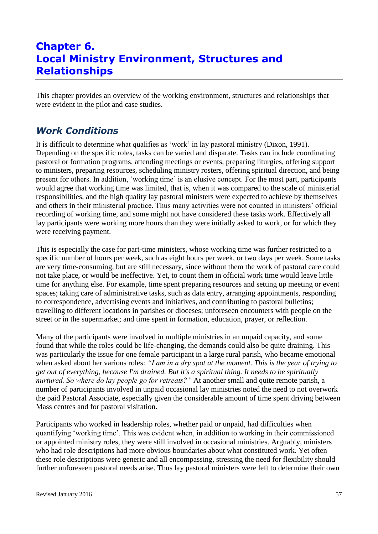# **Chapter 6. Local Ministry Environment, Structures and Relationships**

This chapter provides an overview of the working environment, structures and relationships that were evident in the pilot and case studies.

### *Work Conditions*

It is difficult to determine what qualifies as 'work' in lay pastoral ministry (Dixon, 1991). Depending on the specific roles, tasks can be varied and disparate. Tasks can include coordinating pastoral or formation programs, attending meetings or events, preparing liturgies, offering support to ministers, preparing resources, scheduling ministry rosters, offering spiritual direction, and being present for others. In addition, 'working time' is an elusive concept. For the most part, participants would agree that working time was limited, that is, when it was compared to the scale of ministerial responsibilities, and the high quality lay pastoral ministers were expected to achieve by themselves and others in their ministerial practice. Thus many activities were not counted in ministers' official recording of working time, and some might not have considered these tasks work. Effectively all lay participants were working more hours than they were initially asked to work, or for which they were receiving payment.

This is especially the case for part-time ministers, whose working time was further restricted to a specific number of hours per week, such as eight hours per week, or two days per week. Some tasks are very time-consuming, but are still necessary, since without them the work of pastoral care could not take place, or would be ineffective. Yet, to count them in official work time would leave little time for anything else. For example, time spent preparing resources and setting up meeting or event spaces; taking care of administrative tasks, such as data entry, arranging appointments, responding to correspondence, advertising events and initiatives, and contributing to pastoral bulletins; travelling to different locations in parishes or dioceses; unforeseen encounters with people on the street or in the supermarket; and time spent in formation, education, prayer, or reflection.

Many of the participants were involved in multiple ministries in an unpaid capacity, and some found that while the roles could be life-changing, the demands could also be quite draining. This was particularly the issue for one female participant in a large rural parish, who became emotional when asked about her various roles: *"I am in a dry spot at the moment. This is the year of trying to get out of everything, because I'm drained. But it's a spiritual thing. It needs to be spiritually nurtured. So where do lay people go for retreats?"* At another small and quite remote parish, a number of participants involved in unpaid occasional lay ministries noted the need to not overwork the paid Pastoral Associate, especially given the considerable amount of time spent driving between Mass centres and for pastoral visitation.

Participants who worked in leadership roles, whether paid or unpaid, had difficulties when quantifying 'working time'. This was evident when, in addition to working in their commissioned or appointed ministry roles, they were still involved in occasional ministries. Arguably, ministers who had role descriptions had more obvious boundaries about what constituted work. Yet often these role descriptions were generic and all encompassing, stressing the need for flexibility should further unforeseen pastoral needs arise. Thus lay pastoral ministers were left to determine their own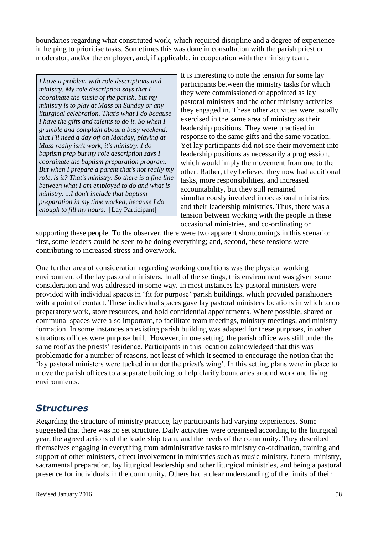boundaries regarding what constituted work, which required discipline and a degree of experience in helping to prioritise tasks. Sometimes this was done in consultation with the parish priest or moderator, and/or the employer, and, if applicable, in cooperation with the ministry team.

*I have a problem with role descriptions and ministry. My role description says that I coordinate the music of the parish, but my ministry is to play at Mass on Sunday or any liturgical celebration. That's what I do because I have the gifts and talents to do it. So when I grumble and complain about a busy weekend, that I'll need a day off on Monday, playing at Mass really isn't work, it's ministry. I do baptism prep but my role description says I coordinate the baptism preparation program. But when I prepare a parent that's not really my role, is it? That's ministry. So there is a fine line between what I am employed to do and what is ministry. ...I don't include that baptism preparation in my time worked, because I do enough to fill my hours.* [Lay Participant]

It is interesting to note the tension for some lay participants between the ministry tasks for which they were commissioned or appointed as lay pastoral ministers and the other ministry activities they engaged in. These other activities were usually exercised in the same area of ministry as their leadership positions. They were practised in response to the same gifts and the same vocation. Yet lay participants did not see their movement into leadership positions as necessarily a progression, which would imply the movement from one to the other. Rather, they believed they now had additional tasks, more responsibilities, and increased accountability, but they still remained simultaneously involved in occasional ministries and their leadership ministries. Thus, there was a tension between working with the people in these occasional ministries, and co-ordinating or

supporting these people. To the observer, there were two apparent shortcomings in this scenario: first, some leaders could be seen to be doing everything; and, second, these tensions were contributing to increased stress and overwork.

One further area of consideration regarding working conditions was the physical working environment of the lay pastoral ministers. In all of the settings, this environment was given some consideration and was addressed in some way. In most instances lay pastoral ministers were provided with individual spaces in 'fit for purpose' parish buildings, which provided parishioners with a point of contact. These individual spaces gave lay pastoral ministers locations in which to do preparatory work, store resources, and hold confidential appointments. Where possible, shared or communal spaces were also important, to facilitate team meetings, ministry meetings, and ministry formation. In some instances an existing parish building was adapted for these purposes, in other situations offices were purpose built. However, in one setting, the parish office was still under the same roof as the priests' residence. Participants in this location acknowledged that this was problematic for a number of reasons, not least of which it seemed to encourage the notion that the 'lay pastoral ministers were tucked in under the priest's wing'. In this setting plans were in place to move the parish offices to a separate building to help clarify boundaries around work and living environments.

#### *Structures*

Regarding the structure of ministry practice, lay participants had varying experiences. Some suggested that there was no set structure. Daily activities were organised according to the liturgical year, the agreed actions of the leadership team, and the needs of the community. They described themselves engaging in everything from administrative tasks to ministry co-ordination, training and support of other ministers, direct involvement in ministries such as music ministry, funeral ministry, sacramental preparation, lay liturgical leadership and other liturgical ministries, and being a pastoral presence for individuals in the community. Others had a clear understanding of the limits of their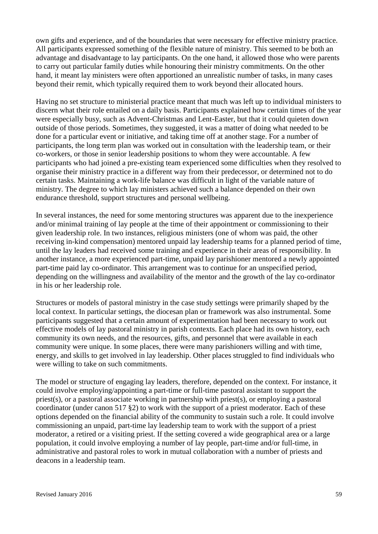own gifts and experience, and of the boundaries that were necessary for effective ministry practice. All participants expressed something of the flexible nature of ministry. This seemed to be both an advantage and disadvantage to lay participants. On the one hand, it allowed those who were parents to carry out particular family duties while honouring their ministry commitments. On the other hand, it meant lay ministers were often apportioned an unrealistic number of tasks, in many cases beyond their remit, which typically required them to work beyond their allocated hours.

Having no set structure to ministerial practice meant that much was left up to individual ministers to discern what their role entailed on a daily basis. Participants explained how certain times of the year were especially busy, such as Advent-Christmas and Lent-Easter, but that it could quieten down outside of those periods. Sometimes, they suggested, it was a matter of doing what needed to be done for a particular event or initiative, and taking time off at another stage. For a number of participants, the long term plan was worked out in consultation with the leadership team, or their co-workers, or those in senior leadership positions to whom they were accountable. A few participants who had joined a pre-existing team experienced some difficulties when they resolved to organise their ministry practice in a different way from their predecessor, or determined not to do certain tasks. Maintaining a work-life balance was difficult in light of the variable nature of ministry. The degree to which lay ministers achieved such a balance depended on their own endurance threshold, support structures and personal wellbeing.

In several instances, the need for some mentoring structures was apparent due to the inexperience and/or minimal training of lay people at the time of their appointment or commissioning to their given leadership role. In two instances, religious ministers (one of whom was paid, the other receiving in-kind compensation) mentored unpaid lay leadership teams for a planned period of time, until the lay leaders had received some training and experience in their areas of responsibility. In another instance, a more experienced part-time, unpaid lay parishioner mentored a newly appointed part-time paid lay co-ordinator. This arrangement was to continue for an unspecified period, depending on the willingness and availability of the mentor and the growth of the lay co-ordinator in his or her leadership role.

Structures or models of pastoral ministry in the case study settings were primarily shaped by the local context. In particular settings, the diocesan plan or framework was also instrumental. Some participants suggested that a certain amount of experimentation had been necessary to work out effective models of lay pastoral ministry in parish contexts. Each place had its own history, each community its own needs, and the resources, gifts, and personnel that were available in each community were unique. In some places, there were many parishioners willing and with time, energy, and skills to get involved in lay leadership. Other places struggled to find individuals who were willing to take on such commitments.

The model or structure of engaging lay leaders, therefore, depended on the context. For instance, it could involve employing/appointing a part-time or full-time pastoral assistant to support the priest(s), or a pastoral associate working in partnership with priest(s), or employing a pastoral coordinator (under canon 517 §2) to work with the support of a priest moderator. Each of these options depended on the financial ability of the community to sustain such a role. It could involve commissioning an unpaid, part-time lay leadership team to work with the support of a priest moderator, a retired or a visiting priest. If the setting covered a wide geographical area or a large population, it could involve employing a number of lay people, part-time and/or full-time, in administrative and pastoral roles to work in mutual collaboration with a number of priests and deacons in a leadership team.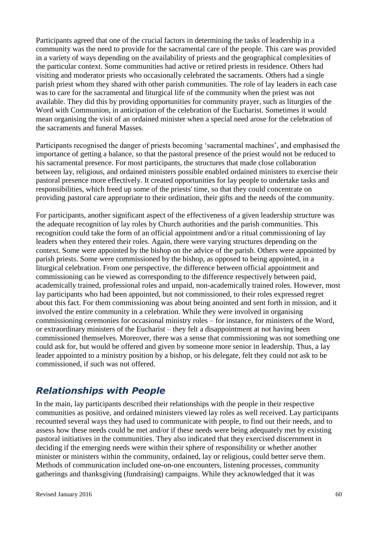Participants agreed that one of the crucial factors in determining the tasks of leadership in a community was the need to provide for the sacramental care of the people. This care was provided in a variety of ways depending on the availability of priests and the geographical complexities of the particular context. Some communities had active or retired priests in residence. Others had visiting and moderator priests who occasionally celebrated the sacraments. Others had a single parish priest whom they shared with other parish communities. The role of lay leaders in each case was to care for the sacramental and liturgical life of the community when the priest was not available. They did this by providing opportunities for community prayer, such as liturgies of the Word with Communion, in anticipation of the celebration of the Eucharist. Sometimes it would mean organising the visit of an ordained minister when a special need arose for the celebration of the sacraments and funeral Masses.

Participants recognised the danger of priests becoming 'sacramental machines', and emphasised the importance of getting a balance, so that the pastoral presence of the priest would not be reduced to his sacramental presence. For most participants, the structures that made close collaboration between lay, religious, and ordained ministers possible enabled ordained ministers to exercise their pastoral presence more effectively. It created opportunities for lay people to undertake tasks and responsibilities, which freed up some of the priests' time, so that they could concentrate on providing pastoral care appropriate to their ordination, their gifts and the needs of the community.

For participants, another significant aspect of the effectiveness of a given leadership structure was the adequate recognition of lay roles by Church authorities and the parish communities. This recognition could take the form of an official appointment and/or a ritual commissioning of lay leaders when they entered their roles. Again, there were varying structures depending on the context. Some were appointed by the bishop on the advice of the parish. Others were appointed by parish priests. Some were commissioned by the bishop, as opposed to being appointed, in a liturgical celebration. From one perspective, the difference between official appointment and commissioning can be viewed as corresponding to the difference respectively between paid, academically trained, professional roles and unpaid, non-academically trained roles. However, most lay participants who had been appointed, but not commissioned, to their roles expressed regret about this fact. For them commissioning was about being anointed and sent forth in mission, and it involved the entire community in a celebration. While they were involved in organising commissioning ceremonies for occasional ministry roles – for instance, for ministers of the Word, or extraordinary ministers of the Eucharist – they felt a disappointment at not having been commissioned themselves. Moreover, there was a sense that commissioning was not something one could ask for, but would be offered and given by someone more senior in leadership. Thus, a lay leader appointed to a ministry position by a bishop, or his delegate, felt they could not ask to be commissioned, if such was not offered.

#### *Relationships with People*

In the main, lay participants described their relationships with the people in their respective communities as positive, and ordained ministers viewed lay roles as well received. Lay participants recounted several ways they had used to communicate with people, to find out their needs, and to assess how these needs could be met and/or if these needs were being adequately met by existing pastoral initiatives in the communities. They also indicated that they exercised discernment in deciding if the emerging needs were within their sphere of responsibility or whether another minister or ministers within the community, ordained, lay or religious, could better serve them. Methods of communication included one-on-one encounters, listening processes, community gatherings and thanksgiving (fundraising) campaigns. While they acknowledged that it was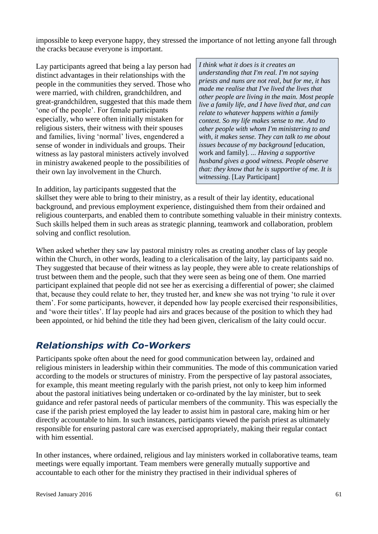impossible to keep everyone happy, they stressed the importance of not letting anyone fall through the cracks because everyone is important.

Lay participants agreed that being a lay person had distinct advantages in their relationships with the people in the communities they served. Those who were married, with children, grandchildren, and great-grandchildren, suggested that this made them 'one of the people'. For female participants especially, who were often initially mistaken for religious sisters, their witness with their spouses and families, living 'normal' lives, engendered a sense of wonder in individuals and groups. Their witness as lay pastoral ministers actively involved in ministry awakened people to the possibilities of their own lay involvement in the Church.

*I think what it does is it creates an understanding that I'm real. I'm not saying priests and nuns are not real, but for me, it has made me realise that I've lived the lives that other people are living in the main. Most people live a family life, and I have lived that, and can relate to whatever happens within a family context. So my life makes sense to me. And to other people with whom I'm ministering to and with, it makes sense. They can talk to me about issues because of my background* [education, work and family]*. ... Having a supportive husband gives a good witness. People observe that: they know that he is supportive of me. It is witnessing.* [Lay Participant]

In addition, lay participants suggested that the

skillset they were able to bring to their ministry, as a result of their lay identity, educational background, and previous employment experience, distinguished them from their ordained and religious counterparts, and enabled them to contribute something valuable in their ministry contexts. Such skills helped them in such areas as strategic planning, teamwork and collaboration, problem solving and conflict resolution.

When asked whether they saw lay pastoral ministry roles as creating another class of lay people within the Church, in other words, leading to a clericalisation of the laity, lay participants said no. They suggested that because of their witness as lay people, they were able to create relationships of trust between them and the people, such that they were seen as being one of them. One married participant explained that people did not see her as exercising a differential of power; she claimed that, because they could relate to her, they trusted her, and knew she was not trying 'to rule it over them'. For some participants, however, it depended how lay people exercised their responsibilities, and 'wore their titles'. If lay people had airs and graces because of the position to which they had been appointed, or hid behind the title they had been given, clericalism of the laity could occur.

### *Relationships with Co-Workers*

Participants spoke often about the need for good communication between lay, ordained and religious ministers in leadership within their communities. The mode of this communication varied according to the models or structures of ministry. From the perspective of lay pastoral associates, for example, this meant meeting regularly with the parish priest, not only to keep him informed about the pastoral initiatives being undertaken or co-ordinated by the lay minister, but to seek guidance and refer pastoral needs of particular members of the community. This was especially the case if the parish priest employed the lay leader to assist him in pastoral care, making him or her directly accountable to him. In such instances, participants viewed the parish priest as ultimately responsible for ensuring pastoral care was exercised appropriately, making their regular contact with him essential.

In other instances, where ordained, religious and lay ministers worked in collaborative teams, team meetings were equally important. Team members were generally mutually supportive and accountable to each other for the ministry they practised in their individual spheres of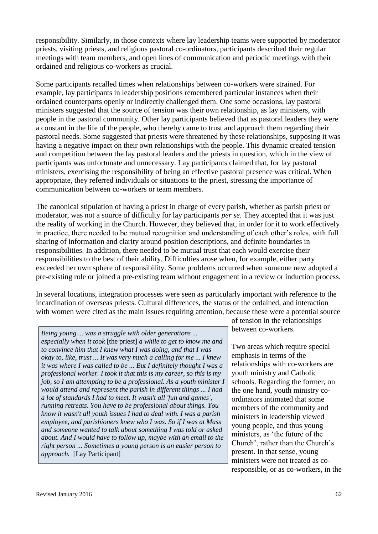responsibility. Similarly, in those contexts where lay leadership teams were supported by moderator priests, visiting priests, and religious pastoral co-ordinators, participants described their regular meetings with team members, and open lines of communication and periodic meetings with their ordained and religious co-workers as crucial.

Some participants recalled times when relationships between co-workers were strained. For example, lay participants in leadership positions remembered particular instances when their ordained counterparts openly or indirectly challenged them. One some occasions, lay pastoral ministers suggested that the source of tension was their own relationship, as lay ministers, with people in the pastoral community. Other lay participants believed that as pastoral leaders they were a constant in the life of the people, who thereby came to trust and approach them regarding their pastoral needs. Some suggested that priests were threatened by these relationships, supposing it was having a negative impact on their own relationships with the people. This dynamic created tension and competition between the lay pastoral leaders and the priests in question, which in the view of participants was unfortunate and unnecessary. Lay participants claimed that, for lay pastoral ministers, exercising the responsibility of being an effective pastoral presence was critical. When appropriate, they referred individuals or situations to the priest, stressing the importance of communication between co-workers or team members.

The canonical stipulation of having a priest in charge of every parish, whether as parish priest or moderator, was not a source of difficulty for lay participants *per se*. They accepted that it was just the reality of working in the Church. However, they believed that, in order for it to work effectively in practice, there needed to be mutual recognition and understanding of each other's roles, with full sharing of information and clarity around position descriptions, and definite boundaries in responsibilities. In addition, there needed to be mutual trust that each would exercise their responsibilities to the best of their ability. Difficulties arose when, for example, either party exceeded her own sphere of responsibility. Some problems occurred when someone new adopted a pre-existing role or joined a pre-existing team without engagement in a review or induction process.

In several locations, integration processes were seen as particularly important with reference to the incardination of overseas priests. Cultural differences, the status of the ordained, and interaction with women were cited as the main issues requiring attention, because these were a potential source

*Being young ... was a struggle with older generations ... especially when it took* [the priest] *a while to get to know me and to convince him that I knew what I was doing, and that I was okay to, like, trust ... It was very much a calling for me ... I knew it was where I was called to be ... But I definitely thought I was a professional worker. I took it that this is my career, so this is my job, so I am attempting to be a professional. As a youth minister I would attend and represent the parish in different things ... I had a lot of standards I had to meet. It wasn't all 'fun and games', running retreats. You have to be professional about things. You know it wasn't all youth issues I had to deal with. I was a parish employee, and parishioners knew who I was. So if I was at Mass and someone wanted to talk about something I was told or asked about. And I would have to follow up, maybe with an email to the right person ... Sometimes a young person is an easier person to approach.* [Lay Participant]

of tension in the relationships between co-workers.

Two areas which require special emphasis in terms of the relationships with co-workers are youth ministry and Catholic schools. Regarding the former, on the one hand, youth ministry coordinators intimated that some members of the community and ministers in leadership viewed young people, and thus young ministers, as 'the future of the Church', rather than the Church's present. In that sense, young ministers were not treated as coresponsible, or as co-workers, in the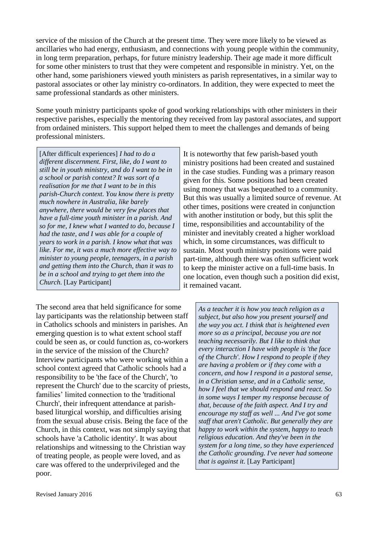service of the mission of the Church at the present time. They were more likely to be viewed as ancillaries who had energy, enthusiasm, and connections with young people within the community, in long term preparation, perhaps, for future ministry leadership. Their age made it more difficult for some other ministers to trust that they were competent and responsible in ministry. Yet, on the other hand, some parishioners viewed youth ministers as parish representatives, in a similar way to pastoral associates or other lay ministry co-ordinators. In addition, they were expected to meet the same professional standards as other ministers.

Some youth ministry participants spoke of good working relationships with other ministers in their respective parishes, especially the mentoring they received from lay pastoral associates, and support from ordained ministers. This support helped them to meet the challenges and demands of being professional ministers.

[After difficult experiences] *I had to do a different discernment. First, like, do I want to still be in youth ministry, and do I want to be in a school or parish context? It was sort of a realisation for me that I want to be in this parish-Church context. You know there is pretty much nowhere in Australia, like barely anywhere, there would be very few places that have a full-time youth minister in a parish. And so for me, I knew what I wanted to do, because I had the taste, and I was able for a couple of years to work in a parish. I know what that was like. For me, it was a much more effective way to minister to young people, teenagers, in a parish and getting them into the Church, than it was to be in a school and trying to get them into the Church.* [Lay Participant]

The second area that held significance for some lay participants was the relationship between staff in Catholics schools and ministers in parishes. An emerging question is to what extent school staff could be seen as, or could function as, co-workers in the service of the mission of the Church? Interview participants who were working within a school context agreed that Catholic schools had a responsibility to be 'the face of the Church', 'to represent the Church' due to the scarcity of priests, families' limited connection to the 'traditional Church', their infrequent attendance at parishbased liturgical worship, and difficulties arising from the sexual abuse crisis. Being the face of the Church, in this context, was not simply saying that schools have 'a Catholic identity'. It was about relationships and witnessing to the Christian way of treating people, as people were loved, and as care was offered to the underprivileged and the poor.

It is noteworthy that few parish-based youth ministry positions had been created and sustained in the case studies. Funding was a primary reason given for this. Some positions had been created using money that was bequeathed to a community. But this was usually a limited source of revenue. At other times, positions were created in conjunction with another institution or body, but this split the time, responsibilities and accountability of the minister and inevitably created a higher workload which, in some circumstances, was difficult to sustain. Most youth ministry positions were paid part-time, although there was often sufficient work to keep the minister active on a full-time basis. In one location, even though such a position did exist, it remained vacant.

*As a teacher it is how you teach religion as a subject, but also how you present yourself and the way you act. I think that is heightened even more so as a principal, because you are not teaching necessarily. But I like to think that every interaction I have with people is 'the face of the Church'. How I respond to people if they are having a problem or if they come with a concern, and how I respond in a pastoral sense, in a Christian sense, and in a Catholic sense, how I feel that we should respond and react. So in some ways I temper my response because of that, because of the faith aspect. And I try and encourage my staff as well ... And I've got some staff that aren't Catholic. But generally they are happy to work within the system, happy to teach religious education. And they've been in the system for a long time, so they have experienced the Catholic grounding. I've never had someone that is against it.* [Lay Participant]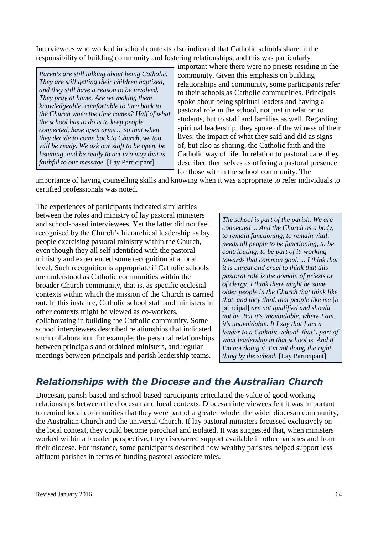Interviewees who worked in school contexts also indicated that Catholic schools share in the responsibility of building community and fostering relationships, and this was particularly

*Parents are still talking about being Catholic. They are still getting their children baptised, and they still have a reason to be involved. They pray at home. Are we making them knowledgeable, comfortable to turn back to the Church when the time comes? Half of what the school has to do is to keep people connected, have open arms ... so that when they decide to come back to Church, we too will be ready. We ask our staff to be open, be listening, and be ready to act in a way that is faithful to our message.* [Lay Participant]

important where there were no priests residing in the community. Given this emphasis on building relationships and community, some participants refer to their schools as Catholic communities. Principals spoke about being spiritual leaders and having a pastoral role in the school, not just in relation to students, but to staff and families as well. Regarding spiritual leadership, they spoke of the witness of their lives: the impact of what they said and did as signs of, but also as sharing, the Catholic faith and the Catholic way of life. In relation to pastoral care, they described themselves as offering a pastoral presence for those within the school community. The

importance of having counselling skills and knowing when it was appropriate to refer individuals to certified professionals was noted.

The experiences of participants indicated similarities between the roles and ministry of lay pastoral ministers and school-based interviewees. Yet the latter did not feel recognised by the Church's hierarchical leadership as lay people exercising pastoral ministry within the Church, even though they all self-identified with the pastoral ministry and experienced some recognition at a local level. Such recognition is appropriate if Catholic schools are understood as Catholic communities within the broader Church community, that is, as specific ecclesial contexts within which the mission of the Church is carried out. In this instance, Catholic school staff and ministers in other contexts might be viewed as co-workers, collaborating in building the Catholic community. Some school interviewees described relationships that indicated such collaboration: for example, the personal relationships between principals and ordained ministers, and regular meetings between principals and parish leadership teams.

*The school is part of the parish. We are connected ... And the Church as a body, to remain functioning, to remain vital, needs all people to be functioning, to be contributing, to be part of it, working towards that common goal. ... I think that it is unreal and cruel to think that this pastoral role is the domain of priests or of clergy. I think there might be some older people in the Church that think like that, and they think that people like me* [a principal] *are not qualified and should not be. But it's unavoidable, where I am, it's unavoidable. If I say that I am a leader to a Catholic school, that's part of what leadership in that school is. And if I'm not doing it, I'm not doing the right thing by the school.* [Lay Participant]

# *Relationships with the Diocese and the Australian Church*

Diocesan, parish-based and school-based participants articulated the value of good working relationships between the diocesan and local contexts. Diocesan interviewees felt it was important to remind local communities that they were part of a greater whole: the wider diocesan community, the Australian Church and the universal Church. If lay pastoral ministers focussed exclusively on the local context, they could become parochial and isolated. It was suggested that, when ministers worked within a broader perspective, they discovered support available in other parishes and from their diocese. For instance, some participants described how wealthy parishes helped support less affluent parishes in terms of funding pastoral associate roles.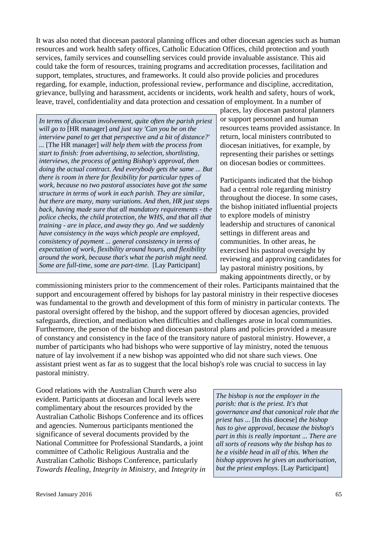It was also noted that diocesan pastoral planning offices and other diocesan agencies such as human resources and work health safety offices, Catholic Education Offices, child protection and youth services, family services and counselling services could provide invaluable assistance. This aid could take the form of resources, training programs and accreditation processes, facilitation and support, templates, structures, and frameworks. It could also provide policies and procedures regarding, for example, induction, professional review, performance and discipline, accreditation, grievance, bullying and harassment, accidents or incidents, work health and safety, hours of work, leave, travel, confidentiality and data protection and cessation of employment. In a number of

*In terms of diocesan involvement, quite often the parish priest will go to* [HR manager] *and just say 'Can you be on the interview panel to get that perspective and a bit of distance?' ...* [The HR manager] *will help them with the process from start to finish: from advertising, to selection, shortlisting, interviews, the process of getting Bishop's approval, then doing the actual contract. And everybody gets the same ... But there is room in there for flexibility for particular types of work, because no two pastoral associates have got the same structure in terms of work in each parish. They are similar, but there are many, many variations. And then, HR just steps back, having made sure that all mandatory requirements - the police checks, the child protection, the WHS, and that all that training - are in place, and away they go. And we suddenly have consistency in the ways which people are employed, consistency of payment ... general consistency in terms of expectation of work, flexibility around hours, and flexibility around the work, because that's what the parish might need. Some are full-time, some are part-time.* [Lay Participant]

places, lay diocesan pastoral planners or support personnel and human resources teams provided assistance. In return, local ministers contributed to diocesan initiatives, for example, by representing their parishes or settings on diocesan bodies or committees.

Participants indicated that the bishop had a central role regarding ministry throughout the diocese. In some cases, the bishop initiated influential projects to explore models of ministry leadership and structures of canonical settings in different areas and communities. In other areas, he exercised his pastoral oversight by reviewing and approving candidates for lay pastoral ministry positions, by making appointments directly, or by

commissioning ministers prior to the commencement of their roles. Participants maintained that the support and encouragement offered by bishops for lay pastoral ministry in their respective dioceses was fundamental to the growth and development of this form of ministry in particular contexts. The pastoral oversight offered by the bishop, and the support offered by diocesan agencies, provided safeguards, direction, and mediation when difficulties and challenges arose in local communities. Furthermore, the person of the bishop and diocesan pastoral plans and policies provided a measure of constancy and consistency in the face of the transitory nature of pastoral ministry. However, a number of participants who had bishops who were supportive of lay ministry, noted the tenuous nature of lay involvement if a new bishop was appointed who did not share such views. One assistant priest went as far as to suggest that the local bishop's role was crucial to success in lay pastoral ministry.

Good relations with the Australian Church were also evident. Participants at diocesan and local levels were complimentary about the resources provided by the Australian Catholic Bishops Conference and its offices and agencies. Numerous participants mentioned the significance of several documents provided by the National Committee for Professional Standards, a joint committee of Catholic Religious Australia and the Australian Catholic Bishops Conference, particularly *Towards Healing, Integrity in Ministry,* and *Integrity in* 

*The bishop is not the employer in the parish: that is the priest. It's that governance and that canonical role that the priest has ...* [In this diocese] *the bishop has to give approval, because the bishop's part in this is really important ... There are all sorts of reasons why the bishop has to be a visible head in all of this. When the bishop approves he gives an authorisation, but the priest employs.* [Lay Participant]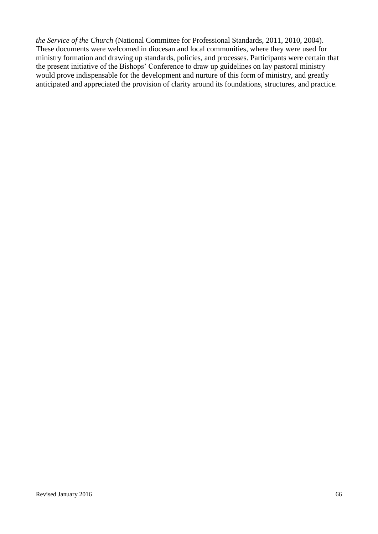*the Service of the Church* (National Committee for Professional Standards, 2011, 2010, 2004). These documents were welcomed in diocesan and local communities, where they were used for ministry formation and drawing up standards, policies, and processes. Participants were certain that the present initiative of the Bishops' Conference to draw up guidelines on lay pastoral ministry would prove indispensable for the development and nurture of this form of ministry, and greatly anticipated and appreciated the provision of clarity around its foundations, structures, and practice.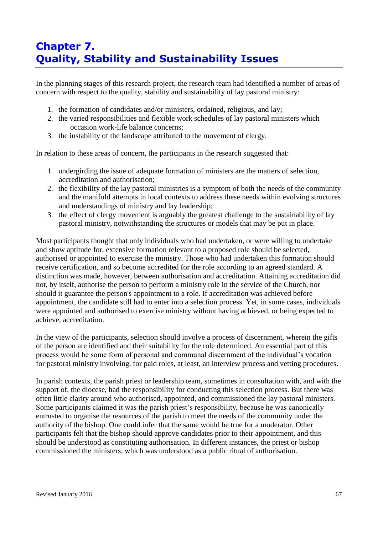# **Chapter 7. Quality, Stability and Sustainability Issues**

In the planning stages of this research project, the research team had identified a number of areas of concern with respect to the quality, stability and sustainability of lay pastoral ministry:

- 1. the formation of candidates and/or ministers, ordained, religious, and lay;
- 2. the varied responsibilities and flexible work schedules of lay pastoral ministers which occasion work-life balance concerns;
- 3. the instability of the landscape attributed to the movement of clergy.

In relation to these areas of concern, the participants in the research suggested that:

- 1. undergirding the issue of adequate formation of ministers are the matters of selection, accreditation and authorisation;
- 2. the flexibility of the lay pastoral ministries is a symptom of both the needs of the community and the manifold attempts in local contexts to address these needs within evolving structures and understandings of ministry and lay leadership;
- 3. the effect of clergy movement is arguably the greatest challenge to the sustainability of lay pastoral ministry, notwithstanding the structures or models that may be put in place.

Most participants thought that only individuals who had undertaken, or were willing to undertake and show aptitude for, extensive formation relevant to a proposed role should be selected, authorised or appointed to exercise the ministry. Those who had undertaken this formation should receive certification, and so become accredited for the role according to an agreed standard. A distinction was made, however, between authorisation and accreditation. Attaining accreditation did not, by itself, authorise the person to perform a ministry role in the service of the Church, nor should it guarantee the person's appointment to a role. If accreditation was achieved before appointment, the candidate still had to enter into a selection process. Yet, in some cases, individuals were appointed and authorised to exercise ministry without having achieved, or being expected to achieve, accreditation.

In the view of the participants, selection should involve a process of discernment, wherein the gifts of the person are identified and their suitability for the role determined. An essential part of this process would be some form of personal and communal discernment of the individual's vocation for pastoral ministry involving, for paid roles, at least, an interview process and vetting procedures.

In parish contexts, the parish priest or leadership team, sometimes in consultation with, and with the support of, the diocese, had the responsibility for conducting this selection process. But there was often little clarity around who authorised, appointed, and commissioned the lay pastoral ministers. Some participants claimed it was the parish priest's responsibility, because he was canonically entrusted to organise the resources of the parish to meet the needs of the community under the authority of the bishop. One could infer that the same would be true for a moderator. Other participants felt that the bishop should approve candidates prior to their appointment, and this should be understood as constituting authorisation. In different instances, the priest or bishop commissioned the ministers, which was understood as a public ritual of authorisation.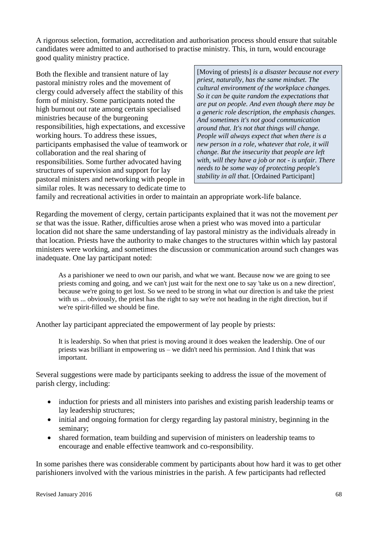A rigorous selection, formation, accreditation and authorisation process should ensure that suitable candidates were admitted to and authorised to practise ministry. This, in turn, would encourage good quality ministry practice.

Both the flexible and transient nature of lay pastoral ministry roles and the movement of clergy could adversely affect the stability of this form of ministry. Some participants noted the high burnout out rate among certain specialised ministries because of the burgeoning responsibilities, high expectations, and excessive working hours. To address these issues, participants emphasised the value of teamwork or collaboration and the real sharing of responsibilities. Some further advocated having structures of supervision and support for lay pastoral ministers and networking with people in similar roles. It was necessary to dedicate time to

[Moving of priests] *is a disaster because not every priest, naturally, has the same mindset. The cultural environment of the workplace changes. So it can be quite random the expectations that are put on people. And even though there may be a generic role description, the emphasis changes. And sometimes it's not good communication around that. It's not that things will change. People will always expect that when there is a new person in a role, whatever that role, it will change. But the insecurity that people are left with, will they have a job or not - is unfair. There needs to be some way of protecting people's stability in all that.* [Ordained Participant]

family and recreational activities in order to maintain an appropriate work-life balance.

Regarding the movement of clergy, certain participants explained that it was not the movement *per se* that was the issue. Rather, difficulties arose when a priest who was moved into a particular location did not share the same understanding of lay pastoral ministry as the individuals already in that location. Priests have the authority to make changes to the structures within which lay pastoral ministers were working, and sometimes the discussion or communication around such changes was inadequate. One lay participant noted:

As a parishioner we need to own our parish, and what we want. Because now we are going to see priests coming and going, and we can't just wait for the next one to say 'take us on a new direction', because we're going to get lost. So we need to be strong in what our direction is and take the priest with us ... obviously, the priest has the right to say we're not heading in the right direction, but if we're spirit-filled we should be fine.

Another lay participant appreciated the empowerment of lay people by priests:

It is leadership. So when that priest is moving around it does weaken the leadership. One of our priests was brilliant in empowering us – we didn't need his permission. And I think that was important.

Several suggestions were made by participants seeking to address the issue of the movement of parish clergy, including:

- induction for priests and all ministers into parishes and existing parish leadership teams or lay leadership structures;
- initial and ongoing formation for clergy regarding lay pastoral ministry, beginning in the seminary;
- shared formation, team building and supervision of ministers on leadership teams to encourage and enable effective teamwork and co-responsibility.

In some parishes there was considerable comment by participants about how hard it was to get other parishioners involved with the various ministries in the parish. A few participants had reflected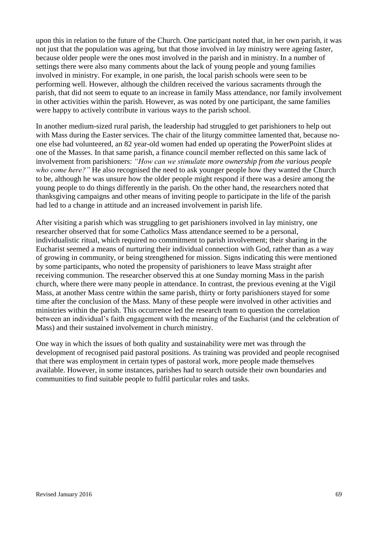upon this in relation to the future of the Church. One participant noted that, in her own parish, it was not just that the population was ageing, but that those involved in lay ministry were ageing faster, because older people were the ones most involved in the parish and in ministry. In a number of settings there were also many comments about the lack of young people and young families involved in ministry. For example, in one parish, the local parish schools were seen to be performing well. However, although the children received the various sacraments through the parish, that did not seem to equate to an increase in family Mass attendance, nor family involvement in other activities within the parish. However, as was noted by one participant, the same families were happy to actively contribute in various ways to the parish school.

In another medium-sized rural parish, the leadership had struggled to get parishioners to help out with Mass during the Easter services. The chair of the liturgy committee lamented that, because noone else had volunteered, an 82 year-old women had ended up operating the PowerPoint slides at one of the Masses. In that same parish, a finance council member reflected on this same lack of involvement from parishioners: *"How can we stimulate more ownership from the various people who come here?"* He also recognised the need to ask younger people how they wanted the Church to be, although he was unsure how the older people might respond if there was a desire among the young people to do things differently in the parish. On the other hand, the researchers noted that thanksgiving campaigns and other means of inviting people to participate in the life of the parish had led to a change in attitude and an increased involvement in parish life.

After visiting a parish which was struggling to get parishioners involved in lay ministry, one researcher observed that for some Catholics Mass attendance seemed to be a personal, individualistic ritual, which required no commitment to parish involvement; their sharing in the Eucharist seemed a means of nurturing their individual connection with God, rather than as a way of growing in community, or being strengthened for mission. Signs indicating this were mentioned by some participants, who noted the propensity of parishioners to leave Mass straight after receiving communion. The researcher observed this at one Sunday morning Mass in the parish church, where there were many people in attendance. In contrast, the previous evening at the Vigil Mass, at another Mass centre within the same parish, thirty or forty parishioners stayed for some time after the conclusion of the Mass. Many of these people were involved in other activities and ministries within the parish. This occurrence led the research team to question the correlation between an individual's faith engagement with the meaning of the Eucharist (and the celebration of Mass) and their sustained involvement in church ministry.

One way in which the issues of both quality and sustainability were met was through the development of recognised paid pastoral positions. As training was provided and people recognised that there was employment in certain types of pastoral work, more people made themselves available. However, in some instances, parishes had to search outside their own boundaries and communities to find suitable people to fulfil particular roles and tasks.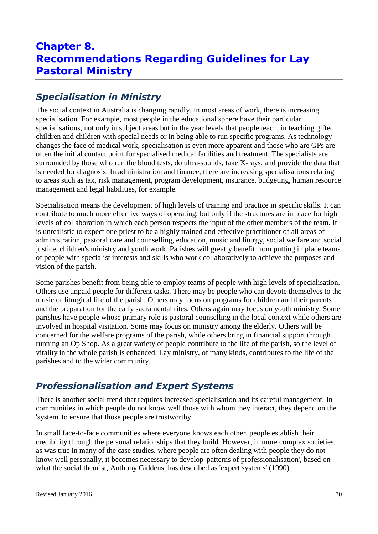# **Chapter 8. Recommendations Regarding Guidelines for Lay Pastoral Ministry**

# *Specialisation in Ministry*

The social context in Australia is changing rapidly. In most areas of work, there is increasing specialisation. For example, most people in the educational sphere have their particular specialisations, not only in subject areas but in the year levels that people teach, in teaching gifted children and children with special needs or in being able to run specific programs. As technology changes the face of medical work, specialisation is even more apparent and those who are GPs are often the initial contact point for specialised medical facilities and treatment. The specialists are surrounded by those who run the blood tests, do ultra-sounds, take X-rays, and provide the data that is needed for diagnosis. In administration and finance, there are increasing specialisations relating to areas such as tax, risk management, program development, insurance, budgeting, human resource management and legal liabilities, for example.

Specialisation means the development of high levels of training and practice in specific skills. It can contribute to much more effective ways of operating, but only if the structures are in place for high levels of collaboration in which each person respects the input of the other members of the team. It is unrealistic to expect one priest to be a highly trained and effective practitioner of all areas of administration, pastoral care and counselling, education, music and liturgy, social welfare and social justice, children's ministry and youth work. Parishes will greatly benefit from putting in place teams of people with specialist interests and skills who work collaboratively to achieve the purposes and vision of the parish.

Some parishes benefit from being able to employ teams of people with high levels of specialisation. Others use unpaid people for different tasks. There may be people who can devote themselves to the music or liturgical life of the parish. Others may focus on programs for children and their parents and the preparation for the early sacramental rites. Others again may focus on youth ministry. Some parishes have people whose primary role is pastoral counselling in the local context while others are involved in hospital visitation. Some may focus on ministry among the elderly. Others will be concerned for the welfare programs of the parish, while others bring in financial support through running an Op Shop. As a great variety of people contribute to the life of the parish, so the level of vitality in the whole parish is enhanced. Lay ministry, of many kinds, contributes to the life of the parishes and to the wider community.

# *Professionalisation and Expert Systems*

There is another social trend that requires increased specialisation and its careful management. In communities in which people do not know well those with whom they interact, they depend on the 'system' to ensure that those people are trustworthy.

In small face-to-face communities where everyone knows each other, people establish their credibility through the personal relationships that they build. However, in more complex societies, as was true in many of the case studies, where people are often dealing with people they do not know well personally, it becomes necessary to develop 'patterns of professionalisation', based on what the social theorist, Anthony Giddens, has described as 'expert systems' (1990).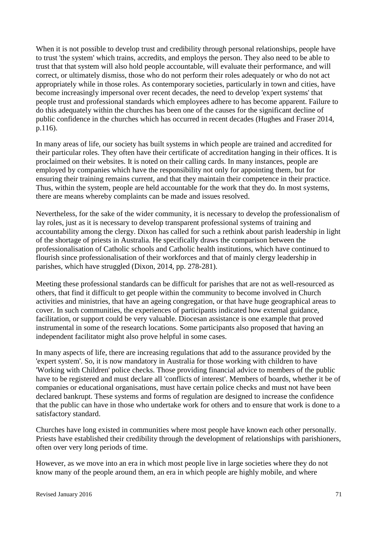When it is not possible to develop trust and credibility through personal relationships, people have to trust 'the system' which trains, accredits, and employs the person. They also need to be able to trust that that system will also hold people accountable, will evaluate their performance, and will correct, or ultimately dismiss, those who do not perform their roles adequately or who do not act appropriately while in those roles. As contemporary societies, particularly in town and cities, have become increasingly impersonal over recent decades, the need to develop 'expert systems' that people trust and professional standards which employees adhere to has become apparent. Failure to do this adequately within the churches has been one of the causes for the significant decline of public confidence in the churches which has occurred in recent decades (Hughes and Fraser 2014, p.116).

In many areas of life, our society has built systems in which people are trained and accredited for their particular roles. They often have their certificate of accreditation hanging in their offices. It is proclaimed on their websites. It is noted on their calling cards. In many instances, people are employed by companies which have the responsibility not only for appointing them, but for ensuring their training remains current, and that they maintain their competence in their practice. Thus, within the system, people are held accountable for the work that they do. In most systems, there are means whereby complaints can be made and issues resolved.

Nevertheless, for the sake of the wider community, it is necessary to develop the professionalism of lay roles, just as it is necessary to develop transparent professional systems of training and accountability among the clergy. Dixon has called for such a rethink about parish leadership in light of the shortage of priests in Australia. He specifically draws the comparison between the professionalisation of Catholic schools and Catholic health institutions, which have continued to flourish since professionalisation of their workforces and that of mainly clergy leadership in parishes, which have struggled (Dixon, 2014, pp. 278-281).

Meeting these professional standards can be difficult for parishes that are not as well-resourced as others, that find it difficult to get people within the community to become involved in Church activities and ministries, that have an ageing congregation, or that have huge geographical areas to cover. In such communities, the experiences of participants indicated how external guidance, facilitation, or support could be very valuable. Diocesan assistance is one example that proved instrumental in some of the research locations. Some participants also proposed that having an independent facilitator might also prove helpful in some cases.

In many aspects of life, there are increasing regulations that add to the assurance provided by the 'expert system'. So, it is now mandatory in Australia for those working with children to have 'Working with Children' police checks. Those providing financial advice to members of the public have to be registered and must declare all 'conflicts of interest'. Members of boards, whether it be of companies or educational organisations, must have certain police checks and must not have been declared bankrupt. These systems and forms of regulation are designed to increase the confidence that the public can have in those who undertake work for others and to ensure that work is done to a satisfactory standard.

Churches have long existed in communities where most people have known each other personally. Priests have established their credibility through the development of relationships with parishioners, often over very long periods of time.

However, as we move into an era in which most people live in large societies where they do not know many of the people around them, an era in which people are highly mobile, and where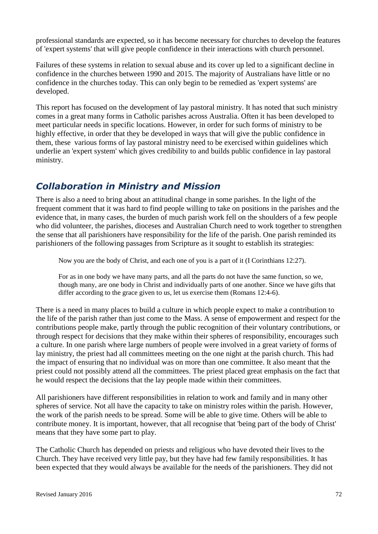professional standards are expected, so it has become necessary for churches to develop the features of 'expert systems' that will give people confidence in their interactions with church personnel.

Failures of these systems in relation to sexual abuse and its cover up led to a significant decline in confidence in the churches between 1990 and 2015. The majority of Australians have little or no confidence in the churches today. This can only begin to be remedied as 'expert systems' are developed.

This report has focused on the development of lay pastoral ministry. It has noted that such ministry comes in a great many forms in Catholic parishes across Australia. Often it has been developed to meet particular needs in specific locations. However, in order for such forms of ministry to be highly effective, in order that they be developed in ways that will give the public confidence in them, these various forms of lay pastoral ministry need to be exercised within guidelines which underlie an 'expert system' which gives credibility to and builds public confidence in lay pastoral ministry.

### *Collaboration in Ministry and Mission*

There is also a need to bring about an attitudinal change in some parishes. In the light of the frequent comment that it was hard to find people willing to take on positions in the parishes and the evidence that, in many cases, the burden of much parish work fell on the shoulders of a few people who did volunteer, the parishes, dioceses and Australian Church need to work together to strengthen the sense that all parishioners have responsibility for the life of the parish. One parish reminded its parishioners of the following passages from Scripture as it sought to establish its strategies:

Now you are the body of Christ, and each one of you is a part of it (I Corinthians 12:27).

For as in one body we have many parts, and all the parts do not have the same function, so we, though many, are one body in Christ and individually parts of one another. Since we have gifts that differ according to the grace given to us, let us exercise them (Romans 12:4-6).

There is a need in many places to build a culture in which people expect to make a contribution to the life of the parish rather than just come to the Mass. A sense of empowerment and respect for the contributions people make, partly through the public recognition of their voluntary contributions, or through respect for decisions that they make within their spheres of responsibility, encourages such a culture. In one parish where large numbers of people were involved in a great variety of forms of lay ministry, the priest had all committees meeting on the one night at the parish church. This had the impact of ensuring that no individual was on more than one committee. It also meant that the priest could not possibly attend all the committees. The priest placed great emphasis on the fact that he would respect the decisions that the lay people made within their committees.

All parishioners have different responsibilities in relation to work and family and in many other spheres of service. Not all have the capacity to take on ministry roles within the parish. However, the work of the parish needs to be spread. Some will be able to give time. Others will be able to contribute money. It is important, however, that all recognise that 'being part of the body of Christ' means that they have some part to play.

The Catholic Church has depended on priests and religious who have devoted their lives to the Church. They have received very little pay, but they have had few family responsibilities. It has been expected that they would always be available for the needs of the parishioners. They did not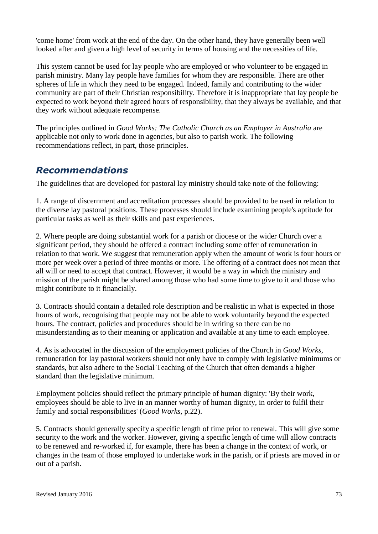'come home' from work at the end of the day. On the other hand, they have generally been well looked after and given a high level of security in terms of housing and the necessities of life.

This system cannot be used for lay people who are employed or who volunteer to be engaged in parish ministry. Many lay people have families for whom they are responsible. There are other spheres of life in which they need to be engaged. Indeed, family and contributing to the wider community are part of their Christian responsibility. Therefore it is inappropriate that lay people be expected to work beyond their agreed hours of responsibility, that they always be available, and that they work without adequate recompense.

The principles outlined in *Good Works: The Catholic Church as an Employer in Australia* are applicable not only to work done in agencies, but also to parish work. The following recommendations reflect, in part, those principles.

## *Recommendations*

The guidelines that are developed for pastoral lay ministry should take note of the following:

1. A range of discernment and accreditation processes should be provided to be used in relation to the diverse lay pastoral positions. These processes should include examining people's aptitude for particular tasks as well as their skills and past experiences.

2. Where people are doing substantial work for a parish or diocese or the wider Church over a significant period, they should be offered a contract including some offer of remuneration in relation to that work. We suggest that remuneration apply when the amount of work is four hours or more per week over a period of three months or more. The offering of a contract does not mean that all will or need to accept that contract. However, it would be a way in which the ministry and mission of the parish might be shared among those who had some time to give to it and those who might contribute to it financially.

3. Contracts should contain a detailed role description and be realistic in what is expected in those hours of work, recognising that people may not be able to work voluntarily beyond the expected hours. The contract, policies and procedures should be in writing so there can be no misunderstanding as to their meaning or application and available at any time to each employee.

4. As is advocated in the discussion of the employment policies of the Church in *Good Works,*  remuneration for lay pastoral workers should not only have to comply with legislative minimums or standards, but also adhere to the Social Teaching of the Church that often demands a higher standard than the legislative minimum.

Employment policies should reflect the primary principle of human dignity: 'By their work, employees should be able to live in an manner worthy of human dignity, in order to fulfil their family and social responsibilities' (*Good Works,* p.22).

5. Contracts should generally specify a specific length of time prior to renewal. This will give some security to the work and the worker. However, giving a specific length of time will allow contracts to be renewed and re-worked if, for example, there has been a change in the context of work, or changes in the team of those employed to undertake work in the parish, or if priests are moved in or out of a parish.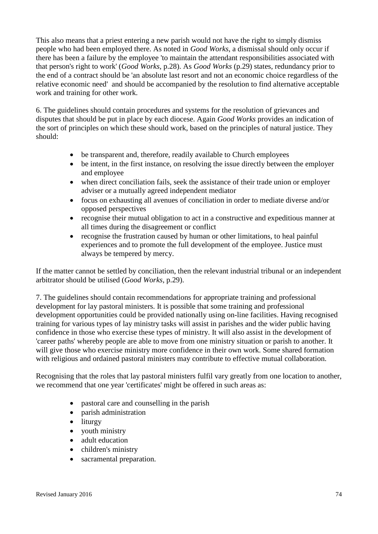This also means that a priest entering a new parish would not have the right to simply dismiss people who had been employed there. As noted in *Good Works*, a dismissal should only occur if there has been a failure by the employee 'to maintain the attendant responsibilities associated with that person's right to work' (*Good Works,* p.28). As *Good Works* (p.29) states, redundancy prior to the end of a contract should be 'an absolute last resort and not an economic choice regardless of the relative economic need' and should be accompanied by the resolution to find alternative acceptable work and training for other work.

6. The guidelines should contain procedures and systems for the resolution of grievances and disputes that should be put in place by each diocese. Again *Good Works* provides an indication of the sort of principles on which these should work, based on the principles of natural justice. They should:

- be transparent and, therefore, readily available to Church employees
- be intent, in the first instance, on resolving the issue directly between the employer and employee
- when direct conciliation fails, seek the assistance of their trade union or employer adviser or a mutually agreed independent mediator
- focus on exhausting all avenues of conciliation in order to mediate diverse and/or opposed perspectives
- recognise their mutual obligation to act in a constructive and expeditious manner at all times during the disagreement or conflict
- recognise the frustration caused by human or other limitations, to heal painful experiences and to promote the full development of the employee. Justice must always be tempered by mercy.

If the matter cannot be settled by conciliation, then the relevant industrial tribunal or an independent arbitrator should be utilised (*Good Works*, p.29).

7. The guidelines should contain recommendations for appropriate training and professional development for lay pastoral ministers. It is possible that some training and professional development opportunities could be provided nationally using on-line facilities. Having recognised training for various types of lay ministry tasks will assist in parishes and the wider public having confidence in those who exercise these types of ministry. It will also assist in the development of 'career paths' whereby people are able to move from one ministry situation or parish to another. It will give those who exercise ministry more confidence in their own work. Some shared formation with religious and ordained pastoral ministers may contribute to effective mutual collaboration.

Recognising that the roles that lay pastoral ministers fulfil vary greatly from one location to another, we recommend that one year 'certificates' might be offered in such areas as:

- pastoral care and counselling in the parish
- parish administration
- liturgy
- youth ministry
- adult education
- children's ministry
- sacramental preparation.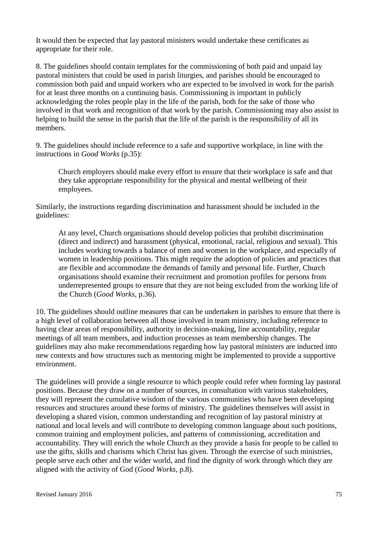It would then be expected that lay pastoral ministers would undertake these certificates as appropriate for their role.

8. The guidelines should contain templates for the commissioning of both paid and unpaid lay pastoral ministers that could be used in parish liturgies, and parishes should be encouraged to commission both paid and unpaid workers who are expected to be involved in work for the parish for at least three months on a continuing basis. Commissioning is important in publicly acknowledging the roles people play in the life of the parish, both for the sake of those who involved in that work and recognition of that work by the parish. Commissioning may also assist in helping to build the sense in the parish that the life of the parish is the responsibility of all its members.

9. The guidelines should include reference to a safe and supportive workplace, in line with the instructions in *Good Works* (p.35):

Church employers should make every effort to ensure that their workplace is safe and that they take appropriate responsibility for the physical and mental wellbeing of their employees.

Similarly, the instructions regarding discrimination and harassment should be included in the guidelines:

At any level, Church organisations should develop policies that prohibit discrimination (direct and indirect) and harassment (physical, emotional, racial, religious and sexual). This includes working towards a balance of men and women in the workplace, and especially of women in leadership positions. This might require the adoption of policies and practices that are flexible and accommodate the demands of family and personal life. Further, Church organisations should examine their recruitment and promotion profiles for persons from underrepresented groups to ensure that they are not being excluded from the working life of the Church (*Good Works,* p.36).

10. The guidelines should outline measures that can be undertaken in parishes to ensure that there is a high level of collaboration between all those involved in team ministry, including reference to having clear areas of responsibility, authority in decision-making, line accountability, regular meetings of all team members, and induction processes as team membership changes. The guidelines may also make recommendations regarding how lay pastoral ministers are inducted into new contexts and how structures such as mentoring might be implemented to provide a supportive environment.

The guidelines will provide a single resource to which people could refer when forming lay pastoral positions. Because they draw on a number of sources, in consultation with various stakeholders, they will represent the cumulative wisdom of the various communities who have been developing resources and structures around these forms of ministry. The guidelines themselves will assist in developing a shared vision, common understanding and recognition of lay pastoral ministry at national and local levels and will contribute to developing common language about such positions, common training and employment policies, and patterns of commissioning, accreditation and accountability. They will enrich the whole Church as they provide a basis for people to be called to use the gifts, skills and charisms which Christ has given. Through the exercise of such ministries, people serve each other and the wider world, and find the dignity of work through which they are aligned with the activity of God (*Good Works,* p.8).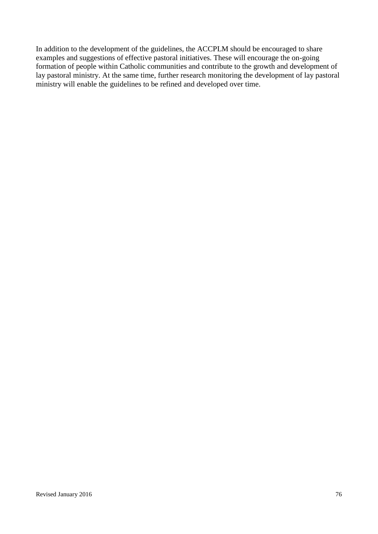In addition to the development of the guidelines, the ACCPLM should be encouraged to share examples and suggestions of effective pastoral initiatives. These will encourage the on-going formation of people within Catholic communities and contribute to the growth and development of lay pastoral ministry. At the same time, further research monitoring the development of lay pastoral ministry will enable the guidelines to be refined and developed over time.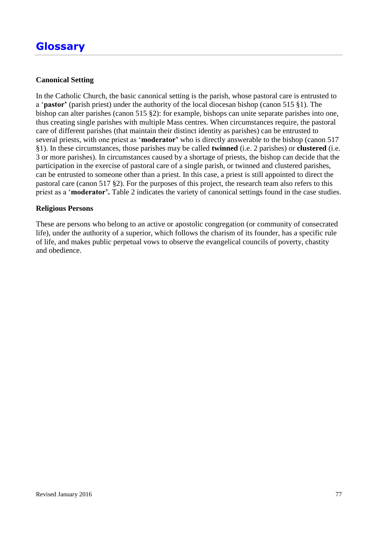#### **Canonical Setting**

In the Catholic Church, the basic canonical setting is the parish, whose pastoral care is entrusted to a '**pastor'** (parish priest) under the authority of the local diocesan bishop (canon 515 §1). The bishop can alter parishes (canon 515 §2): for example, bishops can unite separate parishes into one, thus creating single parishes with multiple Mass centres. When circumstances require, the pastoral care of different parishes (that maintain their distinct identity as parishes) can be entrusted to several priests, with one priest as '**moderator'** who is directly answerable to the bishop (canon 517 §1). In these circumstances, those parishes may be called **twinned** (i.e. 2 parishes) or **clustered** (i.e. 3 or more parishes). In circumstances caused by a shortage of priests, the bishop can decide that the participation in the exercise of pastoral care of a single parish, or twinned and clustered parishes, can be entrusted to someone other than a priest. In this case, a priest is still appointed to direct the pastoral care (canon 517 §2). For the purposes of this project, the research team also refers to this priest as a '**moderator'.** Table 2 indicates the variety of canonical settings found in the case studies.

#### **Religious Persons**

These are persons who belong to an active or apostolic congregation (or community of consecrated life), under the authority of a superior, which follows the charism of its founder, has a specific rule of life, and makes public perpetual vows to observe the evangelical councils of poverty, chastity and obedience.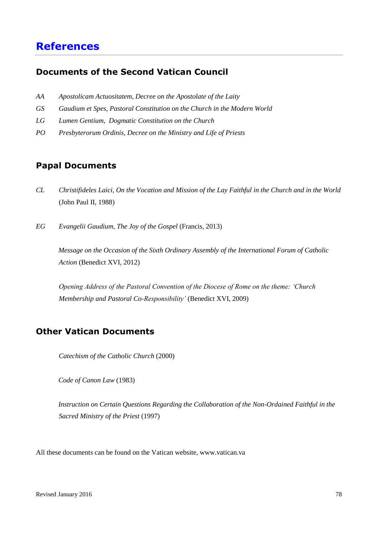# **References**

### **Documents of the Second Vatican Council**

- *AA Apostolicam Actuositatem, Decree on the Apostolate of the Laity*
- *GS Gaudium et Spes, Pastoral Constitution on the Church in the Modern World*
- *LG Lumen Gentium, Dogmatic Constitution on the Church*
- *PO Presbyterorum Ordinis, Decree on the Ministry and Life of Priests*

## **Papal Documents**

- *CL Christifideles Laici, On the Vocation and Mission of the Lay Faithful in the Church and in the World*  (John Paul II, 1988)
- *EG Evangelii Gaudium, The Joy of the Gospel* (Francis, 2013)

*Message on the Occasion of the Sixth Ordinary Assembly of the International Forum of Catholic Action* (Benedict XVI, 2012)

*Opening Address of the Pastoral Convention of the Diocese of Rome on the theme: 'Church Membership and Pastoral Co-Responsibility'* (Benedict XVI, 2009)

## **Other Vatican Documents**

*Catechism of the Catholic Church* (2000)

*Code of Canon Law* (1983)

*Instruction on Certain Questions Regarding the Collaboration of the Non-Ordained Faithful in the Sacred Ministry of the Priest* (1997)

All these documents can be found on the Vatican website, www.vatican.va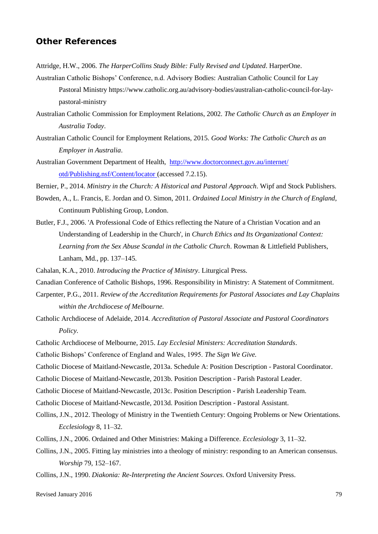#### **Other References**

Attridge, H.W., 2006. *The HarperCollins Study Bible: Fully Revised and Updated*. HarperOne.

- Australian Catholic Bishops' Conference, n.d. Advisory Bodies: Australian Catholic Council for Lay Pastoral Ministry https://www.catholic.org.au/advisory-bodies/australian-catholic-council-for-laypastoral-ministry
- Australian Catholic Commission for Employment Relations, 2002. *The Catholic Church as an Employer in Australia Today*.
- Australian Catholic Council for Employment Relations, 2015. *Good Works: The Catholic Church as an Employer in Australia*.
- Australian Government Department of Health, <http://www.doctorconnect.gov.au/internet/> otd/Publishing.nsf/Content/locator (accessed 7.2.15).
- Bernier, P., 2014. *Ministry in the Church: A Historical and Pastoral Approach*. Wipf and Stock Publishers.
- Bowden, A., L. Francis, E. Jordan and O. Simon, 2011. *Ordained Local Ministry in the Church of England*, Continuum Publishing Group, London.
- Butler, F.J., 2006. 'A Professional Code of Ethics reflecting the Nature of a Christian Vocation and an Understanding of Leadership in the Church', in *Church Ethics and Its Organizational Context: Learning from the Sex Abuse Scandal in the Catholic Church*. Rowman & Littlefield Publishers, Lanham, Md., pp. 137–145.
- Cahalan, K.A., 2010. *Introducing the Practice of Ministry*. Liturgical Press.
- Canadian Conference of Catholic Bishops, 1996. Responsibility in Ministry: A Statement of Commitment.
- Carpenter, P.G., 2011. *Review of the Accreditation Requirements for Pastoral Associates and Lay Chaplains within the Archdiocese of Melbourne.*
- Catholic Archdiocese of Adelaide, 2014. *Accreditation of Pastoral Associate and Pastoral Coordinators Policy.*
- Catholic Archdiocese of Melbourne, 2015. *Lay Ecclesial Ministers: Accreditation Standards*.
- Catholic Bishops' Conference of England and Wales, 1995. *The Sign We Give.*
- Catholic Diocese of Maitland-Newcastle, 2013a. Schedule A: Position Description Pastoral Coordinator.
- Catholic Diocese of Maitland-Newcastle, 2013b. Position Description Parish Pastoral Leader.
- Catholic Diocese of Maitland-Newcastle, 2013c. Position Description Parish Leadership Team.
- Catholic Diocese of Maitland-Newcastle, 2013d. Position Description Pastoral Assistant.
- Collins, J.N., 2012. Theology of Ministry in the Twentieth Century: Ongoing Problems or New Orientations. *Ecclesiology* 8, 11–32.
- Collins, J.N., 2006. Ordained and Other Ministries: Making a Difference. *Ecclesiology* 3, 11–32.
- Collins, J.N., 2005. Fitting lay ministries into a theology of ministry: responding to an American consensus. *Worship* 79, 152–167.
- Collins, J.N., 1990. *Diakonia: Re-Interpreting the Ancient Sources.* Oxford University Press.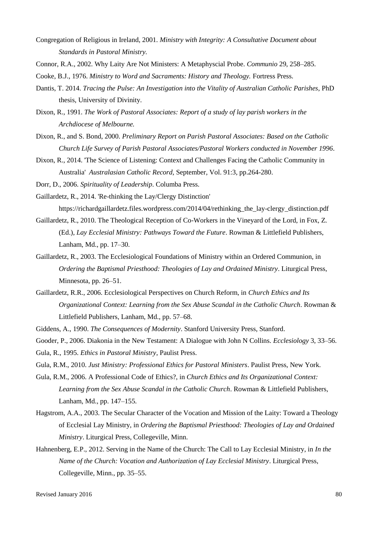- Congregation of Religious in Ireland, 2001. *Ministry with Integrity: A Consultative Document about Standards in Pastoral Ministry.*
- Connor, R.A., 2002. Why Laity Are Not Ministers: A Metaphyscial Probe. *Communio* 29, 258–285.
- Cooke, B.J., 1976. *Ministry to Word and Sacraments: History and Theology.* Fortress Press.
- Dantis, T. 2014. *Tracing the Pulse: An Investigation into the Vitality of Australian Catholic Parishes*, PhD thesis, University of Divinity.
- Dixon, R., 1991. *The Work of Pastoral Associates: Report of a study of lay parish workers in the Archdiocese of Melbourne.*
- Dixon, R., and S. Bond, 2000. *Preliminary Report on Parish Pastoral Associates: Based on the Catholic Church Life Survey of Parish Pastoral Associates/Pastoral Workers conducted in November 1996*.
- Dixon, R., 2014. 'The Science of Listening: Context and Challenges Facing the Catholic Community in Australia' *Australasian Catholic Record,* September, Vol. 91:3, pp.264-280.

Dorr, D., 2006. *Spirituality of Leadership*. Columba Press.

Gaillardetz, R., 2014. 'Re-thinking the Lay/Clergy Distinction'

https://richardgaillardetz.files.wordpress.com/2014/04/rethinking\_the\_lay-clergy\_distinction.pdf

- Gaillardetz, R., 2010. The Theological Reception of Co-Workers in the Vineyard of the Lord, in Fox, Z. (Ed.), *Lay Ecclesial Ministry: Pathways Toward the Future*. Rowman & Littlefield Publishers, Lanham, Md., pp. 17–30.
- Gaillardetz, R., 2003. The Ecclesiological Foundations of Ministry within an Ordered Communion, in *Ordering the Baptismal Priesthood: Theologies of Lay and Ordained Ministry*. Liturgical Press, Minnesota, pp. 26–51.
- Gaillardetz, R.R., 2006. Ecclesiological Perspectives on Church Reform, in *Church Ethics and Its Organizational Context: Learning from the Sex Abuse Scandal in the Catholic Church*. Rowman & Littlefield Publishers, Lanham, Md., pp. 57–68.
- Giddens, A., 1990. *The Consequences of Modernity*. Stanford University Press, Stanford.

Gooder, P., 2006. Diakonia in the New Testament: A Dialogue with John N Collins. *Ecclesiology* 3, 33–56. Gula, R., 1995. *Ethics in Pastoral Ministry*, Paulist Press.

Gula, R.M., 2010. *Just Ministry: Professional Ethics for Pastoral Ministers*. Paulist Press, New York.

- Gula, R.M., 2006. A Professional Code of Ethics?, in *Church Ethics and Its Organizational Context: Learning from the Sex Abuse Scandal in the Catholic Church*. Rowman & Littlefield Publishers, Lanham, Md., pp. 147–155.
- Hagstrom, A.A., 2003. The Secular Character of the Vocation and Mission of the Laity: Toward a Theology of Ecclesial Lay Ministry, in *Ordering the Baptismal Priesthood: Theologies of Lay and Ordained Ministry*. Liturgical Press, Collegeville, Minn.
- Hahnenberg, E.P., 2012. Serving in the Name of the Church: The Call to Lay Ecclesial Ministry, in *In the Name of the Church: Vocation and Authorization of Lay Ecclesial Ministry*. Liturgical Press, Collegeville, Minn., pp. 35–55.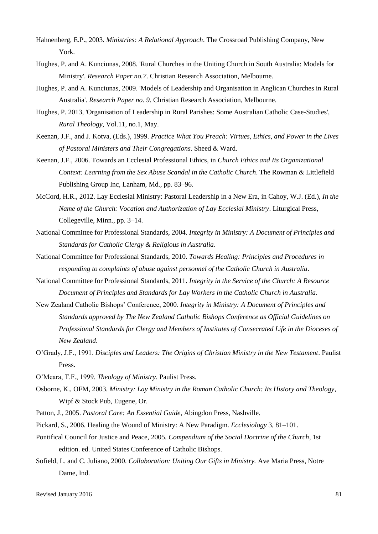- Hahnenberg, E.P., 2003. *Ministries: A Relational Approach*. The Crossroad Publishing Company, New York.
- Hughes, P. and A. Kunciunas, 2008. 'Rural Churches in the Uniting Church in South Australia: Models for Ministry'. *Research Paper no.7*. Christian Research Association, Melbourne.
- Hughes, P. and A. Kunciunas, 2009. 'Models of Leadership and Organisation in Anglican Churches in Rural Australia'. *Research Paper no. 9*. Christian Research Association, Melbourne.
- Hughes, P. 2013, 'Organisation of Leadership in Rural Parishes: Some Australian Catholic Case-Studies', *Rural Theology*, Vol.11, no.1, May.
- Keenan, J.F., and J. Kotva, (Eds.), 1999. *Practice What You Preach: Virtues, Ethics, and Power in the Lives of Pastoral Ministers and Their Congregations*. Sheed & Ward.
- Keenan, J.F., 2006. Towards an Ecclesial Professional Ethics, in *Church Ethics and Its Organizational Context: Learning from the Sex Abuse Scandal in the Catholic Church*. The Rowman & Littlefield Publishing Group Inc, Lanham, Md., pp. 83–96.
- McCord, H.R., 2012. Lay Ecclesial Ministry: Pastoral Leadership in a New Era, in Cahoy, W.J. (Ed.), *In the Name of the Church: Vocation and Authorization of Lay Ecclesial Ministry*. Liturgical Press, Collegeville, Minn., pp. 3–14.
- National Committee for Professional Standards, 2004. *Integrity in Ministry: A Document of Principles and Standards for Catholic Clergy & Religious in Australia*.
- National Committee for Professional Standards, 2010. *Towards Healing: Principles and Procedures in responding to complaints of abuse against personnel of the Catholic Church in Australia*.
- National Committee for Professional Standards, 2011. *Integrity in the Service of the Church: A Resource Document of Principles and Standards for Lay Workers in the Catholic Church in Australia*.
- New Zealand Catholic Bishops' Conference, 2000. *Integrity in Ministry: A Document of Principles and Standards approved by The New Zealand Catholic Bishops Conference as Official Guidelines on Professional Standards for Clergy and Members of Institutes of Consecrated Life in the Dioceses of New Zealand*.
- O'Grady, J.F., 1991. *Disciples and Leaders: The Origins of Christian Ministry in the New Testament*. Paulist Press.
- O'Meara, T.F., 1999. *Theology of Ministry*. Paulist Press.
- Osborne, K., OFM, 2003. *Ministry: Lay Ministry in the Roman Catholic Church: Its History and Theology*, Wipf & Stock Pub, Eugene, Or.
- Patton, J., 2005. *Pastoral Care: An Essential Guide,* Abingdon Press, Nashville.
- Pickard, S., 2006. Healing the Wound of Ministry: A New Paradigm. *Ecclesiology* 3, 81–101.
- Pontifical Council for Justice and Peace, 2005. *Compendium of the Social Doctrine of the Church*, 1st edition. ed. United States Conference of Catholic Bishops.
- Sofield, L. and C. Juliano, 2000. *Collaboration: Uniting Our Gifts in Ministry.* Ave Maria Press, Notre Dame, Ind.